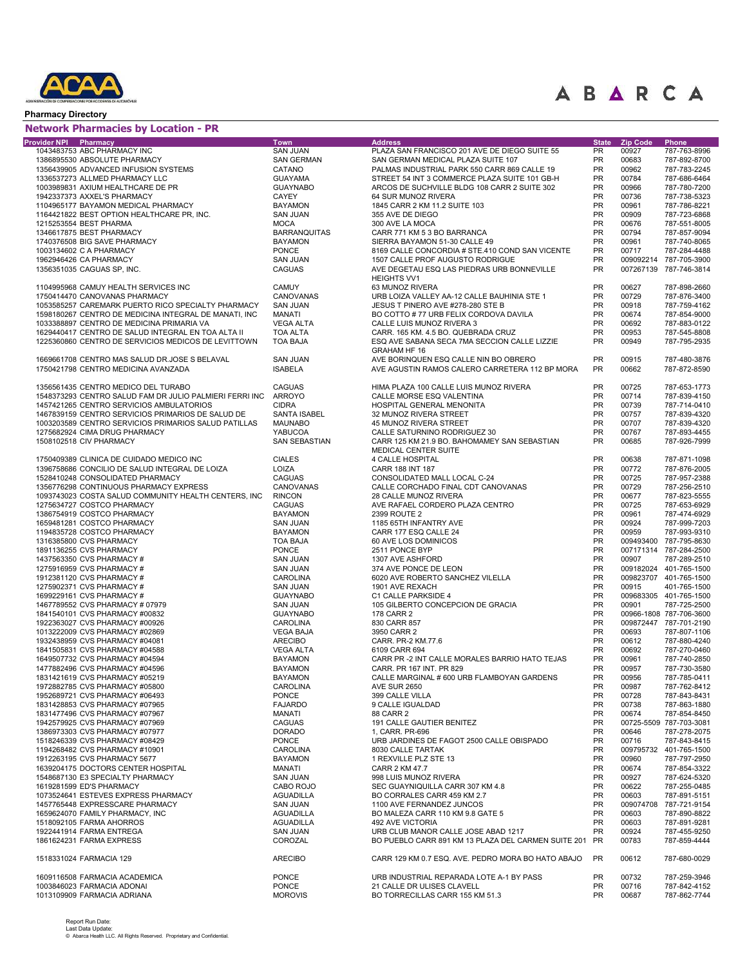

#### Pharmacy Directory

#### Network Pharmacies by Location - PR

|                       | <b>NEWOLK FIRMINACIES By LOCALION - FK</b>              |                         |                                                                 |                    |                 |                              |
|-----------------------|---------------------------------------------------------|-------------------------|-----------------------------------------------------------------|--------------------|-----------------|------------------------------|
| Provider NPI Pharmacy | 1043483753 ABC PHARMACY INC                             | Town<br><b>SAN JUAN</b> | <b>Address</b><br>PLAZA SAN FRANCISCO 201 AVE DE DIEGO SUITE 55 | <b>State</b><br>PR | <b>Zip Code</b> | Phone                        |
|                       | 1386895530 ABSOLUTE PHARMACY                            | <b>SAN GERMAN</b>       | SAN GERMAN MEDICAL PLAZA SUITE 107                              | <b>PR</b>          | 00927<br>00683  | 787-763-8996<br>787-892-8700 |
|                       | 1356439905 ADVANCED INFUSION SYSTEMS                    | CATANO                  | PALMAS INDUSTRIAL PARK 550 CARR 869 CALLE 19                    | <b>PR</b>          | 00962           | 787-783-2245                 |
|                       | 1336537273 ALLMED PHARMACY LLC                          | <b>GUAYAMA</b>          | STREET 54 INT 3 COMMERCE PLAZA SUITE 101 GB-H                   | PR                 | 00784           | 787-686-6464                 |
|                       | 1003989831 AXIUM HEALTHCARE DE PR                       | <b>GUAYNABO</b>         | ARCOS DE SUCHVILLE BLDG 108 CARR 2 SUITE 302                    | PR                 | 00966           | 787-780-7200                 |
|                       | 1942337373 AXXEL'S PHARMACY                             | <b>CAYEY</b>            | 64 SUR MUNOZ RIVERA                                             | PR                 | 00736           | 787-738-5323                 |
|                       | 1104965177 BAYAMON MEDICAL PHARMACY                     | <b>BAYAMON</b>          | 1845 CARR 2 KM 11.2 SUITE 103                                   | PR                 | 00961           | 787-786-8221                 |
|                       | 1164421822 BEST OPTION HEALTHCARE PR, INC.              | <b>SAN JUAN</b>         | 355 AVE DE DIEGO                                                | PR                 | 00909           | 787-723-6868                 |
|                       | 1215253554 BEST PHARMA                                  | <b>MOCA</b>             | 300 AVE LA MOCA                                                 | PR                 | 00676           | 787-551-8005                 |
|                       | 1346617875 BEST PHARMACY                                | <b>BARRANQUITAS</b>     | CARR 771 KM 5 3 BO BARRANCA                                     | PR                 | 00794           | 787-857-9094                 |
|                       | 1740376508 BIG SAVE PHARMACY                            | <b>BAYAMON</b>          | SIERRA BAYAMON 51-30 CALLE 49                                   | PR                 | 00961           | 787-740-8065                 |
|                       | 1003134602 C A PHARMACY                                 | <b>PONCE</b>            | 8169 CALLE CONCORDIA # STE.410 COND SAN VICENTE                 | PR                 | 00717           | 787-284-4488                 |
|                       | 1962946426 CA PHARMACY                                  | <b>SAN JUAN</b>         | 1507 CALLE PROF AUGUSTO RODRIGUE                                | PR                 |                 | 009092214 787-705-3900       |
|                       | 1356351035 CAGUAS SP, INC.                              | <b>CAGUAS</b>           | AVE DEGETAU ESQ LAS PIEDRAS URB BONNEVILLE                      | <b>PR</b>          |                 | 007267139 787-746-3814       |
|                       |                                                         |                         | <b>HEIGHTS VV1</b>                                              |                    |                 |                              |
|                       | 1104995968 CAMUY HEALTH SERVICES INC                    | <b>CAMUY</b>            | 63 MUNOZ RIVERA                                                 | PR                 | 00627           | 787-898-2660                 |
|                       | 1750414470 CANOVANAS PHARMACY                           | CANOVANAS               | URB LOIZA VALLEY AA-12 CALLE BAUHINIA STE 1                     | PR                 | 00729           | 787-876-3400                 |
|                       | 1053585257 CAREMARK PUERTO RICO SPECIALTY PHARMACY      | <b>SAN JUAN</b>         | JESUS T PINERO AVE #278-280 STE B                               | <b>PR</b>          | 00918           | 787-759-4162                 |
|                       | 1598180267 CENTRO DE MEDICINA INTEGRAL DE MANATI, INC   | <b>MANATI</b>           | BO COTTO # 77 URB FELIX CORDOVA DAVILA                          | PR                 | 00674           | 787-854-9000                 |
|                       | 1033388897 CENTRO DE MEDICINA PRIMARIA VA               | <b>VEGA ALTA</b>        | CALLE LUIS MUNOZ RIVERA 3                                       | <b>PR</b>          | 00692           | 787-883-0122                 |
|                       | 1629440417 CENTRO DE SALUD INTEGRAL EN TOA ALTA II      | <b>TOA ALTA</b>         | CARR. 165 KM. 4.5 BO. QUEBRADA CRUZ                             | PR                 | 00953           | 787-545-8808                 |
|                       | 1225360860 CENTRO DE SERVICIOS MEDICOS DE LEVITTOWN     | <b>TOA BAJA</b>         | ESQ AVE SABANA SECA 7MA SECCION CALLE LIZZIE                    | <b>PR</b>          | 00949           | 787-795-2935                 |
|                       |                                                         |                         | GRAHAM HF 16                                                    |                    |                 |                              |
|                       | 1669661708 CENTRO MAS SALUD DR.JOSE S BELAVAL           | <b>SAN JUAN</b>         | AVE BORINQUEN ESQ CALLE NIN BO OBRERO                           | PR                 | 00915           | 787-480-3876                 |
|                       | 1750421798 CENTRO MEDICINA AVANZADA                     | <b>ISABELA</b>          | AVE AGUSTIN RAMOS CALERO CARRETERA 112 BP MORA                  | <b>PR</b>          | 00662           | 787-872-8590                 |
|                       |                                                         |                         |                                                                 |                    |                 |                              |
|                       | 1356561435 CENTRO MEDICO DEL TURABO                     | <b>CAGUAS</b>           | HIMA PLAZA 100 CALLE LUIS MUNOZ RIVERA                          | <b>PR</b>          | 00725           | 787-653-1773                 |
|                       | 1548373293 CENTRO SALUD FAM DR JULIO PALMIERI FERRI INC | <b>ARROYO</b>           | CALLE MORSE ESQ VALENTINA                                       | <b>PR</b>          | 00714           | 787-839-4150                 |
|                       | 1457421265 CENTRO SERVICIOS AMBULATORIOS                | <b>CIDRA</b>            | HOSPITAL GENERAL MENONITA                                       | <b>PR</b>          | 00739           | 787-714-0410                 |
|                       | 1467839159 CENTRO SERVICIOS PRIMARIOS DE SALUD DE       | SANTA ISABEL            | 32 MUNOZ RIVERA STREET                                          | <b>PR</b>          | 00757           | 787-839-4320                 |
|                       | 1003203589 CENTRO SERVICIOS PRIMARIOS SALUD PATILLAS    | <b>MAUNABO</b>          | 45 MUNOZ RIVERA STREET                                          | PR                 | 00707           | 787-839-4320                 |
|                       | 1275682924 CIMA DRUG PHARMACY                           | <b>YABUCOA</b>          | CALLE SATURNINO RODRIGUEZ 30                                    | PR                 | 00767           | 787-893-4455                 |
|                       | 1508102518 CIV PHARMACY                                 | <b>SAN SEBASTIAN</b>    | CARR 125 KM 21.9 BO. BAHOMAMEY SAN SEBASTIAN                    | PR                 | 00685           | 787-926-7999                 |
|                       |                                                         |                         | MEDICAL CENTER SUITE                                            |                    |                 |                              |
|                       | 1750409389 CLINICA DE CUIDADO MEDICO INC                | <b>CIALES</b>           | <b>4 CALLE HOSPITAL</b>                                         | PR                 | 00638           | 787-871-1098                 |
|                       | 1396758686 CONCILIO DE SALUD INTEGRAL DE LOIZA          | LOIZA                   | CARR 188 INT 187                                                | PR                 | 00772           | 787-876-2005                 |
|                       | 1528410248 CONSOLIDATED PHARMACY                        | <b>CAGUAS</b>           | CONSOLIDATED MALL LOCAL C-24                                    | PR                 | 00725           | 787-957-2388                 |
|                       | 1356776298 CONTINUOUS PHARMACY EXPRESS                  | CANOVANAS               | CALLE CORCHADO FINAL CDT CANOVANAS                              | PR                 | 00729           | 787-256-2510                 |
|                       | 1093743023 COSTA SALUD COMMUNITY HEALTH CENTERS, INC    | <b>RINCON</b>           | 28 CALLE MUNOZ RIVERA                                           | PR                 | 00677           | 787-823-5555                 |
|                       | 1275634727 COSTCO PHARMACY                              | <b>CAGUAS</b>           | AVE RAFAEL CORDERO PLAZA CENTRO                                 | PR                 | 00725           | 787-653-6929                 |
|                       | 1386754919 COSTCO PHARMACY                              | <b>BAYAMON</b>          | 2399 ROUTE 2                                                    | PR                 | 00961           | 787-474-6929                 |
|                       | 1659481281 COSTCO PHARMACY                              | <b>SAN JUAN</b>         | 1185 65TH INFANTRY AVE                                          | PR                 | 00924           | 787-999-7203                 |
|                       | 1194835728 COSTCO PHARMACY                              | <b>BAYAMON</b>          | CARR 177 ESQ CALLE 24                                           | PR                 | 00959           | 787-993-9310                 |
|                       | 1316385800 CVS PHARMACY                                 | <b>TOA BAJA</b>         | 60 AVE LOS DOMINICOS                                            | PR                 |                 | 009493400 787-795-8630       |
|                       | 1891136255 CVS PHARMACY                                 | <b>PONCE</b>            | 2511 PONCE BYP                                                  | <b>PR</b>          |                 | 007171314 787-284-2500       |
|                       | 1437563350 CVS PHARMACY #                               | <b>SAN JUAN</b>         | 1307 AVE ASHFORD                                                | PR                 | 00907           | 787-289-2510                 |
|                       | 1275916959 CVS PHARMACY #                               | <b>SAN JUAN</b>         | 374 AVE PONCE DE LEON                                           | <b>PR</b>          |                 | 009182024 401-765-1500       |
|                       | 1912381120 CVS PHARMACY #                               | CAROLINA                | 6020 AVE ROBERTO SANCHEZ VILELLA                                | PR                 |                 | 009823707 401-765-1500       |
|                       | 1275902371 CVS PHARMACY #                               | <b>SAN JUAN</b>         | 1901 AVE REXACH                                                 | <b>PR</b>          | 00915           | 401-765-1500                 |
|                       | 1699229161 CVS PHARMACY #                               | <b>GUAYNABO</b>         | C1 CALLE PARKSIDE 4                                             | PR                 |                 | 009683305 401-765-1500       |
|                       | 1467789552 CVS PHARMACY # 07979                         | <b>SAN JUAN</b>         | 105 GILBERTO CONCEPCION DE GRACIA                               | <b>PR</b>          | 00901           | 787-725-2500                 |
|                       | 1841540101 CVS PHARMACY #00832                          | <b>GUAYNABO</b>         | 178 CARR 2                                                      | PR                 |                 | 00966-1808 787-706-3600      |
|                       | 1922363027 CVS PHARMACY #00926                          | <b>CAROLINA</b>         | 830 CARR 857                                                    | <b>PR</b>          |                 | 009872447 787-701-2190       |
|                       | 1013222009 CVS PHARMACY #02869                          | <b>VEGA BAJA</b>        | 3950 CARR 2                                                     | <b>PR</b>          | 00693           | 787-807-1106                 |
|                       | 1932438959 CVS PHARMACY #04081                          | <b>ARECIBO</b>          | CARR. PR-2 KM.77.6                                              | PR                 | 00612           | 787-880-4240                 |
|                       | 1841505831 CVS PHARMACY #04588                          | <b>VEGA ALTA</b>        | 6109 CARR 694                                                   | PR                 | 00692           | 787-270-0460                 |
|                       | 1649507732 CVS PHARMACY #04594                          | <b>BAYAMON</b>          | CARR PR -2 INT CALLE MORALES BARRIO HATO TEJAS                  | <b>PR</b>          | 00961           | 787-740-2850                 |
|                       | 1477882496 CVS PHARMACY #04596                          | <b>BAYAMON</b>          | CARR. PR 167 INT. PR 829                                        | PR                 | 00957           | 787-730-3580                 |
|                       | 1831421619 CVS PHARMACY #05219                          | <b>BAYAMON</b>          | CALLE MARGINAL # 600 URB FLAMBOYAN GARDENS                      | <b>PR</b>          | 00956           | 787-785-0411                 |
|                       | 1972882785 CVS PHARMACY #05800                          | CAROLINA                | <b>AVE SUR 2650</b>                                             | PR                 | 00987           | 787-762-8412                 |
|                       | 1952689721 CVS PHARMACY #06493                          | <b>PONCE</b>            | 399 CALLE VILLA                                                 | PR                 | 00728           | 787-843-8431                 |
|                       | 1831428853 CVS PHARMACY #07965                          | <b>FAJARDO</b>          | 9 CALLE IGUALDAD                                                | PR                 | 00738           | 787-863-1880                 |
|                       | 1831477496 CVS PHARMACY #07967                          | MANATI                  | 88 CARR 2                                                       | PR                 | 00674           | 787-854-8450                 |
|                       | 1942579925 CVS PHARMACY #07969                          | <b>CAGUAS</b>           | 191 CALLE GAUTIER BENITEZ                                       | PR                 |                 | 00725-5509 787-703-3081      |
|                       | 1386973303 CVS PHARMACY #07977                          | <b>DORADO</b>           | 1, CARR. PR-696                                                 | PR                 | 00646           | 787-278-2075                 |
|                       | 1518246339 CVS PHARMACY #08429                          | <b>PONCE</b>            | URB JARDINES DE FAGOT 2500 CALLE OBISPADO                       | PR                 | 00716           | 787-843-8415                 |
|                       | 1194268482 CVS PHARMACY #10901                          | <b>CAROLINA</b>         | 8030 CALLE TARTAK                                               | PR                 |                 | 009795732 401-765-1500       |
|                       | 1912263195 CVS PHARMACY 5677                            | <b>BAYAMON</b>          | 1 REXVILLE PLZ STE 13                                           | PR                 | 00960           | 787-797-2950                 |
|                       | 1639204175 DOCTORS CENTER HOSPITAL                      | MANATI                  | CARR 2 KM 47.7                                                  | PR                 | 00674           | 787-854-3322                 |
|                       | 1548687130 E3 SPECIALTY PHARMACY                        | SAN JUAN                | 998 LUIS MUNOZ RIVERA                                           | PR                 | 00927           | 787-624-5320                 |
|                       | 1619281599 ED'S PHARMACY                                | CABO ROJO               | SEC GUAYNIQUILLA CARR 307 KM 4.8                                | PR                 | 00622           | 787-255-0485                 |
|                       | 1073524641 ESTEVES EXPRESS PHARMACY                     | <b>AGUADILLA</b>        | BO CORRALES CARR 459 KM 2.7                                     | PR                 | 00603           | 787-891-5151                 |
|                       | 1457765448 EXPRESSCARE PHARMACY                         | <b>SAN JUAN</b>         | 1100 AVE FERNANDEZ JUNCOS                                       | PR                 |                 | 009074708 787-721-9154       |
|                       | 1659624070 FAMILY PHARMACY, INC                         | <b>AGUADILLA</b>        | BO MALEZA CARR 110 KM 9.8 GATE 5                                | PR                 | 00603           | 787-890-8822                 |
|                       | 1518092105 FARMA AHORROS                                | AGUADILLA               | 492 AVE VICTORIA                                                | PR                 | 00603           | 787-891-9281                 |
|                       | 1922441914 FARMA ENTREGA                                | SAN JUAN                | URB CLUB MANOR CALLE JOSE ABAD 1217                             | PR                 | 00924           | 787-455-9250                 |
|                       | 1861624231 FARMA EXPRESS                                | COROZAL                 | BO PUEBLO CARR 891 KM 13 PLAZA DEL CARMEN SUITE 201 PR          |                    | 00783           | 787-859-4444                 |
|                       |                                                         |                         |                                                                 |                    |                 |                              |
|                       | 1518331024 FARMACIA 129                                 | <b>ARECIBO</b>          | CARR 129 KM 0.7 ESQ. AVE. PEDRO MORA BO HATO ABAJO              | <b>PR</b>          | 00612           | 787-680-0029                 |
|                       |                                                         |                         |                                                                 |                    |                 |                              |
|                       | 1609116508 FARMACIA ACADEMICA                           | <b>PONCE</b>            | URB INDUSTRIAL REPARADA LOTE A-1 BY PASS                        | <b>PR</b>          | 00732           | 787-259-3946                 |
|                       | 1003846023 FARMACIA ADONAI                              | <b>PONCE</b>            | 21 CALLE DR ULISES CLAVELL                                      | PR                 | 00716           | 787-842-4152                 |
|                       | 1013109909 FARMACIA ADRIANA                             | <b>MOROVIS</b>          | BO TORRECILLAS CARR 155 KM 51.3                                 | PR                 | 00687           | 787-862-7744                 |
|                       |                                                         |                         |                                                                 |                    |                 |                              |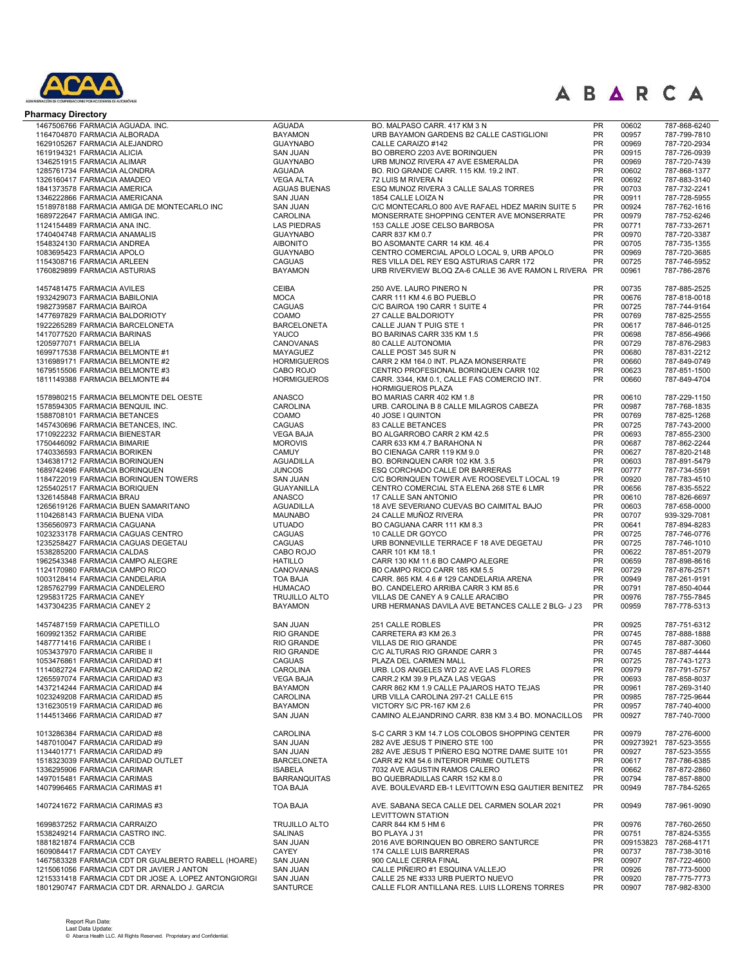

| <b>Pharmacy Directory</b>                                        |                                      |                                                                                 |                 |                |                              |
|------------------------------------------------------------------|--------------------------------------|---------------------------------------------------------------------------------|-----------------|----------------|------------------------------|
| 1467506766 FARMACIA AGUADA. INC.                                 | <b>AGUADA</b>                        | BO. MALPASO CARR. 417 KM 3 N                                                    | <b>PR</b>       | 00602          | 787-868-6240                 |
| 1164704870 FARMACIA ALBORADA                                     | <b>BAYAMON</b>                       | URB BAYAMON GARDENS B2 CALLE CASTIGLIONI                                        | <b>PR</b>       | 00957          | 787-799-7810                 |
| 1629105267 FARMACIA ALEJANDRO                                    | <b>GUAYNABO</b>                      | CALLE CARAIZO #142                                                              | <b>PR</b>       | 00969          | 787-720-2934                 |
| 1619194321 FARMACIA ALICIA                                       | <b>SAN JUAN</b>                      | BO OBRERO 2203 AVE BORINQUEN                                                    | <b>PR</b>       | 00915          | 787-726-0939                 |
| 1346251915 FARMACIA ALIMAR                                       | <b>GUAYNABO</b>                      | URB MUNOZ RIVERA 47 AVE ESMERALDA                                               | <b>PR</b>       | 00969          | 787-720-7439                 |
| 1285761734 FARMACIA ALONDRA                                      | <b>AGUADA</b>                        | BO. RIO GRANDE CARR. 115 KM. 19.2 INT.                                          | <b>PR</b>       | 00602          | 787-868-1377                 |
| 1326160417 FARMACIA AMADEO                                       | <b>VEGA ALTA</b>                     | 72 LUIS M RIVERA N                                                              | PR              | 00692          | 787-883-3140                 |
| 1841373578 FARMACIA AMERICA                                      | <b>AGUAS BUENAS</b>                  | ESQ MUNOZ RIVERA 3 CALLE SALAS TORRES                                           | <b>PR</b>       | 00703          | 787-732-2241                 |
| 1346222866 FARMACIA AMERICANA                                    | <b>SAN JUAN</b>                      | 1854 CALLE LOIZA N                                                              | PR              | 00911          | 787-728-5955                 |
| 1518978188 FARMACIA AMIGA DE MONTECARLO INC                      | <b>SAN JUAN</b>                      | C/C MONTECARLO 800 AVE RAFAEL HDEZ MARIN SUITE 5                                | PR              | 00924          | 787-762-1616                 |
| 1689722647 FARMACIA AMIGA INC.                                   | <b>CAROLINA</b>                      | MONSERRATE SHOPPING CENTER AVE MONSERRATE                                       | PR              | 00979          | 787-752-6246                 |
| 1124154489 FARMACIA ANA INC.                                     | <b>LAS PIEDRAS</b>                   | 153 CALLE JOSE CELSO BARBOSA                                                    | PR              | 00771          | 787-733-2671                 |
| 1740404748 FARMACIA ANAMALIS                                     | <b>GUAYNABO</b>                      | CARR 837 KM 0.7                                                                 | <b>PR</b>       | 00970          | 787-720-3387                 |
| 1548324130 FARMACIA ANDREA                                       | <b>AIBONITO</b>                      | BO ASOMANTE CARR 14 KM. 46.4                                                    | <b>PR</b>       | 00705          | 787-735-1355                 |
| 1083695423 FARMACIA APOLO                                        | <b>GUAYNABO</b>                      | CENTRO COMERCIAL APOLO LOCAL 9, URB APOLO                                       | PR              | 00969          | 787-720-3685                 |
| 1154308716 FARMACIA ARLEEN                                       | <b>CAGUAS</b>                        | RES VILLA DEL REY ESQ ASTURIAS CARR 172                                         | <b>PR</b>       | 00725          | 787-746-5952                 |
| 1760829899 FARMACIA ASTURIAS                                     | <b>BAYAMON</b>                       | URB RIVERVIEW BLOQ ZA-6 CALLE 36 AVE RAMON L RIVERA PR                          |                 | 00961          | 787-786-2876                 |
| 1457481475 FARMACIA AVILES                                       | <b>CEIBA</b>                         | 250 AVE. LAURO PINERO N                                                         | <b>PR</b>       | 00735          | 787-885-2525                 |
| 1932429073 FARMACIA BABILONIA                                    | <b>MOCA</b>                          | CARR 111 KM 4.6 BO PUEBLO                                                       | PR              | 00676          | 787-818-0018                 |
| 1982739587 FARMACIA BAIROA                                       | <b>CAGUAS</b>                        | C/C BAIROA 190 CARR 1 SUITE 4                                                   | PR              | 00725          | 787-744-9164                 |
| 1477697829 FARMACIA BALDORIOTY                                   | COAMO                                | 27 CALLE BALDORIOTY                                                             | <b>PR</b>       | 00769          | 787-825-2555                 |
| 1922265289 FARMACIA BARCELONETA                                  | <b>BARCELONETA</b>                   | CALLE JUAN T PUIG STE 1                                                         | <b>PR</b>       | 00617          | 787-846-0125                 |
| 1417077520 FARMACIA BARINAS                                      | YAUCO                                | BO BARINAS CARR 335 KM 1.5                                                      | <b>PR</b>       | 00698          | 787-856-4966                 |
| 1205977071 FARMACIA BELIA                                        | CANOVANAS                            | 80 CALLE AUTONOMIA                                                              | <b>PR</b>       | 00729          | 787-876-2983                 |
| 1699717538 FARMACIA BELMONTE #1                                  | MAYAGUEZ                             | CALLE POST 345 SUR N                                                            | <b>PR</b>       | 00680          | 787-831-2212                 |
| 1316989171 FARMACIA BELMONTE #2                                  | <b>HORMIGUEROS</b>                   | CARR 2 KM 164.0 INT. PLAZA MONSERRATE                                           | <b>PR</b>       | 00660          | 787-849-0749                 |
| 1679515506 FARMACIA BELMONTE #3                                  | CABO ROJO                            | CENTRO PROFESIONAL BORINQUEN CARR 102                                           | <b>PR</b>       | 00623          | 787-851-1500                 |
| 1811149388 FARMACIA BELMONTE #4                                  | <b>HORMIGUEROS</b>                   | CARR. 3344, KM 0.1, CALLE FAS COMERCIO INT.                                     | <b>PR</b>       | 00660          | 787-849-4704                 |
|                                                                  |                                      | <b>HORMIGUEROS PLAZA</b>                                                        |                 |                |                              |
| 1578980215 FARMACIA BELMONTE DEL OESTE                           | <b>ANASCO</b>                        | BO MARIAS CARR 402 KM 1.8                                                       | <b>PR</b>       | 00610          | 787-229-1150                 |
| 1578594305 FARMACIA BENQUIL INC.                                 | CAROLINA                             | URB. CAROLINA B 8 CALLE MILAGROS CABEZA                                         | PR              | 00987          | 787-768-1835                 |
| 1588708101 FARMACIA BETANCES                                     | COAMO                                | 40 JOSE I QUINTON                                                               | PR              | 00769          | 787-825-1268                 |
| 1457430696 FARMACIA BETANCES, INC.                               | <b>CAGUAS</b>                        | <b>83 CALLE BETANCES</b>                                                        | PR              | 00725          | 787-743-2000                 |
| 1710922232 FARMACIA BIENESTAR                                    | <b>VEGA BAJA</b>                     | BO ALGARROBO CARR 2 KM 42.5                                                     | PR              | 00693          | 787-855-2300                 |
| 1750446092 FARMACIA BIMARIE                                      | <b>MOROVIS</b>                       | CARR 633 KM 4.7 BARAHONA N                                                      | PR              | 00687          | 787-862-2244                 |
| 1740336593 FARMACIA BORIKEN                                      | <b>CAMUY</b>                         | BO CIENAGA CARR 119 KM 9.0                                                      | <b>PR</b>       | 00627          | 787-820-2148                 |
| 1346381712 FARMACIA BORINQUEN                                    | <b>AGUADILLA</b>                     | BO. BORINQUEN CARR 102 KM. 3.5                                                  | <b>PR</b>       | 00603          | 787-891-5479                 |
| 1689742496 FARMACIA BORINQUEN                                    | <b>JUNCOS</b>                        | ESQ CORCHADO CALLE DR BARRERAS                                                  | <b>PR</b>       | 00777          | 787-734-5591                 |
| 1184722019 FARMACIA BORINQUEN TOWERS                             | <b>SAN JUAN</b>                      | C/C BORINQUEN TOWER AVE ROOSEVELT LOCAL 19                                      | <b>PR</b>       | 00920          | 787-783-4510                 |
| 1255402517 FARMACIA BORIQUEN                                     | <b>GUAYANILLA</b>                    | CENTRO COMERCIAL STA ELENA 268 STE 6 LMR                                        | PR              | 00656          | 787-835-5522                 |
| 1326145848 FARMACIA BRAU                                         | <b>ANASCO</b>                        | 17 CALLE SAN ANTONIO                                                            | <b>PR</b>       | 00610          | 787-826-6697                 |
| 1265619126 FARMACIA BUEN SAMARITANO                              | <b>AGUADILLA</b>                     | 18 AVE SEVERIANO CUEVAS BO CAIMITAL BAJO                                        | PR              | 00603          | 787-658-0000                 |
| 1104268143 FARMACIA BUENA VIDA                                   | <b>MAUNABO</b>                       | 24 CALLE MUÑOZ RIVERA                                                           | PR              | 00707          | 939-329-7081                 |
| 1356560973 FARMACIA CAGUANA                                      | <b>UTUADO</b>                        | BO CAGUANA CARR 111 KM 8.3                                                      | <b>PR</b>       | 00641          | 787-894-8283                 |
| 1023233178 FARMACIA CAGUAS CENTRO                                | <b>CAGUAS</b>                        | 10 CALLE DR GOYCO                                                               | <b>PR</b>       | 00725          | 787-746-0776                 |
| 1235258427 FARMACIA CAGUAS DEGETAU                               | <b>CAGUAS</b>                        | URB BONNEVILLE TERRACE F 18 AVE DEGETAU                                         | <b>PR</b>       | 00725          | 787-746-1010                 |
| 1538285200 FARMACIA CALDAS                                       | CABO ROJO                            | CARR 101 KM 18.1                                                                | <b>PR</b>       | 00622          | 787-851-2079                 |
| 1962543348 FARMACIA CAMPO ALEGRE                                 | <b>HATILLO</b>                       | CARR 130 KM 11.6 BO CAMPO ALEGRE                                                | <b>PR</b>       | 00659          | 787-898-8616                 |
| 1124170980 FARMACIA CAMPO RICO                                   | CANOVANAS                            | BO CAMPO RICO CARR 185 KM 5.5                                                   | <b>PR</b>       | 00729          | 787-876-2571                 |
| 1003128414 FARMACIA CANDELARIA                                   | <b>TOA BAJA</b>                      | CARR. 865 KM. 4.6 # 129 CANDELARIA ARENA                                        | <b>PR</b>       | 00949          | 787-261-9191                 |
| 1285762799 FARMACIA CANDELERO                                    | <b>HUMACAO</b>                       | BO. CANDELERO ARRIBA CARR 3 KM 85.6                                             | <b>PR</b>       | 00791          | 787-850-4044                 |
| 1295831725 FARMACIA CANEY                                        | <b>TRUJILLO ALTO</b>                 | VILLAS DE CANEY A 9 CALLE ARACIBO                                               | <b>PR</b>       | 00976          | 787-755-7845                 |
| 1437304235 FARMACIA CANEY 2                                      | <b>BAYAMON</b>                       | URB HERMANAS DAVILA AVE BETANCES CALLE 2 BLG- J 23                              | <b>PR</b>       | 00959          | 787-778-5313                 |
| 1457487159 FARMACIA CAPETILLO                                    |                                      |                                                                                 | <b>PR</b>       |                |                              |
| 1609921352 FARMACIA CARIBE                                       | <b>SAN JUAN</b><br><b>RIO GRANDE</b> | 251 CALLE ROBLES<br>CARRETERA #3 KM 26.3                                        | PR              | 00925<br>00745 | 787-751-6312<br>787-888-1888 |
| 1487771416 FARMACIA CARIBE I                                     | RIO GRANDE                           | <b>VILLAS DE RIO GRANDE</b>                                                     | PR              | 00745          | 787-887-3060                 |
| 1053437970 FARMACIA CARIBE II                                    | <b>RIO GRANDE</b>                    | C/C ALTURAS RIO GRANDE CARR 3                                                   | <b>PR</b>       | 00745          | 787-887-4444                 |
|                                                                  |                                      | PLAZA DEL CARMEN MALL                                                           | PR              |                |                              |
| 1053476861 FARMACIA CARIDAD #1<br>1114082724 FARMACIA CARIDAD #2 | CAGUAS<br><b>CAROLINA</b>            | URB. LOS ANGELES WD 22 AVE LAS FLORES                                           | PR              | 00725<br>00979 | 787-743-1273<br>787-791-5757 |
| 1265597074 FARMACIA CARIDAD #3                                   | <b>VEGA BAJA</b>                     | CARR.2 KM 39.9 PLAZA LAS VEGAS                                                  | <b>PR</b>       |                | 787-858-8037                 |
|                                                                  |                                      |                                                                                 | <b>PR</b>       | 00693          |                              |
| 1437214244 FARMACIA CARIDAD #4                                   | <b>BAYAMON</b>                       | CARR 862 KM 1.9 CALLE PAJAROS HATO TEJAS<br>URB VILLA CAROLINA 297-21 CALLE 615 | <b>PR</b>       | 00961          | 787-269-3140<br>787-725-9644 |
| 1023249208 FARMACIA CARIDAD #5                                   | CAROLINA                             |                                                                                 |                 | 00985          |                              |
| 1316230519 FARMACIA CARIDAD #6<br>1144513466 FARMACIA CARIDAD #7 | <b>BAYAMON</b><br><b>SAN JUAN</b>    | VICTORY S/C PR-167 KM 2.6<br>CAMINO ALEJANDRINO CARR. 838 KM 3.4 BO. MONACILLOS | PR<br><b>PR</b> | 00957<br>00927 | 787-740-4000<br>787-740-7000 |
|                                                                  |                                      |                                                                                 |                 |                |                              |
| 1013286384 FARMACIA CARIDAD #8                                   | <b>CAROLINA</b>                      | S-C CARR 3 KM 14.7 LOS COLOBOS SHOPPING CENTER                                  | <b>PR</b>       | 00979          | 787-276-6000                 |
| 1487010047 FARMACIA CARIDAD #9                                   | <b>SAN JUAN</b>                      | 282 AVE JESUS T PINERO STE 100                                                  | <b>PR</b>       | 009273921      | 787-523-3555                 |
| 1134401771 FARMACIA CARIDAD #9                                   | <b>SAN JUAN</b>                      | 282 AVE JESUS T PIÑERO ESQ NOTRE DAME SUITE 101                                 | PR              | 00927          | 787-523-3555                 |
| 1518323039 FARMACIA CARIDAD OUTLET                               | <b>BARCELONETA</b>                   | CARR #2 KM 54.6 INTERIOR PRIME OUTLETS                                          | <b>PR</b>       | 00617          | 787-786-6385                 |
| 1336295906 FARMACIA CARIMAR                                      | <b>ISABELA</b>                       | 7032 AVE AGUSTIN RAMOS CALERO                                                   | <b>PR</b>       | 00662          | 787-872-2860                 |
| 1497015481 FARMACIA CARIMAS                                      | <b>BARRANQUITAS</b>                  | BO QUEBRADILLAS CARR 152 KM 8.0                                                 | PR              | 00794          | 787-857-8800                 |
| 1407996465 FARMACIA CARIMAS #1                                   | <b>TOA BAJA</b>                      | AVE. BOULEVARD EB-1 LEVITTOWN ESQ GAUTIER BENITEZ                               | PR              | 00949          | 787-784-5265                 |
| 1407241672 FARMACIA CARIMAS #3                                   | <b>TOA BAJA</b>                      | AVE. SABANA SECA CALLE DEL CARMEN SOLAR 2021                                    | <b>PR</b>       | 00949          | 787-961-9090                 |
| 1699837252 FARMACIA CARRAIZO                                     | <b>TRUJILLO ALTO</b>                 | <b>LEVITTOWN STATION</b><br>CARR 844 KM 5 HM 6                                  | <b>PR</b>       | 00976          | 787-760-2650                 |
| 1538249214 FARMACIA CASTRO INC.                                  | <b>SALINAS</b>                       | BO PLAYA J 31                                                                   | PR              | 00751          | 787-824-5355                 |
| 1881821874 FARMACIA CCB                                          | <b>SAN JUAN</b>                      | 2016 AVE BORINQUEN BO OBRERO SANTURCE                                           | <b>PR</b>       | 009153823      | 787-268-4171                 |
| 1609084417 FARMACIA CDT CAYEY                                    | CAYEY                                | 174 CALLE LUIS BARRERAS                                                         | <b>PR</b>       | 00737          | 787-738-3016                 |
| 1467583328 FARMACIA CDT DR GUALBERTO RABELL (HOARE)              | <b>SAN JUAN</b>                      | 900 CALLE CERRA FINAL                                                           | <b>PR</b>       | 00907          | 787-722-4600                 |
| 1215061056 FARMACIA CDT DR JAVIER J ANTON                        | <b>SAN JUAN</b>                      | CALLE PIÑEIRO #1 ESQUINA VALLEJO                                                | <b>PR</b>       | 00926          | 787-773-5000                 |
| 1215331418 FARMACIA CDT DR JOSE A. LOPEZ ANTONGIORGI             | <b>SAN JUAN</b>                      | CALLE 25 NE #333 URB PUERTO NUEVO                                               | <b>PR</b>       | 00920          | 787-775-7773                 |
| 1801290747 FARMACIA CDT DR. ARNALDO J. GARCIA                    | SANTURCE                             | CALLE FLOR ANTILLANA RES. LUIS LLORENS TORRES                                   | <b>PR</b>       | 00907          | 787-982-8300                 |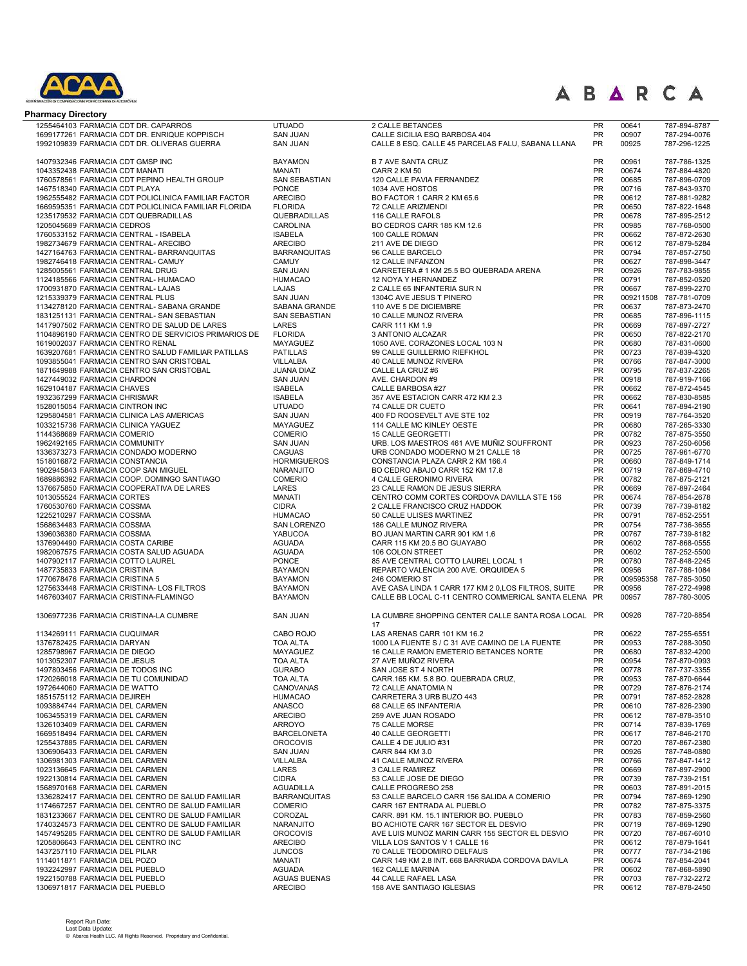

| <b>Pharmacy Directory</b>                                                                                   |                                       |                                                                                |                        |                    |                              |
|-------------------------------------------------------------------------------------------------------------|---------------------------------------|--------------------------------------------------------------------------------|------------------------|--------------------|------------------------------|
| 1255464103 FARMACIA CDT DR. CAPARROS                                                                        | <b>UTUADO</b>                         | 2 CALLE BETANCES                                                               | <b>PR</b>              | 00641              | 787-894-8787                 |
| 1699177261 FARMACIA CDT DR. ENRIQUE KOPPISCH                                                                | <b>SAN JUAN</b>                       | CALLE SICILIA ESQ BARBOSA 404                                                  | <b>PR</b>              | 00907              | 787-294-0076                 |
| 1992109839 FARMACIA CDT DR. OLIVERAS GUERRA                                                                 | <b>SAN JUAN</b>                       | CALLE 8 ESQ. CALLE 45 PARCELAS FALU, SABANA LLANA                              | <b>PR</b>              | 00925              | 787-296-1225                 |
| 1407932346 FARMACIA CDT GMSP INC                                                                            | <b>BAYAMON</b>                        | <b>B 7 AVE SANTA CRUZ</b>                                                      | <b>PR</b>              | 00961              | 787-786-1325                 |
| 1043352438 FARMACIA CDT MANATI                                                                              | <b>MANATI</b>                         | CARR 2 KM 50                                                                   | PR                     | 00674              | 787-884-4820                 |
| 1760578561 FARMACIA CDT PEPINO HEALTH GROUP                                                                 | <b>SAN SEBASTIAN</b>                  | 120 CALLE PAVIA FERNANDEZ                                                      | <b>PR</b>              | 00685              | 787-896-0709                 |
| 1467518340 FARMACIA CDT PLAYA                                                                               | <b>PONCE</b>                          | 1034 AVE HOSTOS                                                                | PR                     | 00716              | 787-843-9370                 |
| 1962555482 FARMACIA CDT POLICLINICA FAMILIAR FACTOR<br>1669595351 FARMACIA CDT POLICLINICA FAMILIAR FLORIDA | <b>ARECIBO</b><br><b>FLORIDA</b>      | BO FACTOR 1 CARR 2 KM 65.6<br>72 CALLE ARIZMENDI                               | <b>PR</b><br><b>PR</b> | 00612<br>00650     | 787-881-9282<br>787-822-1648 |
| 1235179532 FARMACIA CDT QUEBRADILLAS                                                                        | QUEBRADILLAS                          | 116 CALLE RAFOLS                                                               | <b>PR</b>              | 00678              | 787-895-2512                 |
| 1205045689 FARMACIA CEDROS                                                                                  | CAROLINA                              | BO CEDROS CARR 185 KM 12.6                                                     | PR                     | 00985              | 787-768-0500                 |
| 1760533152 FARMACIA CENTRAL - ISABELA                                                                       | <b>ISABELA</b>                        | 100 CALLE ROMAN                                                                | <b>PR</b>              | 00662              | 787-872-2630                 |
| 1982734679 FARMACIA CENTRAL- ARECIBO                                                                        | <b>ARECIBO</b>                        | 211 AVE DE DIEGO                                                               | <b>PR</b><br><b>PR</b> | 00612              | 787-879-5284<br>787-857-2750 |
| 1427164763 FARMACIA CENTRAL- BARRANQUITAS<br>1982746418 FARMACIA CENTRAL- CAMUY                             | <b>BARRANQUITAS</b><br><b>CAMUY</b>   | 96 CALLE BARCELO<br>12 CALLE INFANZON                                          | <b>PR</b>              | 00794<br>00627     | 787-898-3447                 |
| 1285005561 FARMACIA CENTRAL DRUG                                                                            | <b>SAN JUAN</b>                       | CARRETERA # 1 KM 25.5 BO QUEBRADA ARENA                                        | <b>PR</b>              | 00926              | 787-783-9855                 |
| 1124185566 FARMACIA CENTRAL- HUMACAO                                                                        | <b>HUMACAO</b>                        | 12 NOYA Y HERNANDEZ                                                            | <b>PR</b>              | 00791              | 787-852-0520                 |
| 1700931870 FARMACIA CENTRAL- LAJAS                                                                          | LAJAS                                 | 2 CALLE 65 INFANTERIA SUR N                                                    | PR                     | 00667              | 787-899-2270                 |
| 1215339379 FARMACIA CENTRAL PLUS<br>1134278120 FARMACIA CENTRAL- SABANA GRANDE                              | <b>SAN JUAN</b><br>SABANA GRANDE      | 1304C AVE JESUS T PINERO<br>110 AVE 5 DE DICIEMBRE                             | PR<br>PR               | 009211508<br>00637 | 787-781-0709<br>787-873-2470 |
| 1831251131 FARMACIA CENTRAL- SAN SEBASTIAN                                                                  | SAN SEBASTIAN                         | 10 CALLE MUNOZ RIVERA                                                          | PR                     | 00685              | 787-896-1115                 |
| 1417907502 FARMACIA CENTRO DE SALUD DE LARES                                                                | LARES                                 | CARR 111 KM 1.9                                                                | PR                     | 00669              | 787-897-2727                 |
| 1104896190 FARMACIA CENTRO DE SERVICIOS PRIMARIOS DE                                                        | <b>FLORIDA</b>                        | 3 ANTONIO ALCAZAR                                                              | PR                     | 00650              | 787-822-2170                 |
| 1619002037 FARMACIA CENTRO RENAL<br>1639207681 FARMACIA CENTRO SALUD FAMILIAR PATILLAS                      | MAYAGUEZ<br><b>PATILLAS</b>           | 1050 AVE. CORAZONES LOCAL 103 N<br>99 CALLE GUILLERMO RIEFKHOL                 | PR<br>PR               | 00680<br>00723     | 787-831-0600                 |
| 1093855041 FARMACIA CENTRO SAN CRISTOBAL                                                                    | <b>VILLALBA</b>                       | 40 CALLE MUNOZ RIVERA                                                          | PR                     | 00766              | 787-839-4320<br>787-847-3000 |
| 1871649988 FARMACIA CENTRO SAN CRISTOBAL                                                                    | <b>JUANA DIAZ</b>                     | CALLE LA CRUZ #6                                                               | PR                     | 00795              | 787-837-2265                 |
| 1427449032 FARMACIA CHARDON                                                                                 | <b>SAN JUAN</b>                       | AVE. CHARDON #9                                                                | PR                     | 00918              | 787-919-7166                 |
| 1629104187 FARMACIA CHAVES                                                                                  | <b>ISABELA</b>                        | CALLE BARBOSA #27                                                              | PR                     | 00662              | 787-872-4545                 |
| 1932367299 FARMACIA CHRISMAR<br>1528015054 FARMACIA CINTRON INC                                             | <b>ISABELA</b><br><b>UTUADO</b>       | 357 AVE ESTACION CARR 472 KM 2.3<br>74 CALLE DR CUETO                          | PR<br><b>PR</b>        | 00662<br>00641     | 787-830-8585<br>787-894-2190 |
| 1295804581 FARMACIA CLINICA LAS AMERICAS                                                                    | SAN JUAN                              | 400 FD ROOSEVELT AVE STE 102                                                   | PR                     | 00919              | 787-764-3520                 |
| 1033215736 FARMACIA CLINICA YAGUEZ                                                                          | <b>MAYAGUEZ</b>                       | 114 CALLE MC KINLEY OESTE                                                      | <b>PR</b>              | 00680              | 787-265-3330                 |
| 1144368689 FARMACIA COMERIO                                                                                 | <b>COMERIO</b>                        | 15 CALLE GEORGETTI                                                             | PR                     | 00782              | 787-875-3550                 |
| 1962492165 FARMACIA COMMUNITY                                                                               | <b>SAN JUAN</b>                       | URB. LOS MAESTROS 461 AVE MUÑIZ SOUFFRONT                                      | PR                     | 00923              | 787-250-6056                 |
| 1336373273 FARMACIA CONDADO MODERNO<br>1518016872 FARMACIA CONSTANCIA                                       | <b>CAGUAS</b><br><b>HORMIGUEROS</b>   | URB CONDADO MODERNO M 21 CALLE 18<br>CONSTANCIA PLAZA CARR 2 KM 166.4          | PR<br><b>PR</b>        | 00725<br>00660     | 787-961-6770<br>787-849-1714 |
| 1902945843 FARMACIA COOP SAN MIGUEL                                                                         | NARANJITO                             | BO CEDRO ABAJO CARR 152 KM 17.8                                                | <b>PR</b>              | 00719              | 787-869-4710                 |
| 1689886392 FARMACIA COOP. DOMINGO SANTIAGO                                                                  | <b>COMERIO</b>                        | 4 CALLE GERONIMO RIVERA                                                        | <b>PR</b>              | 00782              | 787-875-2121                 |
| 1376675850 FARMACIA COOPERATIVA DE LARES                                                                    | LARES                                 | 23 CALLE RAMON DE JESUS SIERRA                                                 | <b>PR</b>              | 00669              | 787-897-2464                 |
| 1013055524 FARMACIA CORTES<br>1760530760 FARMACIA COSSMA                                                    | <b>MANATI</b><br><b>CIDRA</b>         | CENTRO COMM CORTES CORDOVA DAVILLA STE 156<br>2 CALLE FRANCISCO CRUZ HADDOK    | <b>PR</b><br><b>PR</b> | 00674<br>00739     | 787-854-2678<br>787-739-8182 |
| 1225210297 FARMACIA COSSMA                                                                                  | <b>HUMACAO</b>                        | 50 CALLE ULISES MARTINEZ                                                       | PR                     | 00791              | 787-852-2551                 |
| 1568634483 FARMACIA COSSMA                                                                                  | SAN LORENZO                           | 186 CALLE MUNOZ RIVERA                                                         | PR                     | 00754              | 787-736-3655                 |
| 1396036380 FARMACIA COSSMA                                                                                  | YABUCOA                               | BO JUAN MARTIN CARR 901 KM 1.6                                                 | PR                     | 00767              | 787-739-8182                 |
| 1376904490 FARMACIA COSTA CARIBE                                                                            | <b>AGUADA</b>                         | CARR 115 KM 20.5 BO GUAYABO                                                    | PR<br>PR               | 00602              | 787-868-0555                 |
| 1982067575 FARMACIA COSTA SALUD AGUADA<br>1407902117 FARMACIA COTTO LAUREL                                  | <b>AGUADA</b><br><b>PONCE</b>         | 106 COLON STREET<br>85 AVE CENTRAL COTTO LAUREL LOCAL 1                        | PR                     | 00602<br>00780     | 787-252-5500<br>787-848-2245 |
| 1487735833 FARMACIA CRISTINA                                                                                | <b>BAYAMON</b>                        | REPARTO VALENCIA 200 AVE. ORQUIDEA 5                                           | <b>PR</b>              | 00956              | 787-786-1084                 |
| 1770678476 FARMACIA CRISTINA 5                                                                              | <b>BAYAMON</b>                        | 246 COMERIO ST                                                                 | <b>PR</b>              | 009595358          | 787-785-3050                 |
| 1275633448 FARMACIA CRISTINA- LOS FILTROS                                                                   | <b>BAYAMON</b>                        | AVE CASA LINDA 1 CARR 177 KM 2 0, LOS FILTROS, SUITE                           | PR                     | 00956              | 787-272-4998                 |
| 1467603407 FARMACIA CRISTINA-FLAMINGO                                                                       | <b>BAYAMON</b>                        | CALLE BB LOCAL C-11 CENTRO COMMERICAL SANTA ELENA PR                           |                        | 00957              | 787-780-3005                 |
| 1306977236 FARMACIA CRISTINA-LA CUMBRE                                                                      | <b>SAN JUAN</b>                       | LA CUMBRE SHOPPING CENTER CALLE SANTA ROSA LOCAL PR<br>17                      |                        | 00926              | 787-720-8854                 |
| 1134269111 FARMACIA CUQUIMAR                                                                                | CABO ROJO                             | LAS ARENAS CARR 101 KM 16.2                                                    | <b>PR</b>              | 00622              | 787-255-6551                 |
| 1376782425 FARMACIA DARYAN                                                                                  | <b>TOA ALTA</b>                       | 1000 LA FUENTE S / C 31 AVE CAMINO DE LA FUENTE                                | <b>PR</b>              | 00953              | 787-288-3050                 |
| 1285798967 FARMACIA DE DIEGO<br>1013052307 FARMACIA DE JESUS                                                | MAYAGUEZ<br><b>TOA ALTA</b>           | 16 CALLE RAMON EMETERIO BETANCES NORTE<br>27 AVE MUÑOZ RIVERA                  | <b>PR</b><br><b>PR</b> | 00680<br>00954     | 787-832-4200<br>787-870-0993 |
| 1497803456 FARMACIA DE TODOS INC                                                                            | <b>GURABO</b>                         | SAN JOSE ST 4 NORTH                                                            | <b>PR</b>              | 00778              | 787-737-3355                 |
| 1720266018 FARMACIA DE TU COMUNIDAD                                                                         | <b>TOA ALTA</b>                       | CARR.165 KM. 5.8 BO. QUEBRADA CRUZ,                                            | <b>PR</b>              | 00953              | 787-870-6644                 |
| 1972644060 FARMACIA DE WATTO                                                                                | CANOVANAS                             | 72 CALLE ANATOMIA N                                                            | <b>PR</b>              | 00729              | 787-876-2174                 |
| 1851575112 FARMACIA DEJIREH                                                                                 | <b>HUMACAO</b><br><b>ANASCO</b>       | CARRETERA 3 URB BUZO 443<br>68 CALLE 65 INFANTERIA                             | <b>PR</b><br><b>PR</b> | 00791<br>00610     | 787-852-2828<br>787-826-2390 |
| 1093884744 FARMACIA DEL CARMEN<br>1063455319 FARMACIA DEL CARMEN                                            | <b>ARECIBO</b>                        | 259 AVE JUAN ROSADO                                                            | <b>PR</b>              | 00612              | 787-878-3510                 |
| 1326103409 FARMACIA DEL CARMEN                                                                              | <b>ARROYO</b>                         | 75 CALLE MORSE                                                                 | <b>PR</b>              | 00714              | 787-839-1769                 |
| 1669518494 FARMACIA DEL CARMEN                                                                              | <b>BARCELONETA</b>                    | 40 CALLE GEORGETTI                                                             | <b>PR</b>              | 00617              | 787-846-2170                 |
| 1255437885 FARMACIA DEL CARMEN                                                                              | <b>OROCOVIS</b>                       | CALLE 4 DE JULIO #31                                                           | <b>PR</b>              | 00720              | 787-867-2380                 |
| 1306906433 FARMACIA DEL CARMEN<br>1306981303 FARMACIA DEL CARMEN                                            | <b>SAN JUAN</b><br>VILLALBA           | CARR 844 KM 3.0<br>41 CALLE MUNOZ RIVERA                                       | <b>PR</b><br><b>PR</b> | 00926<br>00766     | 787-748-0880<br>787-847-1412 |
| 1023136645 FARMACIA DEL CARMEN                                                                              | LARES                                 | 3 CALLE RAMIREZ                                                                | <b>PR</b>              | 00669              | 787-897-2900                 |
| 1922130814 FARMACIA DEL CARMEN                                                                              | <b>CIDRA</b>                          | 53 CALLE JOSE DE DIEGO                                                         | <b>PR</b>              | 00739              | 787-739-2151                 |
| 1568970168 FARMACIA DEL CARMEN                                                                              | <b>AGUADILLA</b>                      | CALLE PROGRESO 258                                                             | <b>PR</b>              | 00603              | 787-891-2015                 |
| 1336282417 FARMACIA DEL CENTRO DE SALUD FAMILIAR                                                            | <b>BARRANQUITAS</b><br><b>COMERIO</b> | 53 CALLE BARCELO CARR 156 SALIDA A COMERIO<br>CARR 167 ENTRADA AL PUEBLO       | <b>PR</b><br><b>PR</b> | 00794<br>00782     | 787-869-1290                 |
| 1174667257 FARMACIA DEL CENTRO DE SALUD FAMILIAR<br>1831233667 FARMACIA DEL CENTRO DE SALUD FAMILIAR        | COROZAL                               | CARR. 891 KM. 15.1 INTERIOR BO. PUEBLO                                         | <b>PR</b>              | 00783              | 787-875-3375<br>787-859-2560 |
| 1740324573 FARMACIA DEL CENTRO DE SALUD FAMILIAR                                                            | NARANJITO                             | BO ACHIOTE CARR 167 SECTOR EL DESVIO                                           | <b>PR</b>              | 00719              | 787-869-1290                 |
| 1457495285 FARMACIA DEL CENTRO DE SALUD FAMILIAR                                                            | <b>OROCOVIS</b>                       | AVE LUIS MUNOZ MARIN CARR 155 SECTOR EL DESVIO                                 | <b>PR</b>              | 00720              | 787-867-6010                 |
| 1205806643 FARMACIA DEL CENTRO INC                                                                          | <b>ARECIBO</b>                        | VILLA LOS SANTOS V 1 CALLE 16                                                  | <b>PR</b>              | 00612              | 787-879-1641                 |
| 1437257110 FARMACIA DEL PILAR<br>1114011871 FARMACIA DEL POZO                                               | <b>JUNCOS</b><br>MANATI               | 70 CALLE TEODOMIRO DELFAUS<br>CARR 149 KM 2.8 INT. 668 BARRIADA CORDOVA DAVILA | <b>PR</b><br>PR        | 00777<br>00674     | 787-734-2186<br>787-854-2041 |
| 1932242997 FARMACIA DEL PUEBLO                                                                              | <b>AGUADA</b>                         | 162 CALLE MARINA                                                               | PR                     | 00602              | 787-868-5890                 |
| 1922150788 FARMACIA DEL PUEBLO                                                                              | <b>AGUAS BUENAS</b>                   | 44 CALLE RAFAEL LASA                                                           | <b>PR</b>              | 00703              | 787-732-2272                 |
| 1306971817 FARMACIA DEL PUEBLO                                                                              | <b>ARECIBO</b>                        | 158 AVE SANTIAGO IGLESIAS                                                      | <b>PR</b>              | 00612              | 787-878-2450                 |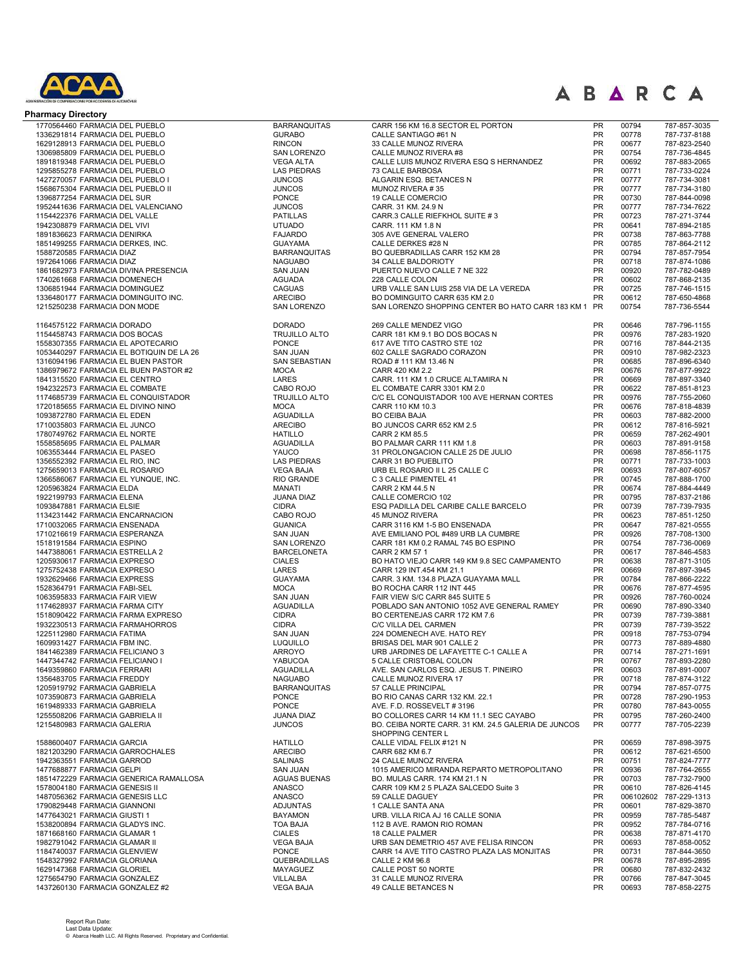

| <b>Pharmacy Directory</b>                                                     |                                 |                                                                            |                 |                |                              |
|-------------------------------------------------------------------------------|---------------------------------|----------------------------------------------------------------------------|-----------------|----------------|------------------------------|
| 1770564460 FARMACIA DEL PUEBLO                                                | <b>BARRANQUITAS</b>             | CARR 156 KM 16.8 SECTOR EL PORTON                                          | PR              | 00794          | 787-857-3035                 |
| 1336291814 FARMACIA DEL PUEBLO                                                | <b>GURABO</b>                   | CALLE SANTIAGO #61 N                                                       | PR              | 00778          | 787-737-8188                 |
| 1629128913 FARMACIA DEL PUEBLO                                                | <b>RINCON</b>                   | 33 CALLE MUNOZ RIVERA                                                      | PR              | 00677          | 787-823-2540                 |
| 1306985809 FARMACIA DEL PUEBLO                                                | SAN LORENZO                     | CALLE MUNOZ RIVERA #8                                                      | PR              | 00754          | 787-736-4845                 |
| 1891819348 FARMACIA DEL PUEBLO                                                | <b>VEGA ALTA</b>                | CALLE LUIS MUNOZ RIVERA ESQ S HERNANDEZ                                    | <b>PR</b>       | 00692          | 787-883-2065                 |
| 1295855278 FARMACIA DEL PUEBLO                                                | <b>LAS PIEDRAS</b>              | 73 CALLE BARBOSA                                                           | PR              | 00771          | 787-733-0224                 |
| 1427270057 FARMACIA DEL PUEBLO I                                              | <b>JUNCOS</b>                   | ALGARIN ESQ. BETANCES N                                                    | <b>PR</b>       | 00777          | 787-734-3081                 |
| 1568675304 FARMACIA DEL PUEBLO II                                             | <b>JUNCOS</b>                   | MUNOZ RIVERA #35                                                           | PR              | 00777          | 787-734-3180                 |
| 1396877254 FARMACIA DEL SUR                                                   | PONCE                           | 19 CALLE COMERCIO                                                          | PR              | 00730          | 787-844-0098                 |
| 1952441636 FARMACIA DEL VALENCIANO                                            | <b>JUNCOS</b>                   | CARR. 31 KM. 24.9 N                                                        | PR              | 00777          | 787-734-7622                 |
| 1154422376 FARMACIA DEL VALLE                                                 | <b>PATILLAS</b>                 | CARR.3 CALLE RIEFKHOL SUITE #3                                             | <b>PR</b>       | 00723          | 787-271-3744                 |
| 1942308879 FARMACIA DEL VIVI<br>1891836623 FARMACIA DENIRKA                   | <b>UTUADO</b><br><b>FAJARDO</b> | CARR. 111 KM 1.8 N<br>305 AVE GENERAL VALERO                               | PR<br><b>PR</b> | 00641<br>00738 | 787-894-2185                 |
| 1851499255 FARMACIA DERKES, INC.                                              | <b>GUAYAMA</b>                  | CALLE DERKES #28 N                                                         | <b>PR</b>       | 00785          | 787-863-7788<br>787-864-2112 |
| 1588720585 FARMACIA DIAZ                                                      | <b>BARRANQUITAS</b>             | BO QUEBRADILLAS CARR 152 KM 28                                             | <b>PR</b>       | 00794          | 787-857-7954                 |
| 1972641066 FARMACIA DIAZ                                                      | <b>NAGUABO</b>                  | 34 CALLE BALDORIOTY                                                        | PR              | 00718          | 787-874-1086                 |
| 1861682973 FARMACIA DIVINA PRESENCIA                                          | <b>SAN JUAN</b>                 | PUERTO NUEVO CALLE 7 NE 322                                                | <b>PR</b>       | 00920          | 787-782-0489                 |
| 1740261668 FARMACIA DOMENECH                                                  | <b>AGUADA</b>                   | 228 CALLE COLON                                                            | <b>PR</b>       | 00602          | 787-868-2135                 |
| 1306851944 FARMACIA DOMINGUEZ                                                 | <b>CAGUAS</b>                   | URB VALLE SAN LUIS 258 VIA DE LA VEREDA                                    | PR              | 00725          | 787-746-1515                 |
| 1336480177 FARMACIA DOMINGUITO INC.                                           | <b>ARECIBO</b>                  | BO DOMINGUITO CARR 635 KM 2.0                                              | PR              | 00612          | 787-650-4868                 |
| 1215250238 FARMACIA DON MODE                                                  | SAN LORENZO                     | SAN LORENZO SHOPPING CENTER BO HATO CARR 183 KM 1 PR                       |                 | 00754          | 787-736-5544                 |
|                                                                               |                                 |                                                                            |                 |                |                              |
| 1164575122 FARMACIA DORADO                                                    | <b>DORADO</b>                   | 269 CALLE MENDEZ VIGO                                                      | <b>PR</b>       | 00646          | 787-796-1155                 |
| 1154458743 FARMACIA DOS BOCAS                                                 | <b>TRUJILLO ALTO</b><br>PONCE   | CARR 181 KM 9.1 BO DOS BOCAS N<br>617 AVE TITO CASTRO STE 102              | PR<br>PR        | 00976<br>00716 | 787-283-1920<br>787-844-2135 |
| 1558307355 FARMACIA EL APOTECARIO<br>1053440297 FARMACIA EL BOTIQUIN DE LA 26 | <b>SAN JUAN</b>                 | 602 CALLE SAGRADO CORAZON                                                  | <b>PR</b>       | 00910          | 787-982-2323                 |
| 1316094196 FARMACIA EL BUEN PASTOR                                            | <b>SAN SEBASTIAN</b>            | ROAD # 111 KM 13.46 N                                                      | PR              | 00685          | 787-896-6340                 |
| 1386979672 FARMACIA EL BUEN PASTOR #2                                         | <b>MOCA</b>                     | CARR 420 KM 2.2                                                            | PR              | 00676          | 787-877-9922                 |
| 1841315520 FARMACIA EL CENTRO                                                 | LARES                           | CARR. 111 KM 1.0 CRUCE ALTAMIRA N                                          | PR              | 00669          | 787-897-3340                 |
| 1942322573 FARMACIA EL COMBATE                                                | CABO ROJO                       | EL COMBATE CARR 3301 KM 2.0                                                | PR              | 00622          | 787-851-8123                 |
| 1174685739 FARMACIA EL CONQUISTADOR                                           | <b>TRUJILLO ALTO</b>            | C/C EL CONQUISTADOR 100 AVE HERNAN CORTES                                  | PR              | 00976          | 787-755-2060                 |
| 1720185655 FARMACIA EL DIVINO NINO                                            | <b>MOCA</b>                     | CARR 110 KM 10.3                                                           | PR              | 00676          | 787-818-4839                 |
| 1093872780 FARMACIA EL EDEN                                                   | <b>AGUADILLA</b>                | <b>BO CEIBA BAJA</b>                                                       | PR              | 00603          | 787-882-2000                 |
| 1710035803 FARMACIA EL JUNCO                                                  | <b>ARECIBO</b>                  | BO JUNCOS CARR 652 KM 2.5                                                  | <b>PR</b>       | 00612          | 787-816-5921                 |
| 1780749762 FARMACIA EL NORTE                                                  | <b>HATILLO</b>                  | CARR 2 KM 85.5                                                             | PR              | 00659          | 787-262-4901                 |
| 1558585695 FARMACIA EL PALMAR                                                 | <b>AGUADILLA</b>                | BO PALMAR CARR 111 KM 1.8                                                  | <b>PR</b>       | 00603          | 787-891-9158                 |
| 1063553444 FARMACIA EL PASEO                                                  | YAUCO                           | 31 PROLONGACION CALLE 25 DE JULIO                                          | PR              | 00698          | 787-856-1175                 |
| 1356552392 FARMACIA EL RIO, INC                                               | <b>LAS PIEDRAS</b>              | CARR 31 BO PUEBLITO                                                        | <b>PR</b>       | 00771          | 787-733-1003                 |
| 1275659013 FARMACIA EL ROSARIO                                                | <b>VEGA BAJA</b>                | URB EL ROSARIO II L 25 CALLE C                                             | PR              | 00693          | 787-807-6057                 |
| 1366586067 FARMACIA EL YUNQUE, INC.                                           | RIO GRANDE                      | C 3 CALLE PIMENTEL 41                                                      | <b>PR</b>       | 00745          | 787-888-1700                 |
| 1205963824 FARMACIA ELDA                                                      | <b>MANATI</b>                   | CARR 2 KM 44.5 N                                                           | <b>PR</b>       | 00674          | 787-884-4449                 |
| 1922199793 FARMACIA ELENA                                                     | JUANA DIAZ                      | CALLE COMERCIO 102                                                         | PR              | 00795          | 787-837-2186                 |
| 1093847881 FARMACIA ELSIE                                                     | <b>CIDRA</b>                    | ESQ PADILLA DEL CARIBE CALLE BARCELO                                       | <b>PR</b>       | 00739          | 787-739-7935                 |
| 1134231442 FARMACIA ENCARNACION                                               | CABO ROJO                       | 45 MUNOZ RIVERA                                                            | PR<br>PR        | 00623          | 787-851-1250                 |
| 1710032065 FARMACIA ENSENADA<br>1710216619 FARMACIA ESPERANZA                 | <b>GUANICA</b>                  | CARR 3116 KM 1-5 BO ENSENADA                                               | PR              | 00647<br>00926 | 787-821-0555                 |
| 1518191584 FARMACIA ESPINO                                                    | <b>SAN JUAN</b><br>SAN LORENZO  | AVE EMILIANO POL #489 URB LA CUMBRE<br>CARR 181 KM 0.2 RAMAL 745 BO ESPINO | PR              | 00754          | 787-708-1300<br>787-736-0069 |
| 1447388061 FARMACIA ESTRELLA 2                                                | <b>BARCELONETA</b>              | CARR 2 KM 57 1                                                             | PR              | 00617          | 787-846-4583                 |
| 1205930617 FARMACIA EXPRESO                                                   | <b>CIALES</b>                   | BO HATO VIEJO CARR 149 KM 9.8 SEC CAMPAMENTO                               | PR              | 00638          | 787-871-3105                 |
| 1275752438 FARMACIA EXPRESO                                                   | LARES                           | CARR 129 INT.454 KM 21.1                                                   | PR              | 00669          | 787-897-3945                 |
| 1932629466 FARMACIA EXPRESS                                                   | <b>GUAYAMA</b>                  | CARR. 3 KM. 134.8 PLAZA GUAYAMA MALL                                       | <b>PR</b>       | 00784          | 787-866-2222                 |
| 1528364791 FARMACIA FABI-SEL                                                  | <b>MOCA</b>                     | BO ROCHA CARR 112 INT 445                                                  | PR              | 00676          | 787-877-4595                 |
| 1063595833 FARMACIA FAIR VIEW                                                 | <b>SAN JUAN</b>                 | FAIR VIEW S/C CARR 845 SUITE 5                                             | PR              | 00926          | 787-760-0024                 |
| 1174628937 FARMACIA FARMA CITY                                                | <b>AGUADILLA</b>                | POBLADO SAN ANTONIO 1052 AVE GENERAL RAMEY                                 | PR              | 00690          | 787-890-3340                 |
| 1518090422 FARMACIA FARMA EXPRESO                                             | <b>CIDRA</b>                    | BO CERTENEJAS CARR 172 KM 7.6                                              | <b>PR</b>       | 00739          | 787-739-3881                 |
| 1932230513 FARMACIA FARMAHORROS                                               | <b>CIDRA</b>                    | C/C VILLA DEL CARMEN                                                       | PR              | 00739          | 787-739-3522                 |
| 1225112980 FARMACIA FATIMA                                                    | <b>SAN JUAN</b>                 | 224 DOMENECH AVE. HATO REY                                                 | <b>PR</b>       | 00918          | 787-753-0794                 |
| 1609931427 FARMACIA FBM INC.                                                  | <b>LUQUILLO</b>                 | BRISAS DEL MAR 901 CALLE 2                                                 | PR              | 00773          | 787-889-4880                 |
| 1841462389 FARMACIA FELICIANO 3                                               | ARROYO                          | URB JARDINES DE LAFAYETTE C-1 CALLE A                                      | <b>PR</b>       | 00714          | 787-271-1691                 |
| 1447344742 FARMACIA FELICIANO I                                               | YABUCOA                         | 5 CALLE CRISTOBAL COLON                                                    | PR              | 00767          | 787-893-2280                 |
| 1649359860 FARMACIA FERRARI                                                   | <b>AGUADILLA</b>                | AVE. SAN CARLOS ESQ. JESUS T. PINEIRO                                      | PR              | 00603          | 787-891-0007                 |
| 1356483705 FARMACIA FREDDY                                                    | <b>NAGUABO</b>                  | CALLE MUNOZ RIVERA 17                                                      | PR              | 00718          | 787-874-3122                 |
| 1205919792 FARMACIA GABRIELA                                                  | <b>BARRANQUITAS</b>             | 57 CALLE PRINCIPAL                                                         | <b>PR</b>       | 00794          | 787-857-0775                 |
| 1073590873 FARMACIA GABRIELA<br>1619489333 FARMACIA GABRIELA                  | <b>PONCE</b><br>PONCE           | BO RIO CANAS CARR 132 KM. 22.1                                             | PR<br>PR        | 00728          | 787-290-1953                 |
| 1255508206 FARMACIA GABRIELA II                                               | JUANA DIAZ                      | AVE. F.D. ROSSEVELT #3196<br>BO COLLORES CARR 14 KM 11.1 SEC CAYABO        | <b>PR</b>       | 00780<br>00795 | 787-843-0055<br>787-260-2400 |
| 1215480983 FARMACIA GALERIA                                                   | <b>JUNCOS</b>                   | BO. CEIBA NORTE CARR. 31 KM. 24.5 GALERIA DE JUNCOS                        | <b>PR</b>       | 00777          | 787-705-2239                 |
|                                                                               |                                 | SHOPPING CENTER L                                                          |                 |                |                              |
| 1588600407 FARMACIA GARCIA                                                    | <b>HATILLO</b>                  | CALLE VIDAL FELIX #121 N                                                   | PR              | 00659          | 787-898-3975                 |
| 1821203290 FARMACIA GARROCHALES                                               | <b>ARECIBO</b>                  | CARR 682 KM 6.7                                                            | <b>PR</b>       | 00612          | 787-621-6500                 |
| 1942363551 FARMACIA GARROD                                                    | <b>SALINAS</b>                  | 24 CALLE MUNOZ RIVERA                                                      | PR              | 00751          | 787-824-7777                 |
| 1477688877 FARMACIA GELPI                                                     | <b>SAN JUAN</b>                 | 1015 AMERICO MIRANDA REPARTO METROPOLITANO                                 | PR              | 00936          | 787-764-2655                 |
| 1851472229 FARMACIA GENERICA RAMALLOSA                                        | <b>AGUAS BUENAS</b>             | BO. MULAS CARR. 174 KM 21.1 N                                              | PR              | 00703          | 787-732-7900                 |
| 1578004180 FARMACIA GENESIS II                                                | ANASCO                          | CARR 109 KM 2 5 PLAZA SALCEDO Suite 3                                      | PR              | 00610          | 787-826-4145                 |
| 1487056362 FARMACIA GENESIS LLC                                               | ANASCO                          | 59 CALLE DAGUEY                                                            | <b>PR</b>       |                | 006102602 787-229-1313       |
| 1790829448 FARMACIA GIANNONI                                                  | <b>ADJUNTAS</b>                 | 1 CALLE SANTA ANA                                                          | PR              | 00601          | 787-829-3870                 |
| 1477643021 FARMACIA GIUSTI 1                                                  | <b>BAYAMON</b>                  | URB. VILLA RICA AJ 16 CALLE SONIA                                          | PR              | 00959          | 787-785-5487                 |
| 1538200894 FARMACIA GLADYS INC.                                               | <b>TOA BAJA</b>                 | 112 B AVE. RAMON RIO ROMAN                                                 | <b>PR</b>       | 00952          | 787-784-0716                 |
| 1871668160 FARMACIA GLAMAR 1                                                  | <b>CIALES</b>                   | 18 CALLE PALMER                                                            | <b>PR</b>       | 00638          | 787-871-4170                 |
| 1982791042 FARMACIA GLAMAR II                                                 | <b>VEGA BAJA</b>                | URB SAN DEMETRIO 457 AVE FELISA RINCON                                     | PR              | 00693          | 787-858-0052                 |
| 1184740037 FARMACIA GLENVIEW                                                  | PONCE                           | CARR 14 AVE TITO CASTRO PLAZA LAS MONJITAS                                 | PR              | 00731          | 787-844-3650                 |
| 1548327992 FARMACIA GLORIANA                                                  | QUEBRADILLAS                    | CALLE 2 KM 96.8                                                            | PR              | 00678          | 787-895-2895                 |
| 1629147368 FARMACIA GLORIEL<br>1275654790 FARMACIA GONZALEZ                   | MAYAGUEZ<br>VILLALBA            | CALLE POST 50 NORTE<br>31 CALLE MUNOZ RIVERA                               | PR<br>PR        | 00680<br>00766 | 787-832-2432<br>787-847-3045 |
| 1437260130 FARMACIA GONZALEZ #2                                               | <b>VEGA BAJA</b>                | 49 CALLE BETANCES N                                                        | PR              | 00693          | 787-858-2275                 |
|                                                                               |                                 |                                                                            |                 |                |                              |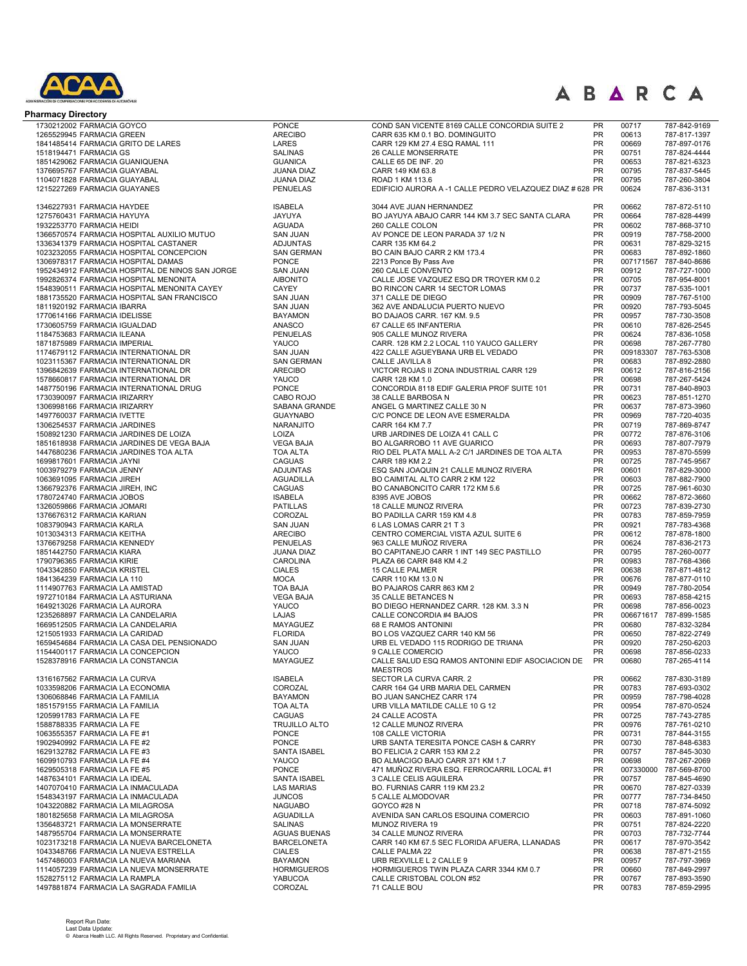

| <b>Pharmacy Directory</b>                                                                 |                                       |                                                                                |                        |                    |                                        |
|-------------------------------------------------------------------------------------------|---------------------------------------|--------------------------------------------------------------------------------|------------------------|--------------------|----------------------------------------|
| 1730212002 FARMACIA GOYCO                                                                 | <b>PONCE</b>                          | COND SAN VICENTE 8169 CALLE CONCORDIA SUITE 2                                  | PR                     | 00717              | 787-842-9169                           |
| 1265529945 FARMACIA GREEN                                                                 | <b>ARECIBO</b>                        | CARR 635 KM 0.1 BO. DOMINGUITO                                                 | <b>PR</b>              | 00613              | 787-817-1397                           |
| 1841485414 FARMACIA GRITO DE LARES                                                        | LARES<br><b>SALINAS</b>               | CARR 129 KM 27.4 ESQ RAMAL 111                                                 | <b>PR</b><br>PR        | 00669<br>00751     | 787-897-0176<br>787-824-4444           |
| 1518194471 FARMACIA GS<br>1851429062 FARMACIA GUANIQUENA                                  | <b>GUANICA</b>                        | 26 CALLE MONSERRATE<br>CALLE 65 DE INF. 20                                     | <b>PR</b>              | 00653              | 787-821-6323                           |
| 1376695767 FARMACIA GUAYABAL                                                              | <b>JUANA DIAZ</b>                     | CARR 149 KM 63.8                                                               | PR                     | 00795              | 787-837-5445                           |
| 1104071828 FARMACIA GUAYABAL                                                              | <b>JUANA DIAZ</b>                     | ROAD 1 KM 113.6                                                                | <b>PR</b>              | 00795              | 787-260-3804                           |
| 1215227269 FARMACIA GUAYANES                                                              | <b>PENUELAS</b>                       | EDIFICIO AURORA A -1 CALLE PEDRO VELAZQUEZ DIAZ # 628 PR                       |                        | 00624              | 787-836-3131                           |
| 1346227931 FARMACIA HAYDEE                                                                | <b>ISABELA</b>                        | 3044 AVE JUAN HERNANDEZ                                                        | <b>PR</b>              | 00662              | 787-872-5110                           |
| 1275760431 FARMACIA HAYUYA                                                                | JAYUYA                                | BO JAYUYA ABAJO CARR 144 KM 3.7 SEC SANTA CLARA                                | <b>PR</b>              | 00664              | 787-828-4499                           |
| 1932253770 FARMACIA HEIDI                                                                 | <b>AGUADA</b>                         | 260 CALLE COLON                                                                | <b>PR</b>              | 00602              | 787-868-3710                           |
| 1366570574 FARMACIA HOSPITAL AUXILIO MUTUO                                                | <b>SAN JUAN</b><br><b>ADJUNTAS</b>    | AV PONCE DE LEON PARADA 37 1/2 N<br>CARR 135 KM 64.2                           | <b>PR</b><br><b>PR</b> | 00919<br>00631     | 787-758-2000                           |
| 1336341379 FARMACIA HOSPITAL CASTANER<br>1023232055 FARMACIA HOSPITAL CONCEPCION          | <b>SAN GERMAN</b>                     | BO CAIN BAJO CARR 2 KM 173.4                                                   | <b>PR</b>              | 00683              | 787-829-3215<br>787-892-1860           |
| 1306978317 FARMACIA HOSPITAL DAMAS                                                        | <b>PONCE</b>                          | 2213 Ponce By Pass Ave                                                         | <b>PR</b>              | 007171567          | 787-840-8686                           |
| 1952434912 FARMACIA HOSPITAL DE NINOS SAN JORGE                                           | <b>SAN JUAN</b>                       | 260 CALLE CONVENTO                                                             | <b>PR</b>              | 00912              | 787-727-1000                           |
| 1992826374 FARMACIA HOSPITAL MENONITA                                                     | <b>AIBONITO</b>                       | CALLE JOSE VAZQUEZ ESQ DR TROYER KM 0.2                                        | <b>PR</b>              | 00705              | 787-954-8001                           |
| 1548390511 FARMACIA HOSPITAL MENONITA CAYEY<br>1881735520 FARMACIA HOSPITAL SAN FRANCISCO | CAYEY<br><b>SAN JUAN</b>              | BO RINCON CARR 14 SECTOR LOMAS<br>371 CALLE DE DIEGO                           | PR<br>PR               | 00737<br>00909     | 787-535-1001<br>787-767-5100           |
| 1811920192 FARMACIA IBARRA                                                                | <b>SAN JUAN</b>                       | 362 AVE ANDALUCIA PUERTO NUEVO                                                 | PR                     | 00920              | 787-793-5045                           |
| 1770614166 FARMACIA IDELISSE                                                              | <b>BAYAMON</b>                        | BO DAJAOS CARR. 167 KM. 9.5                                                    | PR                     | 00957              | 787-730-3508                           |
| 1730605759 FARMACIA IGUALDAD                                                              | ANASCO                                | 67 CALLE 65 INFANTERIA                                                         | <b>PR</b>              | 00610              | 787-826-2545                           |
| 1184753683 FARMACIA ILEANA                                                                | <b>PENUELAS</b>                       | 905 CALLE MUNOZ RIVERA                                                         | PR                     | 00624              | 787-836-1058                           |
| 1871875989 FARMACIA IMPERIAL<br>1174679112 FARMACIA INTERNATIONAL DR                      | YAUCO<br><b>SAN JUAN</b>              | CARR. 128 KM 2.2 LOCAL 110 YAUCO GALLERY<br>422 CALLE AGUEYBANA URB EL VEDADO  | PR<br><b>PR</b>        | 00698<br>009183307 | 787-267-7780<br>787-763-5308           |
| 1023115367 FARMACIA INTERNATIONAL DR                                                      | <b>SAN GERMAN</b>                     | CALLE JAVILLA 8                                                                | PR                     | 00683              | 787-892-2880                           |
| 1396842639 FARMACIA INTERNATIONAL DR                                                      | <b>ARECIBO</b>                        | VICTOR ROJAS II ZONA INDUSTRIAL CARR 129                                       | <b>PR</b>              | 00612              | 787-816-2156                           |
| 1578660817 FARMACIA INTERNATIONAL DR                                                      | YAUCO                                 | CARR 128 KM 1.0                                                                | PR                     | 00698              | 787-267-5424                           |
| 1487750196 FARMACIA INTERNATIONAL DRUG                                                    | <b>PONCE</b>                          | CONCORDIA 8118 EDIF GALERIA PROF SUITE 101                                     | <b>PR</b>              | 00731              | 787-840-8903                           |
| 1730390097 FARMACIA IRIZARRY<br>1306998166 FARMACIA IRIZARRY                              | CABO ROJO<br>SABANA GRANDE            | 38 CALLE BARBOSA N<br>ANGEL G MARTINEZ CALLE 30 N                              | <b>PR</b><br><b>PR</b> | 00623<br>00637     | 787-851-1270<br>787-873-3960           |
| 1497760037 FARMACIA IVETTE                                                                | <b>GUAYNABO</b>                       | C/C PONCE DE LEON AVE ESMERALDA                                                | <b>PR</b>              | 00969              | 787-720-4035                           |
| 1306254537 FARMACIA JARDINES                                                              | NARANJITO                             | CARR 164 KM 7.7                                                                | <b>PR</b>              | 00719              | 787-869-8747                           |
| 1508921230 FARMACIA JARDINES DE LOIZA                                                     | LOIZA                                 | URB JARDINES DE LOIZA 41 CALL C                                                | <b>PR</b>              | 00772              | 787-876-3106                           |
| 1851618938 FARMACIA JARDINES DE VEGA BAJA                                                 | <b>VEGA BAJA</b>                      | BO ALGARROBO 11 AVE GUARICO                                                    | <b>PR</b>              | 00693              | 787-807-7979                           |
| 1447680236 FARMACIA JARDINES TOA ALTA<br>1699817601 FARMACIA JAYNI                        | <b>TOA ALTA</b><br><b>CAGUAS</b>      | RIO DEL PLATA MALL A-2 C/1 JARDINES DE TOA ALTA<br>CARR 189 KM 2.2             | <b>PR</b><br><b>PR</b> | 00953<br>00725     | 787-870-5599<br>787-745-9567           |
| 1003979279 FARMACIA JENNY                                                                 | <b>ADJUNTAS</b>                       | ESQ SAN JOAQUIN 21 CALLE MUNOZ RIVERA                                          | <b>PR</b>              | 00601              | 787-829-3000                           |
| 1063691095 FARMACIA JIREH                                                                 | <b>AGUADILLA</b>                      | BO CAIMITAL ALTO CARR 2 KM 122                                                 | <b>PR</b>              | 00603              | 787-882-7900                           |
| 1366792376 FARMACIA JIREH, INC                                                            | <b>CAGUAS</b>                         | BO CANABONCITO CARR 172 KM 5.6                                                 | <b>PR</b>              | 00725              | 787-961-6030                           |
| 1780724740 FARMACIA JOBOS                                                                 | <b>ISABELA</b>                        | 8395 AVE JOBOS                                                                 | <b>PR</b><br><b>PR</b> | 00662              | 787-872-3660                           |
| 1326059866 FARMACIA JOMARI<br>1376676312 FARMACIA KARIAN                                  | <b>PATILLAS</b><br>COROZAL            | 18 CALLE MUNOZ RIVERA<br>BO PADILLA CARR 159 KM 4.8                            | PR                     | 00723<br>00783     | 787-839-2730<br>787-859-7959           |
| 1083790943 FARMACIA KARLA                                                                 | <b>SAN JUAN</b>                       | 6 LAS LOMAS CARR 21 T 3                                                        | PR                     | 00921              | 787-783-4368                           |
| 1013034313 FARMACIA KEITHA                                                                | <b>ARECIBO</b>                        | CENTRO COMERCIAL VISTA AZUL SUITE 6                                            | PR                     | 00612              | 787-878-1800                           |
| 1376679258 FARMACIA KENNEDY                                                               | <b>PENUELAS</b>                       | 963 CALLE MUÑOZ RIVERA                                                         | PR                     | 00624              | 787-836-2173                           |
| 1851442750 FARMACIA KIARA                                                                 | <b>JUANA DIAZ</b>                     | BO CAPITANEJO CARR 1 INT 149 SEC PASTILLO                                      | PR<br>PR               | 00795              | 787-260-0077                           |
| 1790796365 FARMACIA KIRIE<br>1043342850 FARMACIA KRISTEL                                  | CAROLINA<br><b>CIALES</b>             | PLAZA 66 CARR 848 KM 4.2<br>15 CALLE PALMER                                    | <b>PR</b>              | 00983<br>00638     | 787-768-4366<br>787-871-4812           |
| 1841364239 FARMACIA LA 110                                                                | <b>MOCA</b>                           | CARR 110 KM 13.0 N                                                             | <b>PR</b>              | 00676              | 787-877-0110                           |
| 1114907763 FARMACIA LA AMISTAD                                                            | <b>TOA BAJA</b>                       | BO PAJAROS CARR 863 KM 2                                                       | PR                     | 00949              | 787-780-2054                           |
| 1972710184 FARMACIA LA ASTURIANA                                                          | <b>VEGA BAJA</b>                      | 35 CALLE BETANCES N                                                            | <b>PR</b>              | 00693              | 787-858-4215                           |
| 1649213026 FARMACIA LA AURORA<br>1235268897 FARMACIA LA CANDELARIA                        | YAUCO<br><b>LAJAS</b>                 | BO DIEGO HERNANDEZ CARR. 128 KM. 3.3 N<br>CALLE CONCORDIA #4 BAJOS             | PR<br>PR               | 00698              | 787-856-0023<br>006671617 787-899-1585 |
| 1669512505 FARMACIA LA CANDELARIA                                                         | <b>MAYAGUEZ</b>                       | 68 E RAMOS ANTONINI                                                            | PR                     | 00680              | 787-832-3284                           |
| 1215051933 FARMACIA LA CARIDAD                                                            | <b>FLORIDA</b>                        | BO LOS VAZQUEZ CARR 140 KM 56                                                  | PR                     | 00650              | 787-822-2749                           |
| 1659454684 FARMACIA LA CASA DEL PENSIONADO                                                | <b>SAN JUAN</b>                       | URB EL VEDADO 115 RODRIGO DE TRIANA                                            | PR                     | 00920              | 787-250-6203                           |
| 1154400117 FARMACIA LA CONCEPCION                                                         | YAUCO                                 | 9 CALLE COMERCIO                                                               | <b>PR</b>              | 00698              | 787-856-0233                           |
| 1528378916 FARMACIA LA CONSTANCIA                                                         | MAYAGUEZ                              | CALLE SALUD ESQ RAMOS ANTONINI EDIF ASOCIACION DE<br><b>MAESTROS</b>           | <b>PR</b>              | 00680              | 787-265-4114                           |
| 1316167562 FARMACIA LA CURVA                                                              | <b>ISABELA</b>                        | SECTOR LA CURVA CARR. 2                                                        | <b>PR</b>              | 00662              | 787-830-3189                           |
| 1033598206 FARMACIA LA ECONOMIA                                                           | COROZAL                               | CARR 164 G4 URB MARIA DEL CARMEN                                               | <b>PR</b>              | 00783              | 787-693-0302                           |
| 1306068846 FARMACIA LA FAMILIA                                                            | <b>BAYAMON</b>                        | BO JUAN SANCHEZ CARR 174                                                       | <b>PR</b>              | 00959              | 787-798-4028                           |
| 1851579155 FARMACIA LA FAMILIA                                                            | <b>TOA ALTA</b>                       | URB VILLA MATILDE CALLE 10 G 12                                                | <b>PR</b><br><b>PR</b> | 00954              | 787-870-0524                           |
| 1205991783 FARMACIA LA FE<br>1588788335 FARMACIA LA FE                                    | CAGUAS<br><b>TRUJILLO ALTO</b>        | 24 CALLE ACOSTA<br>12 CALLE MUNOZ RIVERA                                       | <b>PR</b>              | 00725<br>00976     | 787-743-2785<br>787-761-0210           |
| 1063555357 FARMACIA LA FE #1                                                              | <b>PONCE</b>                          | 108 CALLE VICTORIA                                                             | <b>PR</b>              | 00731              | 787-844-3155                           |
| 1902940992 FARMACIA LA FE #2                                                              | <b>PONCE</b>                          | URB SANTA TERESITA PONCE CASH & CARRY                                          | <b>PR</b>              | 00730              | 787-848-6383                           |
| 1629132782 FARMACIA LA FE #3                                                              | <b>SANTA ISABEL</b>                   | BO FELICIA 2 CARR 153 KM 2.2                                                   | PR                     | 00757              | 787-845-3030                           |
| 1609910793 FARMACIA LA FE #4<br>1629505318 FARMACIA LA FE #5                              | YAUCO<br><b>PONCE</b>                 | BO ALMACIGO BAJO CARR 371 KM 1.7<br>471 MUÑOZ RIVERA ESQ. FERROCARRIL LOCAL #1 | <b>PR</b><br><b>PR</b> | 00698<br>007330000 | 787-267-2069<br>787-569-8700           |
| 1487634101 FARMACIA LA IDEAL                                                              | SANTA ISABEL                          | <b>3 CALLE CELIS AGUILERA</b>                                                  | <b>PR</b>              | 00757              | 787-845-4690                           |
| 1407070410 FARMACIA LA INMACULADA                                                         | <b>LAS MARIAS</b>                     | BO. FURNIAS CARR 119 KM 23.2                                                   | PR                     | 00670              | 787-827-0339                           |
| 1548343197 FARMACIA LA INMACULADA                                                         | <b>JUNCOS</b>                         | 5 CALLE ALMODOVAR                                                              | <b>PR</b>              | 00777              | 787-734-8450                           |
| 1043220882 FARMACIA LA MILAGROSA                                                          | <b>NAGUABO</b>                        | GOYCO #28 N                                                                    | <b>PR</b>              | 00718              | 787-874-5092                           |
| 1801825658 FARMACIA LA MILAGROSA                                                          | <b>AGUADILLA</b>                      | AVENIDA SAN CARLOS ESQUINA COMERCIO                                            | <b>PR</b><br><b>PR</b> | 00603<br>00751     | 787-891-1060<br>787-824-2220           |
| 1356483721 FARMACIA LA MONSERRATE<br>1487955704 FARMACIA LA MONSERRATE                    | <b>SALINAS</b><br><b>AGUAS BUENAS</b> | MUNOZ RIVERA 19<br>34 CALLE MUNOZ RIVERA                                       | <b>PR</b>              | 00703              | 787-732-7744                           |
| 1023173218 FARMACIA LA NUEVA BARCELONETA                                                  | <b>BARCELONETA</b>                    | CARR 140 KM 67.5 SEC FLORIDA AFUERA, LLANADAS                                  | <b>PR</b>              | 00617              | 787-970-3542                           |
| 1043348766 FARMACIA LA NUEVA ESTRELLA                                                     | <b>CIALES</b>                         | CALLE PALMA 22                                                                 | <b>PR</b>              | 00638              | 787-871-2155                           |
| 1457486003 FARMACIA LA NUEVA MARIANA                                                      | <b>BAYAMON</b>                        | URB REXVILLE L 2 CALLE 9                                                       | <b>PR</b>              | 00957              | 787-797-3969                           |
| 1114057239 FARMACIA LA NUEVA MONSERRATE<br>1528275112 FARMACIA LA RAMPLA                  | <b>HORMIGUEROS</b><br>YABUCOA         | HORMIGUEROS TWIN PLAZA CARR 3344 KM 0.7<br>CALLE CRISTOBAL COLON #52           | PR<br><b>PR</b>        | 00660<br>00767     | 787-849-2997<br>787-893-3590           |
| 1497881874 FARMACIA LA SAGRADA FAMILIA                                                    | COROZAL                               | 71 CALLE BOU                                                                   | PR                     | 00783              | 787-859-2995                           |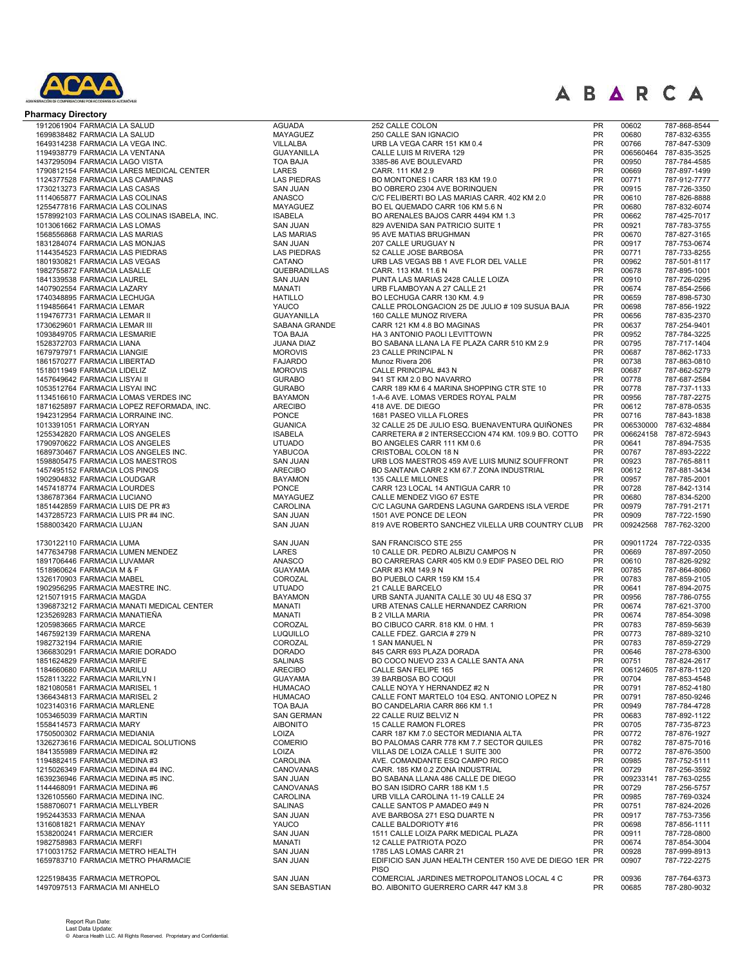

| <b>Pharmacy Directory</b>                                                        |                                     |                                                                            |                        |                |                              |
|----------------------------------------------------------------------------------|-------------------------------------|----------------------------------------------------------------------------|------------------------|----------------|------------------------------|
| 1912061904 FARMACIA LA SALUD                                                     | <b>AGUADA</b>                       | 252 CALLE COLON                                                            | <b>PR</b>              | 00602          | 787-868-8544                 |
| 1699838482 FARMACIA LA SALUD                                                     | MAYAGUEZ                            | 250 CALLE SAN IGNACIO                                                      | <b>PR</b>              | 00680          | 787-832-6355                 |
| 1649314238 FARMACIA LA VEGA INC.                                                 | VILLALBA                            | URB LA VEGA CARR 151 KM 0.4                                                | PR                     | 00766          | 787-847-5309                 |
| 1194938779 FARMACIA LA VENTANA                                                   | <b>GUAYANILLA</b>                   | CALLE LUIS M RIVERA 129                                                    | PR                     | 006560464      | 787-835-3525                 |
| 1437295094 FARMACIA LAGO VISTA                                                   | <b>TOA BAJA</b>                     | 3385-86 AVE BOULEVARD                                                      | PR                     | 00950          | 787-784-4585                 |
| 1790812154 FARMACIA LARES MEDICAL CENTER                                         | LARES                               | CARR, 111 KM 2.9                                                           | PR                     | 00669          | 787-897-1499                 |
| 1124377528 FARMACIA LAS CAMPINAS                                                 | <b>LAS PIEDRAS</b>                  | BO MONTONES I CARR 183 KM 19.0                                             | <b>PR</b>              | 00771          | 787-912-7777                 |
| 1730213273 FARMACIA LAS CASAS                                                    | <b>SAN JUAN</b>                     | BO OBRERO 2304 AVE BORINQUEN                                               | PR<br><b>PR</b>        | 00915          | 787-726-3350                 |
| 1114065877 FARMACIA LAS COLINAS                                                  | <b>ANASCO</b><br><b>MAYAGUEZ</b>    | C/C FELIBERTI BO LAS MARIAS CARR. 402 KM 2.0                               | PR                     | 00610<br>00680 | 787-826-8888                 |
| 1255477816 FARMACIA LAS COLINAS<br>1578992103 FARMACIA LAS COLINAS ISABELA, INC. | <b>ISABELA</b>                      | BO EL QUEMADO CARR 106 KM 5.6 N<br>BO ARENALES BAJOS CARR 4494 KM 1.3      | <b>PR</b>              | 00662          | 787-832-6074<br>787-425-7017 |
| 1013061662 FARMACIA LAS LOMAS                                                    | <b>SAN JUAN</b>                     | 829 AVENIDA SAN PATRICIO SUITE 1                                           | PR                     | 00921          | 787-783-3755                 |
| 1568556868 FARMACIA LAS MARIAS                                                   | <b>LAS MARIAS</b>                   | 95 AVE MATIAS BRUGHMAN                                                     | <b>PR</b>              | 00670          | 787-827-3165                 |
| 1831284074 FARMACIA LAS MONJAS                                                   | <b>SAN JUAN</b>                     | 207 CALLE URUGUAY N                                                        | <b>PR</b>              | 00917          | 787-753-0674                 |
| 1144354523 FARMACIA LAS PIEDRAS                                                  | <b>LAS PIEDRAS</b>                  | 52 CALLE JOSE BARBOSA                                                      | <b>PR</b>              | 00771          | 787-733-8255                 |
| 1801930821 FARMACIA LAS VEGAS                                                    | CATANO                              | URB LAS VEGAS BB 1 AVE FLOR DEL VALLE                                      | <b>PR</b>              | 00962          | 787-501-8117                 |
| 1982755872 FARMACIA LASALLE                                                      | QUEBRADILLAS                        | CARR. 113 KM. 11.6 N                                                       | <b>PR</b>              | 00678          | 787-895-1001                 |
| 1841339538 FARMACIA LAUREL                                                       | <b>SAN JUAN</b>                     | PUNTA LAS MARIAS 2428 CALLE LOIZA                                          | <b>PR</b>              | 00910          | 787-726-0295                 |
| 1407902554 FARMACIA LAZARY                                                       | <b>MANATI</b>                       | URB FLAMBOYAN A 27 CALLE 21                                                | PR                     | 00674          | 787-854-2566                 |
| 1740348895 FARMACIA LECHUGA                                                      | <b>HATILLO</b>                      | BO LECHUGA CARR 130 KM. 4.9                                                | PR                     | 00659          | 787-898-5730                 |
| 1194856641 FARMACIA LEMAR                                                        | YAUCO                               | CALLE PROLONGACION 25 DE JULIO # 109 SUSUA BAJA                            | PR                     | 00698          | 787-856-1922                 |
| 1194767731 FARMACIA LEMAR II                                                     | <b>GUAYANILLA</b>                   | 160 CALLE MUNOZ RIVERA                                                     | PR                     | 00656          | 787-835-2370                 |
| 1730629601 FARMACIA LEMAR III                                                    | SABANA GRANDE                       | CARR 121 KM 4.8 BO MAGINAS                                                 | PR                     | 00637          | 787-254-9401                 |
| 1093849705 FARMACIA LESMARIE                                                     | <b>TOA BAJA</b>                     | HA 3 ANTONIO PAOLI LEVITTOWN                                               | PR                     | 00952          | 787-784-3225                 |
| 1528372703 FARMACIA LIANA                                                        | <b>JUANA DIAZ</b><br><b>MOROVIS</b> | BO SABANA LLANA LA FE PLAZA CARR 510 KM 2.9<br>23 CALLE PRINCIPAL N        | PR<br><b>PR</b>        | 00795          | 787-717-1404                 |
| 1679797971 FARMACIA LIANGIE<br>1861570277 FARMACIA LIBERTAD                      | <b>FAJARDO</b>                      | Munoz Rivera 206                                                           | PR                     | 00687<br>00738 | 787-862-1733<br>787-863-0810 |
| 1518011949 FARMACIA LIDELIZ                                                      | <b>MOROVIS</b>                      | CALLE PRINCIPAL #43 N                                                      | <b>PR</b>              | 00687          | 787-862-5279                 |
| 1457649642 FARMACIA LISYAI II                                                    | <b>GURABO</b>                       | 941 ST KM 2.0 BO NAVARRO                                                   | PR                     | 00778          | 787-687-2584                 |
| 1053512764 FARMACIA LISYAI INC                                                   | <b>GURABO</b>                       | CARR 189 KM 6 4 MARINA SHOPPING CTR STE 10                                 | <b>PR</b>              | 00778          | 787-737-1133                 |
| 1134516610 FARMACIA LOMAS VERDES INC                                             | <b>BAYAMON</b>                      | 1-A-6 AVE. LOMAS VERDES ROYAL PALM                                         | PR                     | 00956          | 787-787-2275                 |
| 1871625897 FARMACIA LOPEZ REFORMADA, INC.                                        | <b>ARECIBO</b>                      | 418 AVE. DE DIEGO                                                          | <b>PR</b>              | 00612          | 787-878-0535                 |
| 1942312954 FARMACIA LORRAINE INC.                                                | <b>PONCE</b>                        | 1681 PASEO VILLA FLORES                                                    | <b>PR</b>              | 00716          | 787-843-1838                 |
| 1013391051 FARMACIA LORYAN                                                       | <b>GUANICA</b>                      | 32 CALLE 25 DE JULIO ESQ. BUENAVENTURA QUIÑONES                            | <b>PR</b>              | 006530000      | 787-632-4884                 |
| 1255342820 FARMACIA LOS ANGELES                                                  | <b>ISABELA</b>                      | CARRETERA # 2 INTERSECCION 474 KM. 109.9 BO. COTTO                         | PR                     |                | 006624158 787-872-5943       |
| 1790970622 FARMACIA LOS ANGELES                                                  | <b>UTUADO</b>                       | BO ANGELES CARR 111 KM 0.6                                                 | <b>PR</b>              | 00641          | 787-894-7535                 |
| 1689730467 FARMACIA LOS ANGELES INC.                                             | YABUCOA                             | CRISTOBAL COLON 18 N                                                       | <b>PR</b>              | 00767          | 787-893-2222                 |
| 1598805475 FARMACIA LOS MAESTROS                                                 | <b>SAN JUAN</b>                     | URB LOS MAESTROS 459 AVE LUIS MUNIZ SOUFFRONT                              | <b>PR</b>              | 00923          | 787-765-8811                 |
| 1457495152 FARMACIA LOS PINOS                                                    | <b>ARECIBO</b>                      | BO SANTANA CARR 2 KM 67.7 ZONA INDUSTRIAL                                  | <b>PR</b>              | 00612          | 787-881-3434                 |
| 1902904832 FARMACIA LOUDGAR                                                      | <b>BAYAMON</b>                      | 135 CALLE MILLONES                                                         | <b>PR</b>              | 00957          | 787-785-2001                 |
| 1457418774 FARMACIA LOURDES                                                      | <b>PONCE</b>                        | CARR 123 LOCAL 14 ANTIGUA CARR 10                                          | <b>PR</b>              | 00728          | 787-842-1314                 |
| 1386787364 FARMACIA LUCIANO                                                      | <b>MAYAGUEZ</b>                     | CALLE MENDEZ VIGO 67 ESTE                                                  | <b>PR</b>              | 00680          | 787-834-5200                 |
| 1851442859 FARMACIA LUIS DE PR #3                                                | CAROLINA<br><b>SAN JUAN</b>         | C/C LAGUNA GARDENS LAGUNA GARDENS ISLA VERDE                               | <b>PR</b><br>PR        | 00979<br>00909 | 787-791-2171                 |
| 1437285723 FARMACIA LUIS PR #4 INC.<br>1588003420 FARMACIA LUJAN                 | <b>SAN JUAN</b>                     | 1501 AVE PONCE DE LEON<br>819 AVE ROBERTO SANCHEZ VILELLA URB COUNTRY CLUB | <b>PR</b>              | 009242568      | 787-722-1590<br>787-762-3200 |
| 1730122110 FARMACIA LUMA                                                         | <b>SAN JUAN</b>                     | SAN FRANCISCO STE 255                                                      | <b>PR</b>              | 009011724      | 787-722-0335                 |
| 1477634798 FARMACIA LUMEN MENDEZ                                                 | LARES                               | 10 CALLE DR. PEDRO ALBIZU CAMPOS N                                         | PR                     | 00669          | 787-897-2050                 |
| 1891706446 FARMACIA LUVAMAR                                                      | <b>ANASCO</b>                       | BO CARRERAS CARR 405 KM 0.9 EDIF PASEO DEL RIO                             | PR                     | 00610          | 787-826-9292                 |
| 1518960624 FARMACIA M & F                                                        | <b>GUAYAMA</b>                      | CARR #3 KM 149.9 N                                                         | <b>PR</b>              | 00785          | 787-864-8060                 |
| 1326170903 FARMACIA MABEL                                                        | COROZAL                             | BO PUEBLO CARR 159 KM 15.4                                                 | PR                     | 00783          | 787-859-2105                 |
| 1902956295 FARMACIA MAESTRE INC.                                                 | <b>UTUADO</b>                       | 21 CALLE BARCELO                                                           | PR                     | 00641          | 787-894-2075                 |
| 1215071915 FARMACIA MAGDA                                                        | <b>BAYAMON</b>                      | URB SANTA JUANITA CALLE 30 UU 48 ESQ 37                                    | PR                     | 00956          | 787-786-0755                 |
| 1396873212 FARMACIA MANATI MEDICAL CENTER                                        | <b>MANATI</b>                       | URB ATENAS CALLE HERNANDEZ CARRION                                         | PR                     | 00674          | 787-621-3700                 |
| 1235269283 FARMACIA MANATIEÑA                                                    | <b>MANATI</b>                       | <b>B 2 VILLA MARIA</b>                                                     | PR                     | 00674          | 787-854-3098                 |
| 1205983665 FARMACIA MARCE                                                        | COROZAL                             | BO CIBUCO CARR. 818 KM. 0 HM. 1                                            | PR                     | 00783          | 787-859-5639                 |
| 1467592139 FARMACIA MARENA                                                       | LUQUILLO                            | CALLE FDEZ. GARCIA # 279 N                                                 | <b>PR</b>              | 00773          | 787-889-3210                 |
| 1982732194 FARMACIA MARIE                                                        | COROZAL                             | 1 SAN MANUEL N                                                             | PR                     | 00783          | 787-859-2729                 |
| 1366830291 FARMACIA MARIE DORADO                                                 | <b>DORADO</b>                       | 845 CARR 693 PLAZA DORADA                                                  | <b>PR</b>              | 00646          | 787-278-6300                 |
| 1851624829 FARMACIA MARIFE                                                       | <b>SALINAS</b>                      | BO COCO NUEVO 233 A CALLE SANTA ANA                                        | <b>PR</b>              | 00751          | 787-824-2617                 |
| 1184660680 FARMACIA MARILU                                                       | <b>ARECIBO</b>                      | CALLE SAN FELIPE 165                                                       | <b>PR</b>              | 006124605      | 787-878-1120                 |
| 1528113222 FARMACIA MARILYN I<br>1821080581 FARMACIA MARISEL 1                   | <b>GUAYAMA</b><br><b>HUMACAO</b>    | 39 BARBOSA BO COQUI<br>CALLE NOYA Y HERNANDEZ #2 N                         | <b>PR</b><br><b>PR</b> | 00704<br>00791 | 787-853-4548<br>787-852-4180 |
| 1366434813 FARMACIA MARISEL 2                                                    | <b>HUMACAO</b>                      | CALLE FONT MARTELO 104 ESQ. ANTONIO LOPEZ N                                | <b>PR</b>              | 00791          | 787-850-9246                 |
| 1023140316 FARMACIA MARLENE                                                      | <b>TOA BAJA</b>                     | BO CANDELARIA CARR 866 KM 1.1                                              | <b>PR</b>              | 00949          | 787-784-4728                 |
| 1053465039 FARMACIA MARTIN                                                       | <b>SAN GERMAN</b>                   | 22 CALLE RUIZ BELVIZ N                                                     | <b>PR</b>              | 00683          | 787-892-1122                 |
| 1558414573 FARMACIA MARY                                                         | <b>AIBONITO</b>                     | 15 CALLE RAMON FLORES                                                      | <b>PR</b>              | 00705          | 787-735-8723                 |
| 1750500302 FARMACIA MEDIANIA                                                     | LOIZA                               | CARR 187 KM 7.0 SECTOR MEDIANIA ALTA                                       | <b>PR</b>              | 00772          | 787-876-1927                 |
| 1326273616 FARMACIA MEDICAL SOLUTIONS                                            | <b>COMERIO</b>                      | BO PALOMAS CARR 778 KM 7.7 SECTOR QUILES                                   | <b>PR</b>              | 00782          | 787-875-7016                 |
| 1841355989 FARMACIA MEDINA #2                                                    | LOIZA                               | VILLAS DE LOIZA CALLE 1 SUITE 300                                          | <b>PR</b>              | 00772          | 787-876-3500                 |
| 1194882415 FARMACIA MEDINA #3                                                    | CAROLINA                            | AVE. COMANDANTE ESQ CAMPO RICO                                             | <b>PR</b>              | 00985          | 787-752-5111                 |
| 1215026349 FARMACIA MEDINA #4 INC.                                               | CANOVANAS                           | CARR. 185 KM 0.2 ZONA INDUSTRIAL                                           | <b>PR</b>              | 00729          | 787-256-3592                 |
| 1639236946 FARMACIA MEDINA #5 INC.                                               | <b>SAN JUAN</b>                     | BO SABANA LLANA 486 CALLE DE DIEGO                                         | <b>PR</b>              | 009233141      | 787-763-0255                 |
| 1144468091 FARMACIA MEDINA #6                                                    | CANOVANAS                           | BO SAN ISIDRO CARR 188 KM 1.5                                              | <b>PR</b>              | 00729          | 787-256-5757                 |
| 1326105560 FARMACIA MEDINA INC.                                                  | CAROLINA                            | URB VILLA CAROLINA 11-19 CALLE 24                                          | <b>PR</b>              | 00985          | 787-769-0324                 |
| 1588706071 FARMACIA MELLYBER                                                     | <b>SALINAS</b>                      | CALLE SANTOS P AMADEO #49 N                                                | <b>PR</b>              | 00751          | 787-824-2026                 |
| 1952443533 FARMACIA MENAA                                                        | <b>SAN JUAN</b>                     | AVE BARBOSA 271 ESQ DUARTE N                                               | <b>PR</b>              | 00917          | 787-753-7356                 |
| 1316081821 FARMACIA MENAY<br>1538200241 FARMACIA MERCIER                         | YAUCO<br><b>SAN JUAN</b>            | CALLE BALDORIOTY #16<br>1511 CALLE LOIZA PARK MEDICAL PLAZA                | <b>PR</b><br><b>PR</b> | 00698<br>00911 | 787-856-1111<br>787-728-0800 |
| 1982758983 FARMACIA MERFI                                                        | <b>MANATI</b>                       | 12 CALLE PATRIOTA POZO                                                     | <b>PR</b>              | 00674          | 787-854-3004                 |
| 1710031752 FARMACIA METRO HEALTH                                                 | <b>SAN JUAN</b>                     | 1785 LAS LOMAS CARR 21                                                     | <b>PR</b>              | 00928          | 787-999-8913                 |
| 1659783710 FARMACIA METRO PHARMACIE                                              | SAN JUAN                            | EDIFICIO SAN JUAN HEALTH CENTER 150 AVE DE DIEGO 1ER PR                    |                        | 00907          | 787-722-2275                 |
|                                                                                  |                                     | <b>PISO</b>                                                                |                        |                |                              |
| 1225198435 FARMACIA METROPOL                                                     | <b>SAN JUAN</b>                     | COMERCIAL JARDINES METROPOLITANOS LOCAL 4 C                                | <b>PR</b>              | 00936          | 787-764-6373                 |
| 1497097513 FARMACIA MI ANHELO                                                    | SAN SEBASTIAN                       | BO. AIBONITO GUERRERO CARR 447 KM 3.8                                      | PR                     | 00685          | 787-280-9032                 |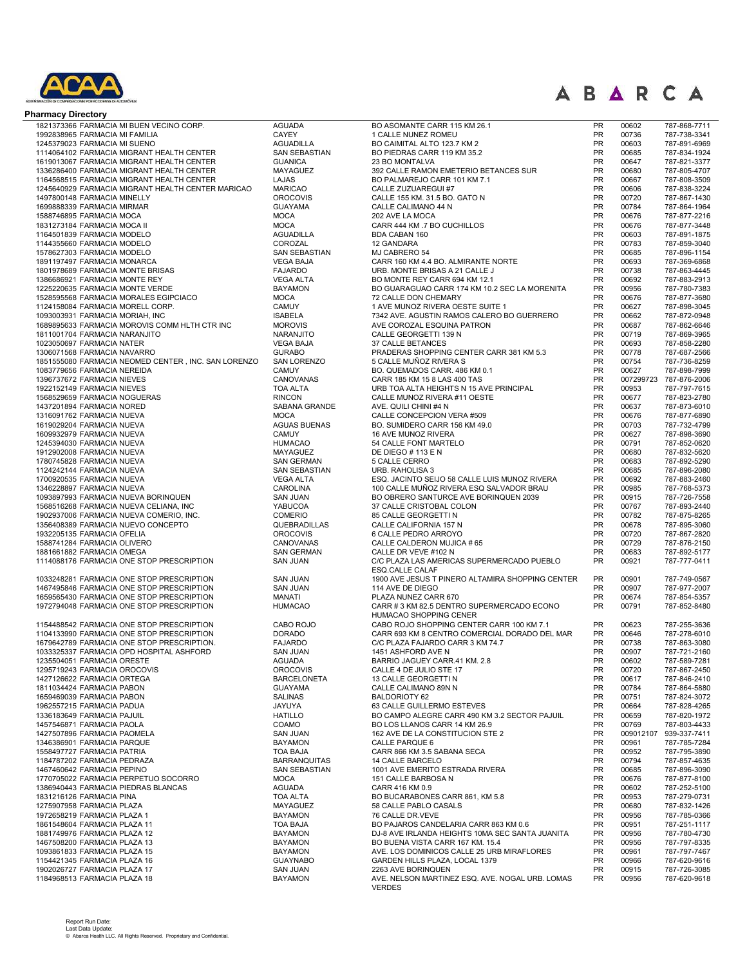

| <b>Pharmacy Directory</b>                                                              |                                             |                                                                             |                        |                |                              |
|----------------------------------------------------------------------------------------|---------------------------------------------|-----------------------------------------------------------------------------|------------------------|----------------|------------------------------|
| 1821373366 FARMACIA MI BUEN VECINO CORP.                                               | <b>AGUADA</b>                               | BO ASOMANTE CARR 115 KM 26.1                                                | <b>PR</b>              | 00602          | 787-868-7711                 |
| 1992838965 FARMACIA MI FAMILIA                                                         | CAYEY                                       | 1 CALLE NUNEZ ROMEU                                                         | PR                     | 00736          | 787-738-3341                 |
| 1245379023 FARMACIA MI SUENO                                                           | <b>AGUADILLA</b><br>SAN SEBASTIAN           | BO CAIMITAL ALTO 123.7 KM 2                                                 | PR<br>PR               | 00603<br>00685 | 787-891-6969                 |
| 1114064102 FARMACIA MIGRANT HEALTH CENTER<br>1619013067 FARMACIA MIGRANT HEALTH CENTER | <b>GUANICA</b>                              | BO PIEDRAS CARR 119 KM 35.2<br>23 BO MONTALVA                               | PR                     | 00647          | 787-834-1924<br>787-821-3377 |
| 1336286400 FARMACIA MIGRANT HEALTH CENTER                                              | <b>MAYAGUEZ</b>                             | 392 CALLE RAMON EMETERIO BETANCES SUR                                       | <b>PR</b>              | 00680          | 787-805-4707                 |
| 1164568515 FARMACIA MIGRANT HEALTH CENTER                                              | LAJAS                                       | BO PALMAREJO CARR 101 KM 7.1                                                | PR                     | 00667          | 787-808-3509                 |
| 1245640929 FARMACIA MIGRANT HEALTH CENTER MARICAO                                      | <b>MARICAO</b>                              | CALLE ZUZUAREGUI #7                                                         | <b>PR</b>              | 00606          | 787-838-3224                 |
| 1497800148 FARMACIA MINELLY<br>1699888339 FARMACIA MIRMAR                              | <b>OROCOVIS</b><br><b>GUAYAMA</b>           | CALLE 155 KM. 31.5 BO. GATO N<br>CALLE CALIMANO 44 N                        | <b>PR</b><br><b>PR</b> | 00720<br>00784 | 787-867-1430<br>787-864-1964 |
| 1588746895 FARMACIA MOCA                                                               | <b>MOCA</b>                                 | 202 AVE LA MOCA                                                             | PR                     | 00676          | 787-877-2216                 |
| 1831273184 FARMACIA MOCA II                                                            | <b>MOCA</b>                                 | CARR 444 KM .7 BO CUCHILLOS                                                 | <b>PR</b>              | 00676          | 787-877-3448                 |
| 1164501839 FARMACIA MODELO                                                             | <b>AGUADILLA</b>                            | <b>BDA CABAN 160</b>                                                        | <b>PR</b>              | 00603          | 787-891-1875                 |
| 1144355660 FARMACIA MODELO                                                             | COROZAL<br><b>SAN SEBASTIAN</b>             | 12 GANDARA                                                                  | <b>PR</b><br><b>PR</b> | 00783<br>00685 | 787-859-3040                 |
| 1578627303 FARMACIA MODELO<br>1891197497 FARMACIA MONARCA                              | <b>VEGA BAJA</b>                            | MJ CABRERO 54<br>CARR 160 KM 4.4 BO. ALMIRANTE NORTE                        | <b>PR</b>              | 00693          | 787-896-1154<br>787-369-6868 |
| 1801978689 FARMACIA MONTE BRISAS                                                       | <b>FAJARDO</b>                              | URB. MONTE BRISAS A 21 CALLE J                                              | <b>PR</b>              | 00738          | 787-863-4445                 |
| 1386686921 FARMACIA MONTE REY                                                          | <b>VEGA ALTA</b>                            | BO MONTE REY CARR 694 KM 12.1                                               | <b>PR</b>              | 00692          | 787-883-2913                 |
| 1225220635 FARMACIA MONTE VERDE                                                        | <b>BAYAMON</b>                              | BO GUARAGUAO CARR 174 KM 10.2 SEC LA MORENITA                               | PR                     | 00956          | 787-780-7383                 |
| 1528595568 FARMACIA MORALES EGIPCIACO<br>1124158084 FARMACIA MORELL CORP.              | <b>MOCA</b><br><b>CAMUY</b>                 | 72 CALLE DON CHEMARY<br>1 AVE MUNOZ RIVERA OESTE SUITE 1                    | PR<br>PR               | 00676<br>00627 | 787-877-3680<br>787-898-3045 |
| 1093003931 FARMACIA MORIAH, INC                                                        | <b>ISABELA</b>                              | 7342 AVE. AGUSTIN RAMOS CALERO BO GUERRERO                                  | PR                     | 00662          | 787-872-0948                 |
| 1689895633 FARMACIA MOROVIS COMM HLTH CTR INC                                          | <b>MOROVIS</b>                              | AVE COROZAL ESQUINA PATRON                                                  | PR                     | 00687          | 787-862-6646                 |
| 1811001704 FARMACIA NARANJITO                                                          | NARANJITO                                   | CALLE GEORGETTI 139 N                                                       | PR                     | 00719          | 787-869-3965                 |
| 1023050697 FARMACIA NATER                                                              | <b>VEGA BAJA</b>                            | 37 CALLE BETANCES                                                           | PR                     | 00693          | 787-858-2280                 |
| 1306071568 FARMACIA NAVARRO<br>1851555080 FARMACIA NEOMED CENTER, INC. SAN LORENZO     | <b>GURABO</b><br><b>SAN LORENZO</b>         | PRADERAS SHOPPING CENTER CARR 381 KM 5.3<br>5 CALLE MUÑOZ RIVERA S          | PR<br><b>PR</b>        | 00778<br>00754 | 787-687-2566<br>787-736-8259 |
| 1083779656 FARMACIA NEREIDA                                                            | <b>CAMUY</b>                                | BO. QUEMADOS CARR. 486 KM 0.1                                               | PR                     | 00627          | 787-898-7999                 |
| 1396737672 FARMACIA NIEVES                                                             | CANOVANAS                                   | CARR 185 KM 15 8 LAS 400 TAS                                                | <b>PR</b>              | 007299723      | 787-876-2006                 |
| 1922152149 FARMACIA NIEVES                                                             | <b>TOA ALTA</b>                             | URB TOA ALTA HEIGHTS N 15 AVE PRINCIPAL                                     | PR                     | 00953          | 787-797-7615                 |
| 1568529659 FARMACIA NOGUERAS                                                           | <b>RINCON</b>                               | CALLE MUNOZ RIVERA #11 OESTE                                                | <b>PR</b>              | 00677          | 787-823-2780                 |
| 1437201894 FARMACIA NORED<br>1316091762 FARMACIA NUEVA                                 | SABANA GRANDE<br><b>MOCA</b>                | AVE. QUILI CHINI #4 N<br>CALLE CONCEPCION VERA #509                         | PR<br><b>PR</b>        | 00637<br>00676 | 787-873-6010<br>787-877-6890 |
| 1619029204 FARMACIA NUEVA                                                              | <b>AGUAS BUENAS</b>                         | BO. SUMIDERO CARR 156 KM 49.0                                               | PR                     | 00703          | 787-732-4799                 |
| 1609932979 FARMACIA NUEVA                                                              | <b>CAMUY</b>                                | 16 AVE MUNOZ RIVERA                                                         | PR                     | 00627          | 787-898-3690                 |
| 1245394030 FARMACIA NUEVA                                                              | <b>HUMACAO</b>                              | 54 CALLE FONT MARTELO                                                       | <b>PR</b>              | 00791          | 787-852-0620                 |
| 1912902008 FARMACIA NUEVA<br>1780745828 FARMACIA NUEVA                                 | MAYAGUEZ<br><b>SAN GERMAN</b>               | DE DIEGO # 113 E N<br>5 CALLE CERRO                                         | <b>PR</b><br><b>PR</b> | 00680<br>00683 | 787-832-5620<br>787-892-5290 |
| 1124242144 FARMACIA NUEVA                                                              | <b>SAN SEBASTIAN</b>                        | URB. RAHOLISA 3                                                             | <b>PR</b>              | 00685          | 787-896-2080                 |
| 1700920535 FARMACIA NUEVA                                                              | <b>VEGA ALTA</b>                            | ESQ. JACINTO SEIJO 58 CALLE LUIS MUNOZ RIVERA                               | <b>PR</b>              | 00692          | 787-883-2460                 |
| 1346228897 FARMACIA NUEVA                                                              | <b>CAROLINA</b>                             | 100 CALLE MUÑOZ RIVERA ESQ SALVADOR BRAU                                    | <b>PR</b>              | 00985          | 787-768-5373                 |
| 1093897993 FARMACIA NUEVA BORINQUEN                                                    | <b>SAN JUAN</b>                             | BO OBRERO SANTURCE AVE BORINQUEN 2039                                       | <b>PR</b>              | 00915          | 787-726-7558                 |
| 1568516268 FARMACIA NUEVA CELIANA, INC<br>1902937006 FARMACIA NUEVA COMERIO, INC.      | YABUCOA<br><b>COMERIO</b>                   | 37 CALLE CRISTOBAL COLON<br>85 CALLE GEORGETTI N                            | <b>PR</b><br>PR        | 00767<br>00782 | 787-893-2440<br>787-875-8265 |
| 1356408389 FARMACIA NUEVO CONCEPTO                                                     | QUEBRADILLAS                                | CALLE CALIFORNIA 157 N                                                      | PR                     | 00678          | 787-895-3060                 |
| 1932205135 FARMACIA OFELIA                                                             | <b>OROCOVIS</b>                             | 6 CALLE PEDRO ARROYO                                                        | PR                     | 00720          | 787-867-2820                 |
| 1588741284 FARMACIA OLIVERO                                                            | CANOVANAS                                   | CALLE CALDERON MUJICA #65                                                   | <b>PR</b>              | 00729          | 787-876-2150                 |
| 1881661882 FARMACIA OMEGA                                                              | <b>SAN GERMAN</b>                           | CALLE DR VEVE #102 N                                                        | PR<br><b>PR</b>        | 00683          | 787-892-5177                 |
| 1114088176 FARMACIA ONE STOP PRESCRIPTION                                              | <b>SAN JUAN</b>                             | C/C PLAZA LAS AMERICAS SUPERMERCADO PUEBLO<br>ESQ.CALLE CALAF               |                        | 00921          | 787-777-0411                 |
| 1033248281 FARMACIA ONE STOP PRESCRIPTION                                              | <b>SAN JUAN</b>                             | 1900 AVE JESUS T PINERO ALTAMIRA SHOPPING CENTER                            | <b>PR</b>              | 00901          | 787-749-0567                 |
| 1467495846 FARMACIA ONE STOP PRESCRIPTION                                              | <b>SAN JUAN</b>                             | 114 AVE DE DIEGO                                                            | PR                     | 00907          | 787-977-2007                 |
| 1659565430 FARMACIA ONE STOP PRESCRIPTION                                              | <b>MANATI</b>                               | PLAZA NUNEZ CARR 670                                                        | <b>PR</b>              | 00674          | 787-854-5357                 |
| 1972794048 FARMACIA ONE STOP PRESCRIPTION                                              | <b>HUMACAO</b>                              | CARR # 3 KM 82.5 DENTRO SUPERMERCADO ECONO<br>HUMACAO SHOPPING CENER        | <b>PR</b>              | 00791          | 787-852-8480                 |
| 1154488542 FARMACIA ONE STOP PRESCRIPTION                                              | CABO ROJO                                   | CABO ROJO SHOPPING CENTER CARR 100 KM 7.1                                   | PR                     | 00623          | 787-255-3636                 |
| 1104133990 FARMACIA ONE STOP PRESCRIPTION                                              | <b>DORADO</b>                               | CARR 693 KM 8 CENTRO COMERCIAL DORADO DEL MAR                               | <b>PR</b>              | 00646          | 787-278-6010                 |
| 1679642789 FARMACIA ONE STOP PRESCRIPTION.                                             | <b>FAJARDO</b>                              | C/C PLAZA FAJARDO CARR 3 KM 74.7                                            | <b>PR</b>              | 00738          | 787-863-3080                 |
| 1033325337 FARMACIA OPD HOSPITAL ASHFORD                                               | <b>SAN JUAN</b>                             | 1451 ASHFORD AVE N                                                          | PR<br><b>PR</b>        | 00907          | 787-721-2160                 |
| 1235504051 FARMACIA ORESTE<br>1295719243 FARMACIA OROCOVIS                             | <b>AGUADA</b><br><b>OROCOVIS</b>            | BARRIO JAGUEY CARR.41 KM. 2.8<br>CALLE 4 DE JULIO STE 17                    | <b>PR</b>              | 00602<br>00720 | 787-589-7281<br>787-867-2450 |
| 1427126622 FARMACIA ORTEGA                                                             | <b>BARCELONETA</b>                          | 13 CALLE GEORGETTI N                                                        | <b>PR</b>              | 00617          | 787-846-2410                 |
| 1811034424 FARMACIA PABON                                                              | <b>GUAYAMA</b>                              | CALLE CALIMANO 89N N                                                        | <b>PR</b>              | 00784          | 787-864-5880                 |
| 1659469039 FARMACIA PABON                                                              | <b>SALINAS</b>                              | <b>BALDORIOTY 62</b>                                                        | <b>PR</b>              | 00751          | 787-824-3072                 |
| 1962557215 FARMACIA PADUA<br>1336183649 FARMACIA PAJUIL                                | JAYUYA<br><b>HATILLO</b>                    | 63 CALLE GUILLERMO ESTEVES<br>BO CAMPO ALEGRE CARR 490 KM 3.2 SECTOR PAJUIL | <b>PR</b><br><b>PR</b> | 00664<br>00659 | 787-828-4265<br>787-820-1972 |
| 1457546871 FARMACIA PAOLA                                                              | COAMO                                       | BO LOS LLANOS CARR 14 KM 26.9                                               | <b>PR</b>              | 00769          | 787-803-4433                 |
| 1427507896 FARMACIA PAOMELA                                                            | <b>SAN JUAN</b>                             | 162 AVE DE LA CONSTITUCION STE 2                                            | <b>PR</b>              | 009012107      | 939-337-7411                 |
| 1346386901 FARMACIA PARQUE                                                             | <b>BAYAMON</b>                              | CALLE PARQUE 6                                                              | <b>PR</b>              | 00961          | 787-785-7284                 |
| 1558497727 FARMACIA PATRIA                                                             | <b>TOA BAJA</b>                             | CARR 866 KM 3.5 SABANA SECA<br>14 CALLE BARCELO                             | <b>PR</b><br><b>PR</b> | 00952          | 787-795-3890                 |
| 1184787202 FARMACIA PEDRAZA<br>1467460642 FARMACIA PEPINO                              | <b>BARRANQUITAS</b><br><b>SAN SEBASTIAN</b> | 1001 AVE EMERITO ESTRADA RIVERA                                             | <b>PR</b>              | 00794<br>00685 | 787-857-4635<br>787-896-3090 |
| 1770705022 FARMACIA PERPETUO SOCORRO                                                   | <b>MOCA</b>                                 | 151 CALLE BARBOSA N                                                         | <b>PR</b>              | 00676          | 787-877-8100                 |
| 1386940443 FARMACIA PIEDRAS BLANCAS                                                    | <b>AGUADA</b>                               | CARR 416 KM 0.9                                                             | <b>PR</b>              | 00602          | 787-252-5100                 |
| 1831216126 FARMACIA PINA                                                               | <b>TOA ALTA</b>                             | BO BUCARABONES CARR 861, KM 5.8                                             | <b>PR</b>              | 00953          | 787-279-0731                 |
| 1275907958 FARMACIA PLAZA<br>1972658219 FARMACIA PLAZA 1                               | MAYAGUEZ<br><b>BAYAMON</b>                  | 58 CALLE PABLO CASALS<br>76 CALLE DR.VEVE                                   | <b>PR</b><br><b>PR</b> | 00680<br>00956 | 787-832-1426<br>787-785-0366 |
| 1861548604 FARMACIA PLAZA 11                                                           | TOA BAJA                                    | BO PAJAROS CANDELARIA CARR 863 KM 0.6                                       | <b>PR</b>              | 00951          | 787-251-1117                 |
| 1881749976 FARMACIA PLAZA 12                                                           | <b>BAYAMON</b>                              | DJ-8 AVE IRLANDA HEIGHTS 10MA SEC SANTA JUANITA                             | <b>PR</b>              | 00956          | 787-780-4730                 |
| 1467508200 FARMACIA PLAZA 13                                                           | <b>BAYAMON</b>                              | BO BUENA VISTA CARR 167 KM. 15.4                                            | <b>PR</b>              | 00956          | 787-797-8335                 |
| 1093861833 FARMACIA PLAZA 15                                                           | <b>BAYAMON</b>                              | AVE. LOS DOMINICOS CALLE 25 URB MIRAFLORES                                  | <b>PR</b>              | 00961          | 787-797-7467                 |
| 1154421345 FARMACIA PLAZA 16<br>1902026727 FARMACIA PLAZA 17                           | <b>GUAYNABO</b><br><b>SAN JUAN</b>          | GARDEN HILLS PLAZA, LOCAL 1379<br>2263 AVE BORINQUEN                        | PR<br><b>PR</b>        | 00966<br>00915 | 787-620-9616<br>787-726-3085 |
| 1184968513 FARMACIA PLAZA 18                                                           | <b>BAYAMON</b>                              | AVE. NELSON MARTINEZ ESQ. AVE. NOGAL URB. LOMAS<br><b>VERDES</b>            | <b>PR</b>              | 00956          | 787-620-9618                 |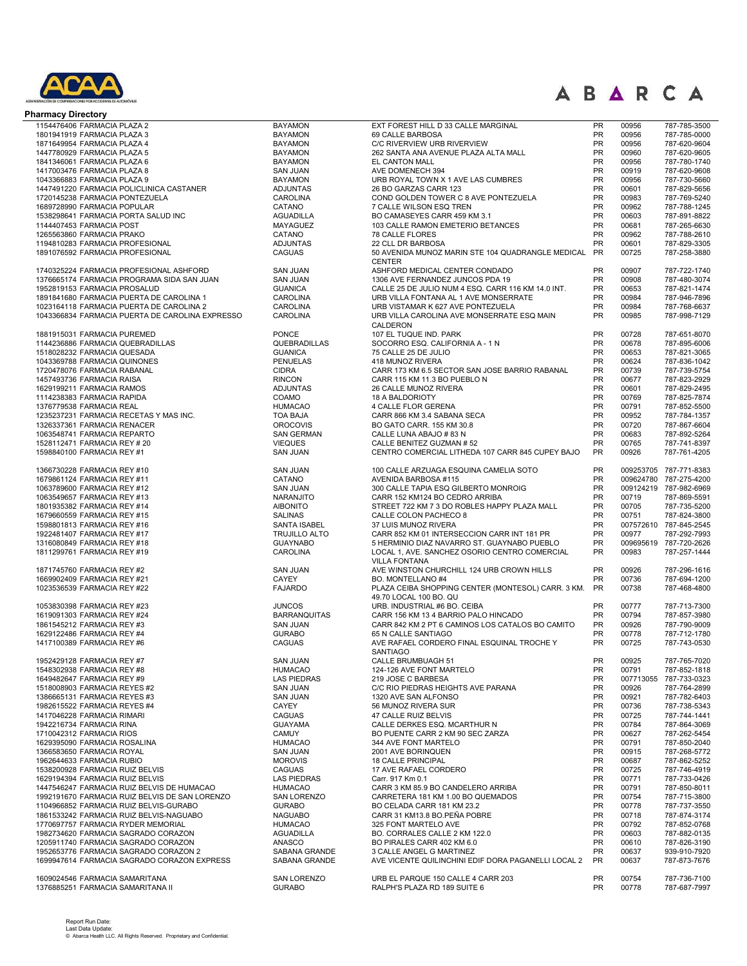

| <b>Pharmacy Directory</b>                       |                      |                                                      |           |           |                        |
|-------------------------------------------------|----------------------|------------------------------------------------------|-----------|-----------|------------------------|
| 1154476406 FARMACIA PLAZA 2                     | <b>BAYAMON</b>       | EXT FOREST HILL D 33 CALLE MARGINAL                  | <b>PR</b> | 00956     | 787-785-3500           |
| 1801941919 FARMACIA PLAZA 3                     | <b>BAYAMON</b>       | 69 CALLE BARBOSA                                     | PR        | 00956     | 787-785-0000           |
| 1871649954 FARMACIA PLAZA 4                     | <b>BAYAMON</b>       | C/C RIVERVIEW URB RIVERVIEW                          | <b>PR</b> | 00956     | 787-620-9604           |
| 1447780929 FARMACIA PLAZA 5                     | <b>BAYAMON</b>       | 262 SANTA ANA AVENUE PLAZA ALTA MALL                 | <b>PR</b> | 00960     | 787-620-9605           |
| 1841346061 FARMACIA PLAZA 6                     | <b>BAYAMON</b>       | EL CANTON MALL                                       | <b>PR</b> | 00956     | 787-780-1740           |
| 1417003476 FARMACIA PLAZA 8                     | <b>SAN JUAN</b>      | AVE DOMENECH 394                                     | <b>PR</b> | 00919     | 787-620-9608           |
| 1043366883 FARMACIA PLAZA 9                     | <b>BAYAMON</b>       | URB ROYAL TOWN X 1 AVE LAS CUMBRES                   | PR        | 00956     | 787-730-5660           |
| 1447491220 FARMACIA POLICLINICA CASTANER        | <b>ADJUNTAS</b>      | 26 BO GARZAS CARR 123                                | PR        | 00601     | 787-829-5656           |
| 1720145238 FARMACIA PONTEZUELA                  | <b>CAROLINA</b>      | COND GOLDEN TOWER C 8 AVE PONTEZUELA                 | PR        | 00983     | 787-769-5240           |
| 1689728990 FARMACIA POPULAR                     | CATANO               | 7 CALLE WILSON ESQ TREN                              | <b>PR</b> | 00962     | 787-788-1245           |
| 1538298641 FARMACIA PORTA SALUD INC             | <b>AGUADILLA</b>     | BO CAMASEYES CARR 459 KM 3.1                         | <b>PR</b> | 00603     | 787-891-8822           |
| 1144407453 FARMACIA POST                        | MAYAGUEZ             | 103 CALLE RAMON EMETERIO BETANCES                    | <b>PR</b> | 00681     | 787-265-6630           |
| 1265563860 FARMACIA PRAKO                       | CATANO               | 78 CALLE FLORES                                      | <b>PR</b> | 00962     | 787-788-2610           |
| 1194810283 FARMACIA PROFESIONAL                 | <b>ADJUNTAS</b>      | 22 CLL DR BARBOSA                                    | PR        | 00601     | 787-829-3305           |
|                                                 |                      |                                                      |           |           |                        |
| 1891076592 FARMACIA PROFESIONAL                 | <b>CAGUAS</b>        | 50 AVENIDA MUNOZ MARIN STE 104 QUADRANGLE MEDICAL PR |           | 00725     | 787-258-3880           |
|                                                 |                      | <b>CENTER</b>                                        |           |           |                        |
| 1740325224 FARMACIA PROFESIONAL ASHFORD         | <b>SAN JUAN</b>      | ASHFORD MEDICAL CENTER CONDADO                       | <b>PR</b> | 00907     | 787-722-1740           |
| 1376665174 FARMACIA PROGRAMA SIDA SAN JUAN      | <b>SAN JUAN</b>      | 1306 AVE FERNANDEZ JUNCOS PDA 19                     | PR        | 00908     | 787-480-3074           |
| 1952819153 FARMACIA PROSALUD                    | <b>GUANICA</b>       | CALLE 25 DE JULIO NUM 4 ESQ. CARR 116 KM 14.0 INT.   | PR        | 00653     | 787-821-1474           |
| 1891841680 FARMACIA PUERTA DE CAROLINA 1        | CAROLINA             | URB VILLA FONTANA AL 1 AVE MONSERRATE                | PR        | 00984     | 787-946-7896           |
| 1023164118 FARMACIA PUERTA DE CAROLINA 2        | CAROLINA             | URB VISTAMAR K 627 AVE PONTEZUELA                    | <b>PR</b> | 00984     | 787-768-6637           |
| 1043366834 FARMACIA PUERTA DE CAROLINA EXPRESSO | <b>CAROLINA</b>      | URB VILLA CAROLINA AVE MONSERRATE ESQ MAIN           | <b>PR</b> | 00985     | 787-998-7129           |
|                                                 |                      | CALDERON                                             |           |           |                        |
| 1881915031 FARMACIA PUREMED                     | <b>PONCE</b>         | 107 EL TUQUE IND. PARK                               | PR        | 00728     | 787-651-8070           |
| 1144236886 FARMACIA QUEBRADILLAS                | QUEBRADILLAS         | SOCORRO ESQ. CALIFORNIA A - 1 N                      | PR        | 00678     | 787-895-6006           |
| 1518028232 FARMACIA QUESADA                     | <b>GUANICA</b>       | 75 CALLE 25 DE JULIO                                 | <b>PR</b> | 00653     | 787-821-3065           |
| 1043369788 FARMACIA QUINONES                    | <b>PENUELAS</b>      | 418 MUNOZ RIVERA                                     | <b>PR</b> | 00624     | 787-836-1042           |
| 1720478076 FARMACIA RABANAL                     | <b>CIDRA</b>         | CARR 173 KM 6.5 SECTOR SAN JOSE BARRIO RABANAL       | <b>PR</b> | 00739     | 787-739-5754           |
| 1457493736 FARMACIA RAISA                       | <b>RINCON</b>        | CARR 115 KM 11.3 BO PUEBLO N                         | <b>PR</b> | 00677     | 787-823-2929           |
| 1629199211 FARMACIA RAMOS                       | <b>ADJUNTAS</b>      | 26 CALLE MUNOZ RIVERA                                | <b>PR</b> | 00601     | 787-829-2495           |
| 1114238383 FARMACIA RAPIDA                      | COAMO                | 18 A BALDORIOTY                                      | <b>PR</b> | 00769     | 787-825-7874           |
| 1376779538 FARMACIA REAL                        | <b>HUMACAO</b>       | 4 CALLE FLOR GERENA                                  | PR        | 00791     | 787-852-5500           |
| 1235237231 FARMACIA RECETAS Y MAS INC.          | TOA BAJA             | CARR 866 KM 3.4 SABANA SECA                          | PR        | 00952     | 787-784-1357           |
| 1326337361 FARMACIA RENACER                     | <b>OROCOVIS</b>      | BO GATO CARR. 155 KM 30.8                            | PR        | 00720     | 787-867-6604           |
| 1063548741 FARMACIA REPARTO                     | <b>SAN GERMAN</b>    | CALLE LUNA ABAJO # 83 N                              | PR        | 00683     | 787-892-5264           |
| 1528112471 FARMACIA REY # 20                    | <b>VIEQUES</b>       | CALLE BENITEZ GUZMAN #52                             | PR        | 00765     | 787-741-8397           |
| 1598840100 FARMACIA REY #1                      | <b>SAN JUAN</b>      | CENTRO COMERCIAL LITHEDA 107 CARR 845 CUPEY BAJO     | <b>PR</b> | 00926     | 787-761-4205           |
|                                                 |                      |                                                      |           |           |                        |
| 1366730228 FARMACIA REY #10                     | <b>SAN JUAN</b>      | 100 CALLE ARZUAGA ESQUINA CAMELIA SOTO               | <b>PR</b> |           | 009253705 787-771-8383 |
| 1679861124 FARMACIA REY #11                     | CATANO               | AVENIDA BARBOSA #115                                 | <b>PR</b> |           | 009624780 787-275-4200 |
| 1063789600 FARMACIA REY #12                     | <b>SAN JUAN</b>      | 300 CALLE TAPIA ESQ GILBERTO MONROIG                 | PR        |           | 009124219 787-982-6969 |
| 1063549657 FARMACIA REY #13                     | <b>NARANJITO</b>     | CARR 152 KM124 BO CEDRO ARRIBA                       | <b>PR</b> | 00719     | 787-869-5591           |
| 1801935382 FARMACIA REY #14                     | <b>AIBONITO</b>      | STREET 722 KM 7 3 DO ROBLES HAPPY PLAZA MALL         | PR        | 00705     | 787-735-5200           |
|                                                 | <b>SALINAS</b>       | CALLE COLON PACHECO 8                                | PR        | 00751     | 787-824-3800           |
| 1679660559 FARMACIA REY #15                     |                      |                                                      | PR        |           | 007572610 787-845-2545 |
| 1598801813 FARMACIA REY #16                     | SANTA ISABEL         | 37 LUIS MUNOZ RIVERA                                 | <b>PR</b> |           |                        |
| 1922481407 FARMACIA REY #17                     | <b>TRUJILLO ALTO</b> | CARR 852 KM 01 INTERSECCION CARR INT 181 PR          |           | 00977     | 787-292-7993           |
| 1316080849 FARMACIA REY #18                     | <b>GUAYNABO</b>      | 5 HERMINIO DIAZ NAVARRO ST. GUAYNABO PUEBLO          | <b>PR</b> | 009695619 | 787-720-2626           |
| 1811299761 FARMACIA REY #19                     | CAROLINA             | LOCAL 1, AVE. SANCHEZ OSORIO CENTRO COMERCIAL        | <b>PR</b> | 00983     | 787-257-1444           |
|                                                 |                      | <b>VILLA FONTANA</b>                                 |           |           |                        |
| 1871745760 FARMACIA REY #2                      | <b>SAN JUAN</b>      | AVE WINSTON CHURCHILL 124 URB CROWN HILLS            | PR        | 00926     | 787-296-1616           |
| 1669902409 FARMACIA REY #21                     | <b>CAYEY</b>         | BO. MONTELLANO #4                                    | <b>PR</b> | 00736     | 787-694-1200           |
| 1023536539 FARMACIA REY #22                     | <b>FAJARDO</b>       | PLAZA CEIBA SHOPPING CENTER (MONTESOL) CARR. 3 KM.   | <b>PR</b> | 00738     | 787-468-4800           |
|                                                 |                      | 49.70 LOCAL 100 BO. QU                               |           |           |                        |
| 1053830398 FARMACIA REY #23                     | <b>JUNCOS</b>        | URB. INDUSTRIAL #6 BO. CEIBA                         | <b>PR</b> | 00777     | 787-713-7300           |
| 1619091303 FARMACIA REY #24                     | <b>BARRANQUITAS</b>  | CARR 156 KM 13 4 BARRIO PALO HINCADO                 | <b>PR</b> | 00794     | 787-857-3980           |
| 1861545212 FARMACIA REY #3                      | <b>SAN JUAN</b>      | CARR 842 KM 2 PT 6 CAMINOS LOS CATALOS BO CAMITO     | <b>PR</b> | 00926     | 787-790-9009           |
| 1629122486 FARMACIA REY #4                      | <b>GURABO</b>        | 65 N CALLE SANTIAGO                                  | PR        | 00778     | 787-712-1780           |
| 1417100389 FARMACIA REY #6                      | <b>CAGUAS</b>        | AVE RAFAEL CORDERO FINAL ESQUINAL TROCHE Y           | PR        | 00725     | 787-743-0530           |
|                                                 |                      | <b>SANTIAGO</b>                                      |           |           |                        |
| 1952429128 FARMACIA REY #7                      | <b>SAN JUAN</b>      | <b>CALLE BRUMBUAGH 51</b>                            | PR        | 00925     | 787-765-7020           |
| 1548302938 FARMACIA REY #8                      | <b>HUMACAO</b>       | 124-126 AVE FONT MARTELO                             | PR        | 00791     | 787-852-1818           |
| 1649482647 FARMACIA REY #9                      | <b>LAS PIEDRAS</b>   | 219 JOSE C BARBESA                                   | <b>PR</b> | 007713055 | 787-733-0323           |
| 1518008903 FARMACIA REYES #2                    | <b>SAN JUAN</b>      | C/C RIO PIEDRAS HEIGHTS AVE PARANA                   | <b>PR</b> | 00926     | 787-764-2899           |
| 1386665131 FARMACIA REYES #3                    | <b>SAN JUAN</b>      | 1320 AVE SAN ALFONSO                                 | <b>PR</b> | 00921     | 787-782-6403           |
| 1982615522 FARMACIA REYES #4                    | CAYEY                | 56 MUNOZ RIVERA SUR                                  | <b>PR</b> | 00736     | 787-738-5343           |
| 1417046228 FARMACIA RIMARI                      | CAGUAS               | 47 CALLE RUIZ BELVIS                                 | <b>PR</b> | 00725     | 787-744-1441           |
| 1942216734 FARMACIA RINA                        | <b>GUAYAMA</b>       | CALLE DERKES ESQ. MCARTHUR N                         | <b>PR</b> | 00784     | 787-864-3069           |
| 1710042312 FARMACIA RIOS                        | <b>CAMUY</b>         | BO PUENTE CARR 2 KM 90 SEC ZARZA                     | <b>PR</b> | 00627     | 787-262-5454           |
| 1629395090 FARMACIA ROSALINA                    | <b>HUMACAO</b>       | 344 AVE FONT MARTELO                                 | <b>PR</b> | 00791     | 787-850-2040           |
| 1366583650 FARMACIA ROYAL                       | <b>SAN JUAN</b>      | 2001 AVE BORINQUEN                                   | <b>PR</b> | 00915     | 787-268-5772           |
| 1962644633 FARMACIA RUBIO                       | <b>MOROVIS</b>       | <b>18 CALLE PRINCIPAL</b>                            | <b>PR</b> | 00687     | 787-862-5252           |
| 1538200928 FARMACIA RUIZ BELVIS                 | <b>CAGUAS</b>        | 17 AVE RAFAEL CORDERO                                | <b>PR</b> | 00725     | 787-746-4919           |
| 1629194394 FARMACIA RUIZ BELVIS                 | <b>LAS PIEDRAS</b>   | Carr. 917 Km 0.1                                     | <b>PR</b> | 00771     | 787-733-0426           |
| 1447546247 FARMACIA RUIZ BELVIS DE HUMACAO      | <b>HUMACAO</b>       | CARR 3 KM 85.9 BO CANDELERO ARRIBA                   | <b>PR</b> | 00791     | 787-850-8011           |
| 1992191670 FARMACIA RUIZ BELVIS DE SAN LORENZO  | <b>SAN LORENZO</b>   | CARRETERA 181 KM 1.00 BO QUEMADOS                    | <b>PR</b> | 00754     | 787-715-3800           |
| 1104966852 FARMACIA RUIZ BELVIS-GURABO          | <b>GURABO</b>        | BO CELADA CARR 181 KM 23.2                           | <b>PR</b> | 00778     | 787-737-3550           |
| 1861533242 FARMACIA RUIZ BELVIS-NAGUABO         | <b>NAGUABO</b>       | CARR 31 KM13.8 BO.PEÑA POBRE                         | <b>PR</b> | 00718     | 787-874-3174           |
| 1770697757 FARMACIA RYDER MEMORIAL              | <b>HUMACAO</b>       | 325 FONT MARTELO AVE                                 | <b>PR</b> | 00792     | 787-852-0768           |
| 1982734620 FARMACIA SAGRADO CORAZON             | <b>AGUADILLA</b>     | BO. CORRALES CALLE 2 KM 122.0                        | <b>PR</b> | 00603     | 787-882-0135           |
| 1205911740 FARMACIA SAGRADO CORAZON             | ANASCO               | BO PIRALES CARR 402 KM 6.0                           | <b>PR</b> | 00610     | 787-826-3190           |
| 1952653776 FARMACIA SAGRADO CORAZON 2           | SABANA GRANDE        | 3 CALLE ANGEL G MARTINEZ                             | <b>PR</b> | 00637     | 939-910-7920           |
| 1699947614 FARMACIA SAGRADO CORAZON EXPRESS     | SABANA GRANDE        | AVE VICENTE QUILINCHINI EDIF DORA PAGANELLI LOCAL 2  | <b>PR</b> | 00637     | 787-873-7676           |
|                                                 |                      |                                                      |           |           |                        |
| 1609024546 FARMACIA SAMARITANA                  | <b>SAN LORENZO</b>   | URB EL PARQUE 150 CALLE 4 CARR 203                   | <b>PR</b> | 00754     | 787-736-7100           |
|                                                 | <b>GURABO</b>        | RALPH'S PLAZA RD 189 SUITE 6                         | <b>PR</b> | 00778     |                        |
| 1376885251 FARMACIA SAMARITANA II               |                      |                                                      |           |           | 787-687-7997           |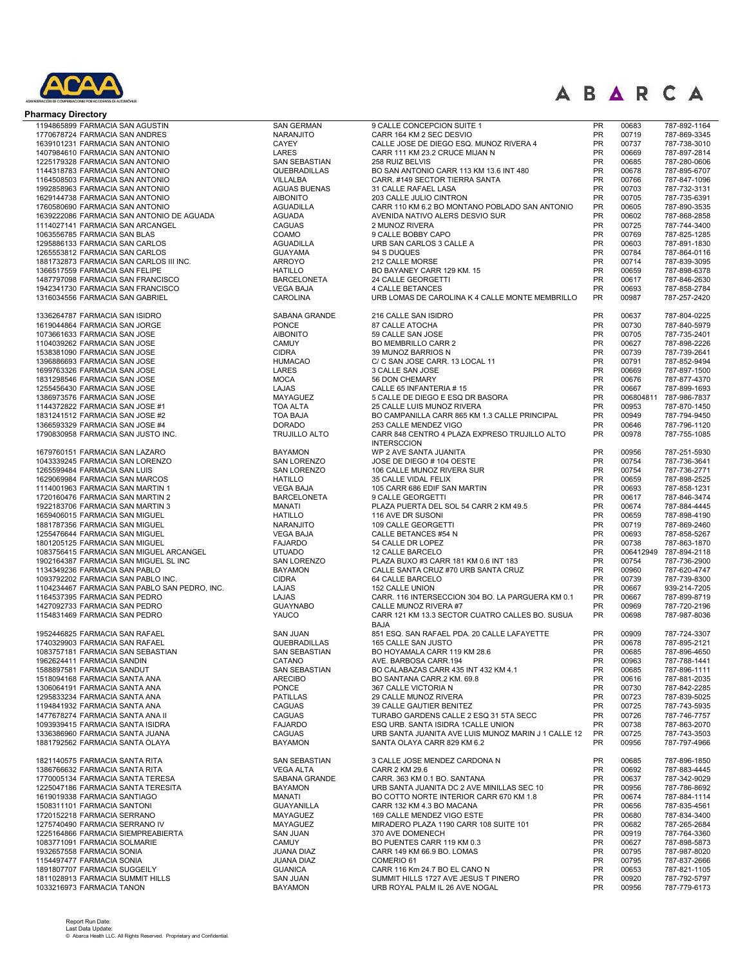

| <b>Pharmacy Directory</b>                     |                      |                                                     |                 |           |                              |
|-----------------------------------------------|----------------------|-----------------------------------------------------|-----------------|-----------|------------------------------|
| 1194865899 FARMACIA SAN AGUSTIN               | <b>SAN GERMAN</b>    | 9 CALLE CONCEPCION SUITE 1                          | PR              | 00683     | 787-892-1164                 |
| 1770678724 FARMACIA SAN ANDRES                | NARANJITO            | CARR 164 KM 2 SEC DESVIO                            | <b>PR</b>       | 00719     | 787-869-3345                 |
| 1639101231 FARMACIA SAN ANTONIO               | <b>CAYEY</b>         | CALLE JOSE DE DIEGO ESQ. MUNOZ RIVERA 4             | PR              | 00737     | 787-738-3010                 |
| 1407984610 FARMACIA SAN ANTONIO               | LARES                | CARR 111 KM 23.2 CRUCE MIJAN N                      | PR              | 00669     | 787-897-2814                 |
| 1225179328 FARMACIA SAN ANTONIO               | SAN SEBASTIAN        | 258 RUIZ BELVIS                                     | <b>PR</b>       | 00685     | 787-280-0606                 |
| 1144318783 FARMACIA SAN ANTONIO               | QUEBRADILLAS         | BO SAN ANTONIO CARR 113 KM 13.6 INT 480             | <b>PR</b>       | 00678     | 787-895-6707                 |
| 1164508503 FARMACIA SAN ANTONIO               | VILLALBA             | CARR. #149 SECTOR TIERRA SANTA                      | <b>PR</b>       | 00766     | 787-847-1096                 |
| 1992858963 FARMACIA SAN ANTONIO               | <b>AGUAS BUENAS</b>  | 31 CALLE RAFAEL LASA                                | <b>PR</b>       | 00703     | 787-732-3131                 |
| 1629144738 FARMACIA SAN ANTONIO               | <b>AIBONITO</b>      | 203 CALLE JULIO CINTRON                             | PR              | 00705     | 787-735-6391                 |
| 1760580690 FARMACIA SAN ANTONIO               | <b>AGUADILLA</b>     | CARR 110 KM 6.2 BO MONTANO POBLADO SAN ANTONIO      | <b>PR</b>       | 00605     | 787-890-3535                 |
| 1639222086 FARMACIA SAN ANTONIO DE AGUADA     | <b>AGUADA</b>        | AVENIDA NATIVO ALERS DESVIO SUR                     | <b>PR</b>       | 00602     | 787-868-2858                 |
| 1114027141 FARMACIA SAN ARCANGEL              | <b>CAGUAS</b>        | 2 MUNOZ RIVERA                                      | <b>PR</b>       | 00725     | 787-744-3400                 |
| 1063556785 FARMACIA SAN BLAS                  | COAMO                | 9 CALLE BOBBY CAPO                                  | <b>PR</b>       | 00769     | 787-825-1285                 |
| 1295886133 FARMACIA SAN CARLOS                | <b>AGUADILLA</b>     | URB SAN CARLOS 3 CALLE A                            | <b>PR</b>       | 00603     | 787-891-1830                 |
| 1265553812 FARMACIA SAN CARLOS                | <b>GUAYAMA</b>       | 94 S DUQUES                                         | <b>PR</b>       | 00784     | 787-864-0116                 |
| 1881732873 FARMACIA SAN CARLOS III INC.       | <b>ARROYO</b>        | 212 CALLE MORSE                                     | <b>PR</b>       | 00714     | 787-839-3095                 |
| 1366517559 FARMACIA SAN FELIPE                | <b>HATILLO</b>       | BO BAYANEY CARR 129 KM, 15                          | <b>PR</b>       | 00659     | 787-898-6378                 |
| 1487797098 FARMACIA SAN FRANCISCO             | <b>BARCELONETA</b>   | 24 CALLE GEORGETTI                                  | <b>PR</b>       | 00617     | 787-846-2630                 |
| 1942341730 FARMACIA SAN FRANCISCO             | <b>VEGA BAJA</b>     | <b>4 CALLE BETANCES</b>                             | <b>PR</b>       | 00693     | 787-858-2784                 |
| 1316034556 FARMACIA SAN GABRIEL               | <b>CAROLINA</b>      | URB LOMAS DE CAROLINA K 4 CALLE MONTE MEMBRILLO     | <b>PR</b>       | 00987     | 787-257-2420                 |
| 1336264787 FARMACIA SAN ISIDRO                | SABANA GRANDE        | 216 CALLE SAN ISIDRO                                | PR              | 00637     | 787-804-0225                 |
| 1619044864 FARMACIA SAN JORGE                 | PONCE                | 87 CALLE ATOCHA                                     | PR              | 00730     | 787-840-5979                 |
| 1073661633 FARMACIA SAN JOSE                  | <b>AIBONITO</b>      | 59 CALLE SAN JOSE                                   | PR              | 00705     | 787-735-2401                 |
| 1104039262 FARMACIA SAN JOSE                  | <b>CAMUY</b>         | BO MEMBRILLO CARR 2                                 | <b>PR</b>       | 00627     | 787-898-2226                 |
| 1538381090 FARMACIA SAN JOSE                  | <b>CIDRA</b>         | 39 MUNOZ BARRIOS N                                  | <b>PR</b>       | 00739     | 787-739-2641                 |
| 1396886693 FARMACIA SAN JOSE                  | <b>HUMACAO</b>       | C/ C SAN JOSE CARR. 13 LOCAL 11                     | PR              | 00791     | 787-852-9494                 |
| 1699763326 FARMACIA SAN JOSE                  | LARES                | 3 CALLE SAN JOSE                                    | <b>PR</b>       | 00669     | 787-897-1500                 |
| 1831298546 FARMACIA SAN JOSE                  | <b>MOCA</b>          | 56 DON CHEMARY                                      | PR              | 00676     | 787-877-4370                 |
| 1255456430 FARMACIA SAN JOSE                  | <b>LAJAS</b>         | CALLE 65 INFANTERIA #15                             | <b>PR</b>       | 00667     | 787-899-1693                 |
| 1386973576 FARMACIA SAN JOSE                  | MAYAGUEZ             | 5 CALLE DE DIEGO E ESQ DR BASORA                    | <b>PR</b>       | 006804811 | 787-986-7837                 |
| 1144372822 FARMACIA SAN JOSE #1               | <b>TOA ALTA</b>      | 25 CALLE LUIS MUNOZ RIVERA                          | <b>PR</b>       | 00953     | 787-870-1450                 |
| 1831241512 FARMACIA SAN JOSE #2               | <b>TOA BAJA</b>      | BO CAMPANILLA CARR 865 KM 1.3 CALLE PRINCIPAL       | PR              | 00949     | 787-794-9450                 |
| 1366593329 FARMACIA SAN JOSE #4               | <b>DORADO</b>        | 253 CALLE MENDEZ VIGO                               | <b>PR</b>       | 00646     | 787-796-1120                 |
| 1790830958 FARMACIA SAN JUSTO INC.            | <b>TRUJILLO ALTO</b> | CARR 848 CENTRO 4 PLAZA EXPRESO TRUJILLO ALTO       | <b>PR</b>       | 00978     | 787-755-1085                 |
|                                               |                      | <b>INTERSCCION</b>                                  |                 |           |                              |
| 1679760151 FARMACIA SAN LAZARO                | <b>BAYAMON</b>       | WP 2 AVE SANTA JUANITA                              | <b>PR</b>       | 00956     | 787-251-5930                 |
| 1043339245 FARMACIA SAN LORENZO               | SAN LORENZO          | JOSE DE DIEGO # 104 OESTE                           | <b>PR</b>       | 00754     | 787-736-3641                 |
| 1265599484 FARMACIA SAN LUIS                  | <b>SAN LORENZO</b>   | 106 CALLE MUNOZ RIVERA SUR                          | <b>PR</b>       | 00754     | 787-736-2771                 |
| 1629069984 FARMACIA SAN MARCOS                | <b>HATILLO</b>       | 35 CALLE VIDAL FELIX                                | <b>PR</b>       | 00659     | 787-898-2525                 |
| 1114001963 FARMACIA SAN MARTIN 1              | <b>VEGA BAJA</b>     | 105 CARR 686 EDIF SAN MARTIN                        | <b>PR</b>       | 00693     | 787-858-1231                 |
| 1720160476 FARMACIA SAN MARTIN 2              | <b>BARCELONETA</b>   | 9 CALLE GEORGETTI                                   | <b>PR</b>       | 00617     | 787-846-3474                 |
| 1922183706 FARMACIA SAN MARTIN 3              | <b>MANATI</b>        | PLAZA PUERTA DEL SOL 54 CARR 2 KM 49.5              | <b>PR</b>       | 00674     | 787-884-4445                 |
| 1659406015 FARMACIA SAN MIGUEL                | <b>HATILLO</b>       | 116 AVE DR SUSONI                                   | PR              | 00659     | 787-898-4190                 |
| 1881787356 FARMACIA SAN MIGUEL                | NARANJITO            | 109 CALLE GEORGETTI                                 | PR              | 00719     | 787-869-2460                 |
| 1255476644 FARMACIA SAN MIGUEL                | <b>VEGA BAJA</b>     | CALLE BETANCES #54 N                                | PR              | 00693     | 787-858-5267                 |
| 1801205125 FARMACIA SAN MIGUEL                | <b>FAJARDO</b>       | 54 CALLE DR LOPEZ                                   | <b>PR</b>       | 00738     | 787-863-1870                 |
| 1083756415 FARMACIA SAN MIGUEL ARCANGEL       | <b>UTUADO</b>        | 12 CALLE BARCELO                                    | <b>PR</b>       | 006412949 | 787-894-2118                 |
| 1902164387 FARMACIA SAN MIGUEL SL INC         | <b>SAN LORENZO</b>   | PLAZA BUXO #3 CARR 181 KM 0.6 INT 183               | PR              | 00754     | 787-736-2900                 |
| 1134349236 FARMACIA SAN PABLO                 | <b>BAYAMON</b>       | CALLE SANTA CRUZ #70 URB SANTA CRUZ                 | <b>PR</b>       | 00960     | 787-620-4747                 |
| 1093792202 FARMACIA SAN PABLO INC.            | <b>CIDRA</b>         | 64 CALLE BARCELO                                    | <b>PR</b>       | 00739     | 787-739-8300                 |
| 1104234467 FARMACIA SAN PABLO SAN PEDRO, INC. | LAJAS                | 152 CALLE UNION                                     | PR              | 00667     | 939-214-7205                 |
| 1164537395 FARMACIA SAN PEDRO                 | <b>LAJAS</b>         | CARR. 116 INTERSECCION 304 BO. LA PARGUERA KM 0.1   | PR              | 00667     | 787-899-8719                 |
| 1427092733 FARMACIA SAN PEDRO                 | <b>GUAYNABO</b>      | CALLE MUNOZ RIVERA #7                               | <b>PR</b>       | 00969     | 787-720-2196                 |
| 1154831469 FARMACIA SAN PEDRO                 | YAUCO                | CARR 121 KM 13.3 SECTOR CUATRO CALLES BO. SUSUA     | <b>PR</b>       | 00698     | 787-987-8036                 |
|                                               |                      | <b>BAJA</b>                                         |                 |           |                              |
| 1952446825 FARMACIA SAN RAFAEL                | <b>SAN JUAN</b>      | 851 ESQ. SAN RAFAEL PDA. 20 CALLE LAFAYETTE         | <b>PR</b>       | 00909     | 787-724-3307                 |
| 1740329903 FARMACIA SAN RAFAEL                | QUEBRADILLAS         | 165 CALLE SAN JUSTO                                 | <b>PR</b>       | 00678     | 787-895-2121                 |
| 1083757181 FARMACIA SAN SEBASTIAN             | SAN SEBASTIAN        | BO HOYAMALA CARR 119 KM 28.6                        | <b>PR</b>       | 00685     | 787-896-4650                 |
| 1962624411 FARMACIA SANDIN                    | CATANO               | AVE. BARBOSA CARR.194                               | PR              | 00963     | 787-788-1441                 |
| 1588897581 FARMACIA SANDUT                    | <b>SAN SEBASTIAN</b> | BO CALABAZAS CARR 435 INT 432 KM 4.1                | <b>PR</b>       | 00685     | 787-896-1111                 |
| 1518094168 FARMACIA SANTA ANA                 | <b>ARECIBO</b>       | BO SANTANA CARR.2 KM. 69.8                          | <b>PR</b>       | 00616     | 787-881-2035                 |
| 1306064191 FARMACIA SANTA ANA                 | <b>PONCE</b>         | 367 CALLE VICTORIA N                                | <b>PR</b>       | 00730     | 787-842-2285                 |
| 1295833234 FARMACIA SANTA ANA                 | <b>PATILLAS</b>      | 29 CALLE MUNOZ RIVERA                               | <b>PR</b>       | 00723     | 787-839-5025                 |
| 1194841932 FARMACIA SANTA ANA                 | CAGUAS               | 39 CALLE GAUTIER BENITEZ                            | <b>PR</b>       | 00725     | 787-743-5935                 |
| 1477678274 FARMACIA SANTA ANA II              | <b>CAGUAS</b>        | TURABO GARDENS CALLE 2 ESQ 31 5TA SECC              | <b>PR</b>       | 00726     | 787-746-7757                 |
| 1093939415 FARMACIA SANTA ISIDRA              | <b>FAJARDO</b>       | ESQ URB. SANTA ISIDRA 1CALLE UNION                  | <b>PR</b>       | 00738     | 787-863-2070                 |
| 1336386960 FARMACIA SANTA JUANA               | CAGUAS               | URB SANTA JUANITA AVE LUIS MUNOZ MARIN J 1 CALLE 12 | <b>PR</b><br>PR | 00725     | 787-743-3503<br>787-797-4966 |
| 1881792562 FARMACIA SANTA OLAYA               | <b>BAYAMON</b>       | SANTA OLAYA CARR 829 KM 6.2                         |                 | 00956     |                              |
| 1821140575 FARMACIA SANTA RITA                | SAN SEBASTIAN        | 3 CALLE JOSE MENDEZ CARDONA N                       | PR              | 00685     | 787-896-1850                 |
| 1386766632 FARMACIA SANTA RITA                | <b>VEGA ALTA</b>     | CARR 2 KM 29.6                                      | <b>PR</b>       | 00692     | 787-883-4445                 |
| 1770005134 FARMACIA SANTA TERESA              | SABANA GRANDE        | CARR. 363 KM 0.1 BO. SANTANA                        | <b>PR</b>       | 00637     | 787-342-9029                 |
| 1225047186 FARMACIA SANTA TERESITA            | <b>BAYAMON</b>       | URB SANTA JUANITA DC 2 AVE MINILLAS SEC 10          | PR              | 00956     | 787-786-8692                 |
| 1619019338 FARMACIA SANTIAGO                  | <b>MANATI</b>        | BO COTTO NORTE INTERIOR CARR 670 KM 1.8             | PR              | 00674     | 787-884-1114                 |
| 1508311101 FARMACIA SANTONI                   | <b>GUAYANILLA</b>    | CARR 132 KM 4.3 BO MACANA                           | <b>PR</b>       | 00656     | 787-835-4561                 |
| 1720152218 FARMACIA SERRANO                   | MAYAGUEZ             | 169 CALLE MENDEZ VIGO ESTE                          | <b>PR</b>       | 00680     | 787-834-3400                 |
| 1275740490 FARMACIA SERRANO IV                | MAYAGUEZ             | MIRADERO PLAZA 1190 CARR 108 SUITE 101              | <b>PR</b>       | 00682     | 787-265-2684                 |
| 1225164866 FARMACIA SIEMPREABIERTA            | <b>SAN JUAN</b>      | 370 AVE DOMENECH                                    | <b>PR</b>       | 00919     | 787-764-3360                 |
| 1083771091 FARMACIA SOLMARIE                  | <b>CAMUY</b>         | BO PUENTES CARR 119 KM 0.3                          | <b>PR</b>       | 00627     | 787-898-5873                 |
| 1932657558 FARMACIA SONIA                     | <b>JUANA DIAZ</b>    | CARR 149 KM 66.9 BO. LOMAS                          | <b>PR</b>       | 00795     | 787-987-8020                 |
| 1154497477 FARMACIA SONIA                     | <b>JUANA DIAZ</b>    | COMERIO 61                                          | <b>PR</b>       | 00795     | 787-837-2666                 |
| 1891807707 FARMACIA SUGGEILY                  | <b>GUANICA</b>       | CARR 116 Km 24.7 BO EL CANO N                       | PR              | 00653     | 787-821-1105                 |
| 1811028913 FARMACIA SUMMIT HILLS              | <b>SAN JUAN</b>      | SUMMIT HILLS 1727 AVE JESUS T PINERO                | <b>PR</b>       | 00920     | 787-792-5797                 |
| 1033216973 FARMACIA TANON                     | <b>BAYAMON</b>       | URB ROYAL PALM IL 26 AVE NOGAL                      | <b>PR</b>       | 00956     | 787-779-6173                 |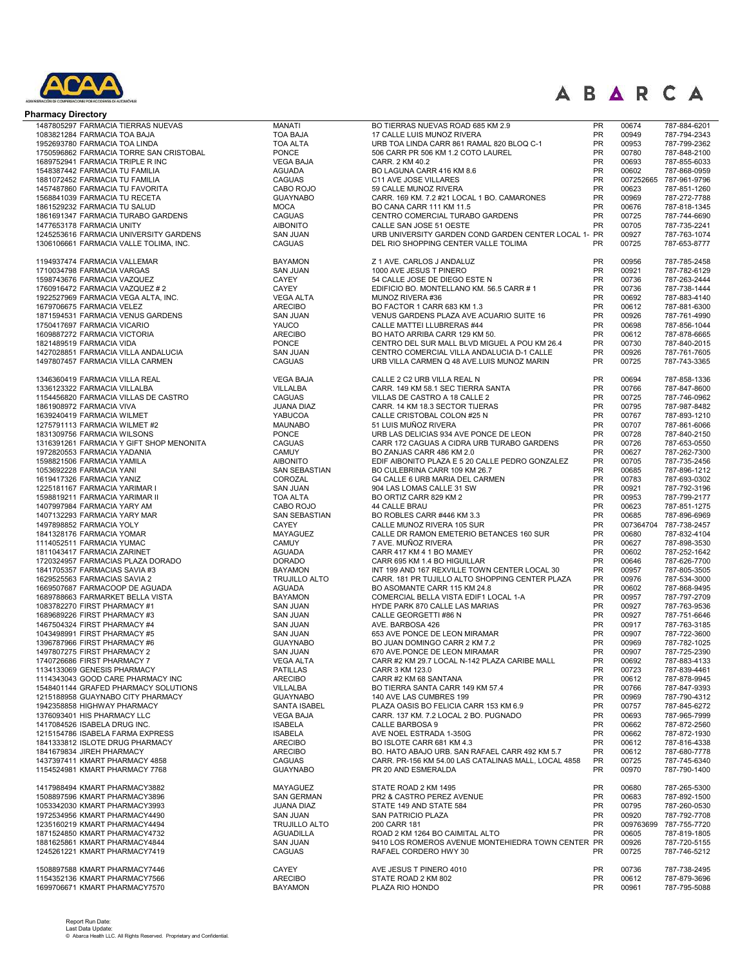

| <b>Pharmacy Directory</b>                                                        |                                          |                                                                                              |                        |                    |                              |
|----------------------------------------------------------------------------------|------------------------------------------|----------------------------------------------------------------------------------------------|------------------------|--------------------|------------------------------|
| 1487805297 FARMACIA TIERRAS NUEVAS                                               | <b>MANATI</b>                            | BO TIERRAS NUEVAS ROAD 685 KM 2.9                                                            | <b>PR</b>              | 00674              | 787-884-6201                 |
| 1083821284 FARMACIA TOA BAJA                                                     | <b>TOA BAJA</b>                          | 17 CALLE LUIS MUNOZ RIVERA                                                                   | PR                     | 00949              | 787-794-2343                 |
| 1952693780 FARMACIA TOA LINDA                                                    | <b>TOA ALTA</b>                          | URB TOA LINDA CARR 861 RAMAL 820 BLOQ C-1                                                    | PR                     | 00953              | 787-799-2362                 |
| 1750596862 FARMACIA TORRE SAN CRISTOBAL                                          | <b>PONCE</b><br><b>VEGA BAJA</b>         | 506 CARR PR 506 KM 1.2 COTO LAUREL<br>CARR. 2 KM 40.2                                        | <b>PR</b><br><b>PR</b> | 00780<br>00693     | 787-848-2100<br>787-855-6033 |
| 1689752941 FARMACIA TRIPLE R INC<br>1548387442 FARMACIA TU FAMILIA               | <b>AGUADA</b>                            | BO LAGUNA CARR 416 KM 8.6                                                                    | <b>PR</b>              | 00602              | 787-868-0959                 |
| 1881072452 FARMACIA TU FAMILIA                                                   | <b>CAGUAS</b>                            | C11 AVE JOSE VILLARES                                                                        | PR                     | 007252665          | 787-961-9796                 |
| 1457487860 FARMACIA TU FAVORITA                                                  | CABO ROJO                                | 59 CALLE MUNOZ RIVERA                                                                        | <b>PR</b>              | 00623              | 787-851-1260                 |
| 1568841039 FARMACIA TU RECETA                                                    | <b>GUAYNABO</b>                          | CARR. 169 KM. 7.2 #21 LOCAL 1 BO. CAMARONES                                                  | <b>PR</b>              | 00969              | 787-272-7788                 |
| 1861529232 FARMACIA TU SALUD                                                     | <b>MOCA</b>                              | BO CANA CARR 111 KM 11.5                                                                     | <b>PR</b>              | 00676              | 787-818-1345                 |
| 1861691347 FARMACIA TURABO GARDENS                                               | <b>CAGUAS</b>                            | CENTRO COMERCIAL TURABO GARDENS                                                              | <b>PR</b>              | 00725              | 787-744-6690                 |
| 1477653178 FARMACIA UNITY                                                        | <b>AIBONITO</b>                          | CALLE SAN JOSE 51 OESTE                                                                      | <b>PR</b>              | 00705              | 787-735-2241                 |
| 1245253616 FARMACIA UNIVERSITY GARDENS<br>1306106661 FARMACIA VALLE TOLIMA. INC. | <b>SAN JUAN</b><br><b>CAGUAS</b>         | URB UNIVERSITY GARDEN COND GARDEN CENTER LOCAL 1- PR<br>DEL RIO SHOPPING CENTER VALLE TOLIMA | <b>PR</b>              | 00927<br>00725     | 787-763-1074<br>787-653-8777 |
|                                                                                  |                                          |                                                                                              |                        |                    |                              |
| 1194937474 FARMACIA VALLEMAR                                                     | <b>BAYAMON</b>                           | Z 1 AVE. CARLOS J ANDALUZ                                                                    | <b>PR</b>              | 00956              | 787-785-2458                 |
| 1710034798 FARMACIA VARGAS                                                       | <b>SAN JUAN</b>                          | 1000 AVE JESUS T PINERO                                                                      | <b>PR</b>              | 00921              | 787-782-6129                 |
| 1598743676 FARMACIA VAZQUEZ<br>1760916472 FARMACIA VAZQUEZ # 2                   | CAYEY<br><b>CAYEY</b>                    | 54 CALLE JOSE DE DIEGO ESTE N<br>EDIFICIO BO. MONTELLANO KM. 56.5 CARR #1                    | <b>PR</b><br>PR        | 00736<br>00736     | 787-263-2444<br>787-738-1444 |
| 1922527969 FARMACIA VEGA ALTA, INC.                                              | <b>VEGA ALTA</b>                         | MUNOZ RIVERA #36                                                                             | <b>PR</b>              | 00692              | 787-883-4140                 |
| 1679706675 FARMACIA VELEZ                                                        | <b>ARECIBO</b>                           | BO FACTOR 1 CARR 683 KM 1.3                                                                  | <b>PR</b>              | 00612              | 787-881-6300                 |
| 1871594531 FARMACIA VENUS GARDENS                                                | <b>SAN JUAN</b>                          | VENUS GARDENS PLAZA AVE ACUARIO SUITE 16                                                     | <b>PR</b>              | 00926              | 787-761-4990                 |
| 1750417697 FARMACIA VICARIO                                                      | YAUCO                                    | CALLE MATTEI LLUBRERAS #44                                                                   | <b>PR</b>              | 00698              | 787-856-1044                 |
| 1609887272 FARMACIA VICTORIA                                                     | <b>ARECIBO</b>                           | BO HATO ARRIBA CARR 129 KM 50.                                                               | <b>PR</b>              | 00612              | 787-878-6665                 |
| 1821489519 FARMACIA VIDA                                                         | <b>PONCE</b>                             | CENTRO DEL SUR MALL BLVD MIGUEL A POU KM 26.4                                                | <b>PR</b>              | 00730              | 787-840-2015                 |
| 1427028851 FARMACIA VILLA ANDALUCIA                                              | <b>SAN JUAN</b>                          | CENTRO COMERCIAL VILLA ANDALUCIA D-1 CALLE<br>URB VILLA CARMEN Q 48 AVE.LUIS MUNOZ MARIN     | <b>PR</b><br><b>PR</b> | 00926              | 787-761-7605                 |
| 1497807457 FARMACIA VILLA CARMEN                                                 | <b>CAGUAS</b>                            |                                                                                              |                        | 00725              | 787-743-3365                 |
| 1346360419 FARMACIA VILLA REAL                                                   | <b>VEGA BAJA</b>                         | CALLE 2 C2 URB VILLA REAL N                                                                  | PR                     | 00694              | 787-858-1336                 |
| 1336123322 FARMACIA VILLALBA                                                     | VILLALBA                                 | CARR. 149 KM 58.1 SEC TIERRA SANTA                                                           | PR                     | 00766              | 787-847-8600                 |
| 1154456820 FARMACIA VILLAS DE CASTRO                                             | <b>CAGUAS</b>                            | VILLAS DE CASTRO A 18 CALLE 2                                                                | <b>PR</b>              | 00725              | 787-746-0962                 |
| 1861908972 FARMACIA VIVA                                                         | JUANA DIAZ                               | CARR. 14 KM 18.3 SECTOR TIJERAS                                                              | <b>PR</b>              | 00795              | 787-987-8482                 |
| 1639240419 FARMACIA WILMET                                                       | <b>YABUCOA</b><br><b>MAUNABO</b>         | CALLE CRISTOBAL COLON #25 N                                                                  | <b>PR</b><br><b>PR</b> | 00767<br>00707     | 787-893-1210                 |
| 1275791113 FARMACIA WILMET #2<br>1831309756 FARMACIA WILSONS                     | PONCE                                    | 51 LUIS MUÑOZ RIVERA<br>URB LAS DELICIAS 934 AVE PONCE DE LEON                               | <b>PR</b>              | 00728              | 787-861-6066<br>787-840-2150 |
| 1316391261 FARMACIA Y GIFT SHOP MENONITA                                         | <b>CAGUAS</b>                            | CARR 172 CAGUAS A CIDRA URB TURABO GARDENS                                                   | <b>PR</b>              | 00726              | 787-653-0550                 |
| 1972820553 FARMACIA YADANIA                                                      | CAMUY                                    | BO ZANJAS CARR 486 KM 2.0                                                                    | <b>PR</b>              | 00627              | 787-262-7300                 |
| 1598821506 FARMACIA YAMILA                                                       | <b>AIBONITO</b>                          | EDIF AIBONITO PLAZA E 5 20 CALLE PEDRO GONZALEZ                                              | <b>PR</b>              | 00705              | 787-735-2456                 |
| 1053692228 FARMACIA YANI                                                         | SAN SEBASTIAN                            | BO CULEBRINA CARR 109 KM 26.7                                                                | <b>PR</b>              | 00685              | 787-896-1212                 |
| 1619417326 FARMACIA YANIZ                                                        | COROZAL                                  | G4 CALLE 6 URB MARIA DEL CARMEN                                                              | <b>PR</b>              | 00783              | 787-693-0302                 |
| 1225181167 FARMACIA YARIMAR I                                                    | <b>SAN JUAN</b>                          | 904 LAS LOMAS CALLE 31 SW                                                                    | <b>PR</b>              | 00921              | 787-792-3196                 |
| 1598819211 FARMACIA YARIMAR II                                                   | TOA ALTA                                 | BO ORTIZ CARR 829 KM 2                                                                       | <b>PR</b>              | 00953              | 787-799-2177                 |
| 1407997984 FARMACIA YARY AM<br>1407132293 FARMACIA YARY MAR                      | CABO ROJO<br>SAN SEBASTIAN               | 44 CALLE BRAU<br>BO ROBLES CARR #446 KM 3.3                                                  | <b>PR</b><br>PR        | 00623<br>00685     | 787-851-1275<br>787-896-6969 |
| 1497898852 FARMACIA YOLY                                                         | <b>CAYEY</b>                             | CALLE MUNOZ RIVERA 105 SUR                                                                   | PR                     | 007364704          | 787-738-2457                 |
| 1841328176 FARMACIA YOMAR                                                        | MAYAGUEZ                                 | CALLE DR RAMON EMETERIO BETANCES 160 SUR                                                     | PR                     | 00680              | 787-832-4104                 |
| 1114052511 FARMACIA YUMAC                                                        | <b>CAMUY</b>                             | 7 AVE. MUÑOZ RIVERA                                                                          | <b>PR</b>              | 00627              | 787-898-3530                 |
| 1811043417 FARMACIA ZARINET                                                      | <b>AGUADA</b>                            | CARR 417 KM 4 1 BO MAMEY                                                                     | PR                     | 00602              | 787-252-1642                 |
| 1720324957 FARMACIAS PLAZA DORADO                                                | <b>DORADO</b>                            | CARR 695 KM 1.4 BO HIGUILLAR                                                                 | PR                     | 00646              | 787-626-7700                 |
| 1841705357 FARMACIAS SAVIA #3                                                    | <b>BAYAMON</b>                           | INT 199 AND 167 REXVILLE TOWN CENTER LOCAL 30                                                | <b>PR</b>              | 00957              | 787-805-3505                 |
| 1629525563 FARMACIAS SAVIA 2                                                     | <b>TRUJILLO ALTO</b>                     | CARR. 181 PR TUJILLO ALTO SHOPPING CENTER PLAZA                                              | <b>PR</b>              | 00976              | 787-534-3000                 |
| 1669507687 FARMACOOP DE AGUADA                                                   | <b>AGUADA</b><br><b>BAYAMON</b>          | BO ASOMANTE CARR 115 KM 24.8                                                                 | <b>PR</b>              | 00602              | 787-868-9495                 |
| 1689788663 FARMARKET BELLA VISTA<br>1083782270 FIRST PHARMACY #1                 | <b>SAN JUAN</b>                          | COMERCIAL BELLA VISTA EDIF1 LOCAL 1-A<br>HYDE PARK 870 CALLE LAS MARIAS                      | PR<br><b>PR</b>        | 00957<br>00927     | 787-797-2709<br>787-763-9536 |
| 1689689226 FIRST PHARMACY #3                                                     | <b>SAN JUAN</b>                          | CALLE GEORGETTI #86 N                                                                        | PR                     | 00927              | 787-751-6646                 |
| 1467504324 FIRST PHARMACY #4                                                     | <b>SAN JUAN</b>                          | AVE. BARBOSA 426                                                                             | <b>PR</b>              | 00917              | 787-763-3185                 |
| 1043498991 FIRST PHARMACY #5                                                     | <b>SAN JUAN</b>                          | 653 AVE PONCE DE LEON MIRAMAR                                                                | PR                     | 00907              | 787-722-3600                 |
| 1396787966 FIRST PHARMACY #6                                                     | <b>GUAYNABO</b>                          | BO JUAN DOMINGO CARR 2 KM 7.2                                                                | <b>PR</b>              | 00969              | 787-782-1025                 |
| 1497807275 FIRST PHARMACY 2                                                      | <b>SAN JUAN</b>                          | 670 AVE.PONCE DE LEON MIRAMAR                                                                | PR                     | 00907              | 787-725-2390                 |
| 1740726686 FIRST PHARMACY 7                                                      | <b>VEGA ALTA</b>                         | CARR #2 KM 29.7 LOCAL N-142 PLAZA CARIBE MALL                                                | <b>PR</b>              | 00692              | 787-883-4133                 |
| 1134133069 GENESIS PHARMACY                                                      | <b>PATILLAS</b>                          | CARR 3 KM 123.0                                                                              | <b>PR</b>              | 00723              | 787-839-4461                 |
| 1114343043 GOOD CARE PHARMACY INC<br>1548401144 GRAFED PHARMACY SOLUTIONS        | <b>ARECIBO</b><br>VILLALBA               | CARR #2 KM 68 SANTANA<br>BO TIERRA SANTA CARR 149 KM 57.4                                    | <b>PR</b><br><b>PR</b> | 00612<br>00766     | 787-878-9945<br>787-847-9393 |
| 1215188958 GUAYNABO CITY PHARMACY                                                | <b>GUAYNABO</b>                          | 140 AVE LAS CUMBRES 199                                                                      | <b>PR</b>              | 00969              | 787-790-4312                 |
| 1942358858 HIGHWAY PHARMACY                                                      | SANTA ISABEL                             | PLAZA OASIS BO FELICIA CARR 153 KM 6.9                                                       | <b>PR</b>              | 00757              | 787-845-6272                 |
| 1376093401 HIS PHARMACY LLC                                                      | <b>VEGA BAJA</b>                         | CARR. 137 KM. 7.2 LOCAL 2 BO. PUGNADO                                                        | <b>PR</b>              | 00693              | 787-965-7999                 |
| 1417084526 ISABELA DRUG INC.                                                     | <b>ISABELA</b>                           | CALLE BARBOSA 9                                                                              | <b>PR</b>              | 00662              | 787-872-2560                 |
| 1215154786 ISABELA FARMA EXPRESS                                                 | <b>ISABELA</b>                           | AVE NOEL ESTRADA 1-350G                                                                      | <b>PR</b>              | 00662              | 787-872-1930                 |
| 1841333812 ISLOTE DRUG PHARMACY                                                  | <b>ARECIBO</b>                           | BO ISLOTE CARR 681 KM 4.3                                                                    | <b>PR</b>              | 00612              | 787-816-4338                 |
| 1841679834 JIREH PHARMACY                                                        | <b>ARECIBO</b>                           | BO. HATO ABAJO URB. SAN RAFAEL CARR 492 KM 5.7                                               | <b>PR</b>              | 00612              | 787-680-7778                 |
| 1437397411 KMART PHARMACY 4858<br>1154524981 KMART PHARMACY 7768                 | <b>CAGUAS</b><br><b>GUAYNABO</b>         | CARR. PR-156 KM 54.00 LAS CATALINAS MALL, LOCAL 4858<br>PR 20 AND ESMERALDA                  | <b>PR</b><br>PR        | 00725<br>00970     | 787-745-6340<br>787-790-1400 |
|                                                                                  |                                          |                                                                                              |                        |                    |                              |
| 1417988494 KMART PHARMACY3882                                                    | MAYAGUEZ                                 | STATE ROAD 2 KM 1495                                                                         | PR                     | 00680              | 787-265-5300                 |
| 1508897596 KMART PHARMACY3896                                                    | <b>SAN GERMAN</b>                        | PR2 & CASTRO PEREZ AVENUE                                                                    | <b>PR</b>              | 00683              | 787-892-1500                 |
| 1053342030 KMART PHARMACY3993                                                    | <b>JUANA DIAZ</b>                        | STATE 149 AND STATE 584                                                                      | <b>PR</b>              | 00795              | 787-260-0530                 |
| 1972534956 KMART PHARMACY4490                                                    | <b>SAN JUAN</b>                          | SAN PATRICIO PLAZA                                                                           | <b>PR</b>              | 00920              | 787-792-7708                 |
| 1235160219 KMART PHARMACY4494<br>1871524850 KMART PHARMACY4732                   | <b>TRUJILLO ALTO</b><br><b>AGUADILLA</b> | 200 CARR 181<br>ROAD 2 KM 1264 BO CAIMITAL ALTO                                              | <b>PR</b><br><b>PR</b> | 009763699<br>00605 | 787-755-7720<br>787-819-1805 |
| 1881625861 KMART PHARMACY4844                                                    | <b>SAN JUAN</b>                          | 9410 LOS ROMEROS AVENUE MONTEHIEDRA TOWN CENTER PR                                           |                        | 00926              | 787-720-5155                 |
| 1245261221 KMART PHARMACY7419                                                    | <b>CAGUAS</b>                            | RAFAEL CORDERO HWY 30                                                                        | <b>PR</b>              | 00725              | 787-746-5212                 |
|                                                                                  |                                          |                                                                                              |                        |                    |                              |
| 1508897588 KMART PHARMACY7446                                                    | CAYEY                                    | AVE JESUS T PINERO 4010                                                                      | PR                     | 00736              | 787-738-2495                 |
| 1154352136 KMART PHARMACY7566                                                    | <b>ARECIBO</b>                           | STATE ROAD 2 KM 802                                                                          | PR                     | 00612              | 787-879-3696                 |
| 1699706671 KMART PHARMACY7570                                                    | <b>BAYAMON</b>                           | PLAZA RIO HONDO                                                                              | <b>PR</b>              | 00961              | 787-795-5088                 |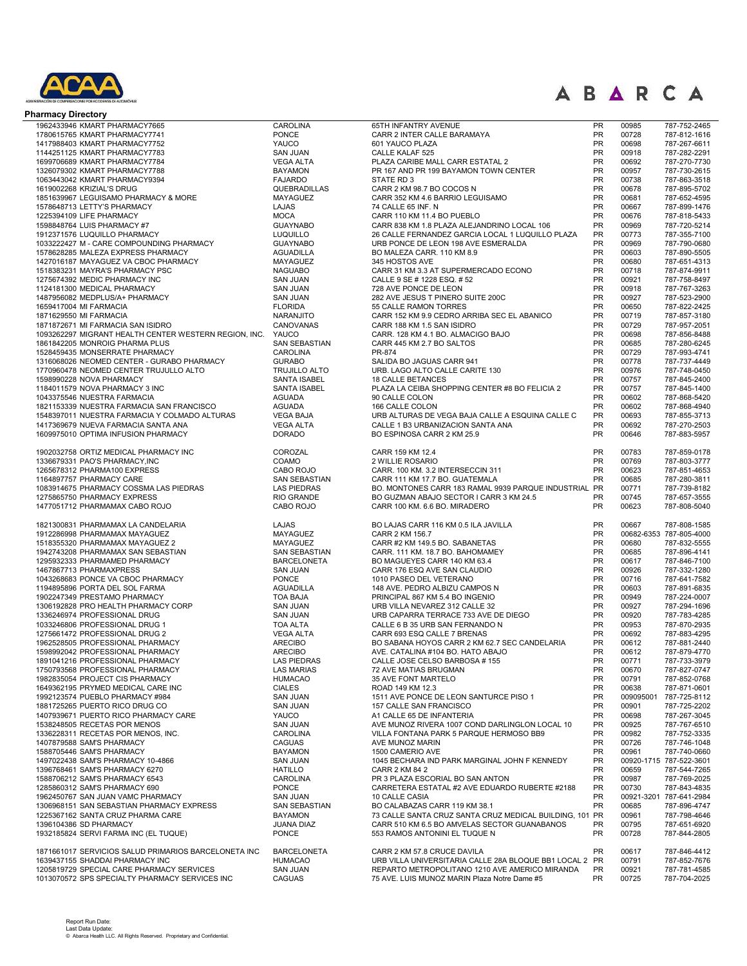

| <b>Pharmacy Directory</b>                                             |                                      |                                                                                         |                        |                |                                         |
|-----------------------------------------------------------------------|--------------------------------------|-----------------------------------------------------------------------------------------|------------------------|----------------|-----------------------------------------|
| 1962433946 KMART PHARMACY7665                                         | <b>CAROLINA</b>                      | 65TH INFANTRY AVENUE                                                                    | PR                     | 00985          | 787-752-2465                            |
| 1780615765 KMART PHARMACY7741                                         | <b>PONCE</b>                         | CARR 2 INTER CALLE BARAMAYA                                                             | <b>PR</b>              | 00728          | 787-812-1616                            |
| 1417988403 KMART PHARMACY7752                                         | YAUCO                                | 601 YAUCO PLAZA                                                                         | PR                     | 00698          | 787-267-6611                            |
| 1144251125 KMART PHARMACY7783                                         | <b>SAN JUAN</b>                      | CALLE KALAF 525                                                                         | PR                     | 00918          | 787-282-2291                            |
| 1699706689 KMART PHARMACY7784                                         | <b>VEGA ALTA</b>                     | PLAZA CARIBE MALL CARR ESTATAL 2<br>PR 167 AND PR 199 BAYAMON TOWN CENTER               | <b>PR</b>              | 00692          | 787-270-7730                            |
| 1326079302 KMART PHARMACY7788<br>1063443042 KMART PHARMACY9394        | <b>BAYAMON</b><br><b>FAJARDO</b>     | STATE RD 3                                                                              | PR<br>PR               | 00957<br>00738 | 787-730-2615<br>787-863-3518            |
| 1619002268 KRIZIAL'S DRUG                                             | QUEBRADILLAS                         | CARR 2 KM 98.7 BO COCOS N                                                               | <b>PR</b>              | 00678          | 787-895-5702                            |
| 1851639967 LEGUISAMO PHARMACY & MORE                                  | <b>MAYAGUEZ</b>                      | CARR 352 KM 4.6 BARRIO LEGUISAMO                                                        | <b>PR</b>              | 00681          | 787-652-4595                            |
| 1578648713 LETTY'S PHARMACY                                           | LAJAS                                | 74 CALLE 65 INF. N                                                                      | <b>PR</b>              | 00667          | 787-899-1476                            |
| 1225394109 LIFE PHARMACY                                              | <b>MOCA</b>                          | CARR 110 KM 11.4 BO PUEBLO                                                              | <b>PR</b>              | 00676          | 787-818-5433                            |
| 1598848764 LUIS PHARMACY #7                                           | <b>GUAYNABO</b>                      | CARR 838 KM 1.8 PLAZA ALEJANDRINO LOCAL 106                                             | PR                     | 00969          | 787-720-5214                            |
| 1912371576 LUQUILLO PHARMACY                                          | <b>LUQUILLO</b>                      | 26 CALLE FERNANDEZ GARCIA LOCAL 1 LUQUILLO PLAZA                                        | <b>PR</b>              | 00773          | 787-355-7100                            |
| 1033222427 M - CARE COMPOUNDING PHARMACY                              | <b>GUAYNABO</b>                      | URB PONCE DE LEON 198 AVE ESMERALDA                                                     | <b>PR</b>              | 00969          | 787-790-0680                            |
| 1578628285 MALEZA EXPRESS PHARMACY                                    | <b>AGUADILLA</b>                     | BO MALEZA CARR. 110 KM 8.9                                                              | <b>PR</b>              | 00603          | 787-890-5505                            |
| 1427016187 MAYAGUEZ VA CBOC PHARMACY                                  | <b>MAYAGUEZ</b>                      | 345 HOSTOS AVE                                                                          | <b>PR</b>              | 00680          | 787-651-4313                            |
| 1518383231 MAYRA'S PHARMACY PSC                                       | <b>NAGUABO</b>                       | CARR 31 KM 3.3 AT SUPERMERCADO ECONO                                                    | <b>PR</b>              | 00718          | 787-874-9911                            |
| 1275674392 MEDIC PHARMACY INC                                         | <b>SAN JUAN</b>                      | CALLE 9 SE # 1228 ESQ. # 52                                                             | <b>PR</b>              | 00921          | 787-758-8497                            |
| 1124181300 MEDICAL PHARMACY                                           | <b>SAN JUAN</b>                      | 728 AVE PONCE DE LEON<br>282 AVE JESUS T PINERO SUITE 200C                              | PR<br>PR               | 00918<br>00927 | 787-767-3263                            |
| 1487956082 MEDPLUS/A+ PHARMACY<br>1659417004 MI FARMACIA              | <b>SAN JUAN</b><br><b>FLORIDA</b>    | 55 CALLE RAMON TORRES                                                                   | PR                     | 00650          | 787-523-2900<br>787-822-2425            |
| 1871629550 MI FARMACIA                                                | NARANJITO                            | CARR 152 KM 9.9 CEDRO ARRIBA SEC EL ABANICO                                             | PR                     | 00719          | 787-857-3180                            |
| 1871872671 MI FARMACIA SAN ISIDRO                                     | CANOVANAS                            | CARR 188 KM 1.5 SAN ISIDRO                                                              | <b>PR</b>              | 00729          | 787-957-2051                            |
| 1093262297 MIGRANT HEALTH CENTER WESTERN REGION, INC.                 | YAUCO                                | CARR. 128 KM 4.1 BO. ALMACIGO BAJO                                                      | PR                     | 00698          | 787-856-8488                            |
| 1861842205 MONROIG PHARMA PLUS                                        | SAN SEBASTIAN                        | CARR 445 KM 2.7 BO SALTOS                                                               | <b>PR</b>              | 00685          | 787-280-6245                            |
| 1528459435 MONSERRATE PHARMACY                                        | <b>CAROLINA</b>                      | PR-874                                                                                  | <b>PR</b>              | 00729          | 787-993-4741                            |
| 1316068026 NEOMED CENTER - GURABO PHARMACY                            | <b>GURABO</b>                        | SALIDA BO JAGUAS CARR 941                                                               | PR                     | 00778          | 787-737-4449                            |
| 1770960478 NEOMED CENTER TRUJULLO ALTO                                | <b>TRUJILLO ALTO</b>                 | URB. LAGO ALTO CALLE CARITE 130                                                         | <b>PR</b>              | 00976          | 787-748-0450                            |
| 1598990228 NOVA PHARMACY                                              | SANTA ISABEL                         | <b>18 CALLE BETANCES</b>                                                                | PR                     | 00757          | 787-845-2400                            |
| 1184011579 NOVA PHARMACY 3 INC                                        | <b>SANTA ISABEL</b>                  | PLAZA LA CEIBA SHOPPING CENTER #8 BO FELICIA 2                                          | <b>PR</b>              | 00757          | 787-845-1400                            |
| 1043375546 NUESTRA FARMACIA                                           | <b>AGUADA</b>                        | 90 CALLE COLON                                                                          | PR                     | 00602          | 787-868-5420                            |
| 1821153339 NUESTRA FARMACIA SAN FRANCISCO                             | <b>AGUADA</b>                        | 166 CALLE COLON                                                                         | PR                     | 00602          | 787-868-4940                            |
| 1548397011 NUESTRA FARMACIA Y COLMADO ALTURAS                         | <b>VEGA BAJA</b>                     | URB ALTURAS DE VEGA BAJA CALLE A ESQUINA CALLE C                                        | PR                     | 00693          | 787-855-3713                            |
| 1417369679 NUEVA FARMACIA SANTA ANA                                   | <b>VEGA ALTA</b>                     | CALLE 1 B3 URBANIZACION SANTA ANA                                                       | PR<br><b>PR</b>        | 00692          | 787-270-2503<br>787-883-5957            |
| 1609975010 OPTIMA INFUSION PHARMACY                                   | <b>DORADO</b>                        | BO ESPINOSA CARR 2 KM 25.9                                                              |                        | 00646          |                                         |
| 1902032758 ORTIZ MEDICAL PHARMACY INC                                 | COROZAL                              | CARR 159 KM 12.4                                                                        | PR                     | 00783          | 787-859-0178                            |
| 1336679331 PAO'S PHARMACY, INC                                        | COAMO                                | 2 WILLIE ROSARIO                                                                        | <b>PR</b>              | 00769          | 787-803-3777                            |
| 1265678312 PHARMA100 EXPRESS                                          | CABO ROJO                            | CARR. 100 KM. 3.2 INTERSECCIN 311                                                       | PR                     | 00623          | 787-851-4653                            |
| 1164897757 PHARMACY CARE                                              | <b>SAN SEBASTIAN</b>                 | CARR 111 KM 17.7 BO. GUATEMALA<br>BO. MONTONES CARR 183 RAMAL 9939 PARQUE INDUSTRIAL PR | <b>PR</b>              | 00685          | 787-280-3811                            |
| 1083914675 PHARMACY COSSMA LAS PIEDRAS<br>1275865750 PHARMACY EXPRESS | <b>LAS PIEDRAS</b><br>RIO GRANDE     | BO GUZMAN ABAJO SECTOR I CARR 3 KM 24.5                                                 | <b>PR</b>              | 00771<br>00745 | 787-739-8182<br>787-657-3555            |
| 1477051712 PHARMAMAX CABO ROJO                                        | CABO ROJO                            | CARR 100 KM. 6.6 BO. MIRADERO                                                           | <b>PR</b>              | 00623          | 787-808-5040                            |
|                                                                       |                                      |                                                                                         |                        |                |                                         |
| 1821300831 PHARMAMAX LA CANDELARIA                                    | LAJAS                                | BO LAJAS CARR 116 KM 0.5 ILA JAVILLA                                                    | PR<br>PR               | 00667          | 787-808-1585                            |
| 1912286998 PHARMAMAX MAYAGUEZ<br>1518355320 PHARMAMAX MAYAGUEZ 2      | MAYAGUEZ<br>MAYAGUEZ                 | CARR 2 KM 156.7<br>CARR #2 KM 149.5 BO. SABANETAS                                       | PR                     | 00680          | 00682-6353 787-805-4000<br>787-832-5555 |
| 1942743208 PHARMAMAX SAN SEBASTIAN                                    | <b>SAN SEBASTIAN</b>                 | CARR. 111 KM. 18.7 BO. BAHOMAMEY                                                        | PR                     | 00685          | 787-896-4141                            |
| 1295932333 PHARMAMED PHARMACY                                         | <b>BARCELONETA</b>                   | BO MAGUEYES CARR 140 KM 63.4                                                            | PR                     | 00617          | 787-846-7100                            |
| 1467867713 PHARMAXPRESS                                               | <b>SAN JUAN</b>                      | CARR 176 ESQ AVE SAN CLAUDIO                                                            | PR                     | 00926          | 787-332-1280                            |
| 1043268683 PONCE VA CBOC PHARMACY                                     | <b>PONCE</b>                         | 1010 PASEO DEL VETERANO                                                                 | PR                     | 00716          | 787-641-7582                            |
| 1194895896 PORTA DEL SOL FARMA                                        | <b>AGUADILLA</b>                     | 148 AVE. PEDRO ALBIZU CAMPOS N                                                          | PR                     | 00603          | 787-891-6835                            |
| 1902247349 PRESTAMO PHARMACY                                          | <b>TOA BAJA</b>                      | PRINCIPAL 867 KM 5.4 BO INGENIO                                                         | <b>PR</b>              | 00949          | 787-224-0007                            |
| 1306192828 PRO HEALTH PHARMACY CORP                                   | <b>SAN JUAN</b>                      | URB VILLA NEVAREZ 312 CALLE 32                                                          | PR                     | 00927          | 787-294-1696                            |
| 1336246974 PROFESSIONAL DRUG                                          | <b>SAN JUAN</b>                      | URB CAPARRA TERRACE 733 AVE DE DIEGO                                                    | <b>PR</b>              | 00920          | 787-783-4285                            |
| 1033246806 PROFESSIONAL DRUG 1                                        | <b>TOA ALTA</b>                      | CALLE 6 B 35 URB SAN FERNANDO N                                                         | PR                     | 00953          | 787-870-2935                            |
| 1275661472 PROFESSIONAL DRUG 2                                        | <b>VEGA ALTA</b>                     | CARR 693 ESQ CALLE 7 BRENAS                                                             | <b>PR</b>              | 00692          | 787-883-4295                            |
| 1962528505 PROFESSIONAL PHARMACY                                      | <b>ARECIBO</b>                       | BO SABANA HOYOS CARR 2 KM 62.7 SEC CANDELARIA                                           | PR                     | 00612          | 787-881-2440                            |
| 1598992042 PROFESSIONAL PHARMACY<br>1891041216 PROFESSIONAL PHARMACY  | <b>ARECIBO</b><br><b>LAS PIEDRAS</b> | AVE. CATALINA #104 BO. HATO ABAJO<br>CALLE JOSE CELSO BARBOSA #155                      | <b>PR</b><br><b>PR</b> | 00612<br>00771 | 787-879-4770<br>787-733-3979            |
| 1750793568 PROFESSIONAL PHARMACY                                      | <b>LAS MARIAS</b>                    | 72 AVE MATIAS BRUGMAN                                                                   | <b>PR</b>              | 00670          | 787-827-0747                            |
| 1982835054 PROJECT CIS PHARMACY                                       | <b>HUMACAO</b>                       | 35 AVE FONT MARTELO                                                                     | <b>PR</b>              | 00791          | 787-852-0768                            |
| 1649362195 PRYMED MEDICAL CARE INC                                    | <b>CIALES</b>                        | ROAD 149 KM 12.3                                                                        | <b>PR</b>              | 00638          | 787-871-0601                            |
| 1992123574 PUEBLO PHARMACY #984                                       | <b>SAN JUAN</b>                      | 1511 AVE PONCE DE LEON SANTURCE PISO 1                                                  | <b>PR</b>              | 009095001      | 787-725-8112                            |
| 1881725265 PUERTO RICO DRUG CO                                        | <b>SAN JUAN</b>                      | 157 CALLE SAN FRANCISCO                                                                 | <b>PR</b>              | 00901          | 787-725-2202                            |
| 1407939671 PUERTO RICO PHARMACY CARE                                  | YAUCO                                | A1 CALLE 65 DE INFANTERIA                                                               | <b>PR</b>              | 00698          | 787-267-3045                            |
| 1538248505 RECETAS POR MENOS                                          | <b>SAN JUAN</b>                      | AVE MUNOZ RIVERA 1007 COND DARLINGLON LOCAL 10                                          | <b>PR</b>              | 00925          | 787-767-6510                            |
| 1336228311 RECETAS POR MENOS, INC.                                    | <b>CAROLINA</b>                      | VILLA FONTANA PARK 5 PARQUE HERMOSO BB9                                                 | <b>PR</b>              | 00982          | 787-752-3335                            |
| 1407879588 SAM'S PHARMACY                                             | CAGUAS                               | AVE MUNOZ MARIN                                                                         | <b>PR</b>              | 00726          | 787-746-1048                            |
| 1588705446 SAM'S PHARMACY                                             | <b>BAYAMON</b>                       | 1500 CAMERIO AVE                                                                        | PR                     | 00961          | 787-740-0660                            |
| 1497022438 SAM'S PHARMACY 10-4866                                     | <b>SAN JUAN</b>                      | 1045 BECHARA IND PARK MARGINAL JOHN F KENNEDY                                           | PR                     |                | 00920-1715 787-522-3601                 |
| 1396768461 SAM'S PHARMACY 6270<br>1588706212 SAM'S PHARMACY 6543      | <b>HATILLO</b><br><b>CAROLINA</b>    | CARR 2 KM 84 2<br>PR 3 PLAZA ESCORIAL BO SAN ANTON                                      | <b>PR</b><br>PR        | 00659<br>00987 | 787-544-7265<br>787-769-2025            |
| 1285860312 SAM'S PHARMACY 690                                         | <b>PONCE</b>                         | CARRETERA ESTATAL #2 AVE EDUARDO RUBERTE #2188                                          | PR                     | 00730          | 787-843-4835                            |
| 1962450767 SAN JUAN VAMC PHARMACY                                     | <b>SAN JUAN</b>                      | 10 CALLE CASIA                                                                          | PR                     |                | 00921-3201 787-641-2984                 |
| 1306968151 SAN SEBASTIAN PHARMACY EXPRESS                             | SAN SEBASTIAN                        | BO CALABAZAS CARR 119 KM 38.1                                                           | <b>PR</b>              | 00685          | 787-896-4747                            |
| 1225367162 SANTA CRUZ PHARMA CARE                                     | <b>BAYAMON</b>                       | 73 CALLE SANTA CRUZ SANTA CRUZ MEDICAL BUILDING, 101 PR                                 |                        | 00961          | 787-798-4646                            |
| 1396104386 SD PHARMACY                                                | <b>JUANA DIAZ</b>                    | CARR 510 KM 6.5 BO AMVELAS SECTOR GUANABANOS                                            | PR                     | 00795          | 787-651-6920                            |
| 1932185824 SERVI FARMA INC (EL TUQUE)                                 | <b>PONCE</b>                         | 553 RAMOS ANTONINI EL TUQUE N                                                           | <b>PR</b>              | 00728          | 787-844-2805                            |
| 1871661017 SERVICIOS SALUD PRIMARIOS BARCELONETA INC                  | <b>BARCELONETA</b>                   | CARR 2 KM 57.8 CRUCE DAVILA                                                             | <b>PR</b>              | 00617          | 787-846-4412                            |
| 1639437155 SHADDAI PHARMACY INC                                       | <b>HUMACAO</b>                       | URB VILLA UNIVERSITARIA CALLE 28A BLOQUE BB1 LOCAL 2 PR                                 |                        | 00791          | 787-852-7676                            |
| 1205819729 SPECIAL CARE PHARMACY SERVICES                             | <b>SAN JUAN</b>                      | REPARTO METROPOLITANO 1210 AVE AMERICO MIRANDA                                          | PR                     | 00921          | 787-781-4585                            |
| 1013070572 SPS SPECIALTY PHARMACY SERVICES INC                        | CAGUAS                               | 75 AVE. LUIS MUNOZ MARIN Plaza Notre Dame #5                                            | PR                     | 00725          | 787-704-2025                            |